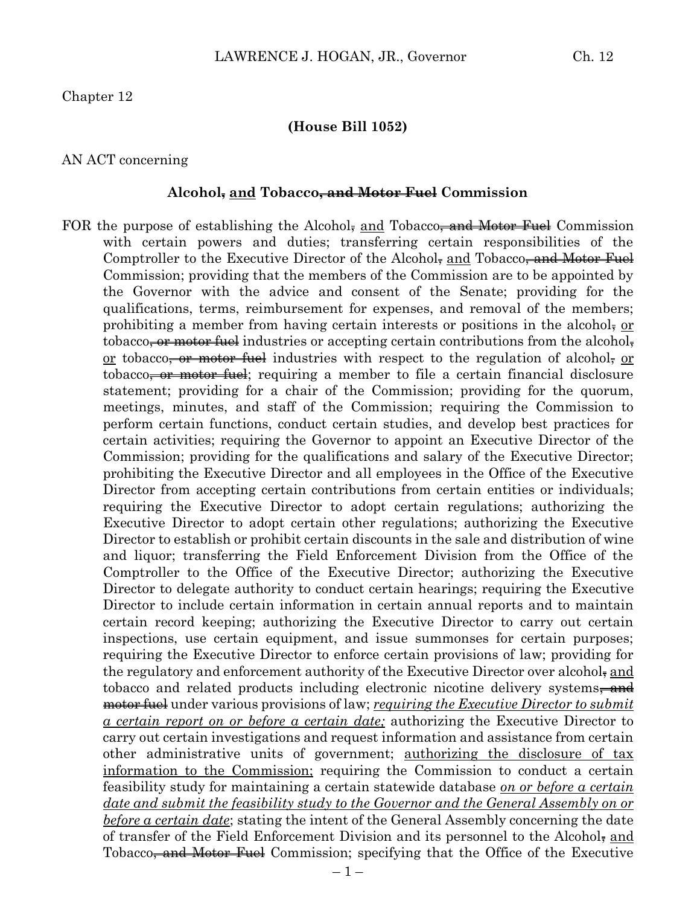#### **(House Bill 1052)**

#### AN ACT concerning

#### **Alcohol, and Tobacco, and Motor Fuel Commission**

FOR the purpose of establishing the Alcohol, and Tobacco, and Motor Fuel Commission with certain powers and duties; transferring certain responsibilities of the Comptroller to the Executive Director of the Alcohol, and Tobacco<del>, and Motor Fuel</del> Commission; providing that the members of the Commission are to be appointed by the Governor with the advice and consent of the Senate; providing for the qualifications, terms, reimbursement for expenses, and removal of the members; prohibiting a member from having certain interests or positions in the alcohol. tobacco<del>, or motor fuel</del> industries or accepting certain contributions from the alcohol. or tobacco<del>, or motor fuel</del> industries with respect to the regulation of alcohol, or tobacco<del>, or motor fuel</del>; requiring a member to file a certain financial disclosure statement; providing for a chair of the Commission; providing for the quorum, meetings, minutes, and staff of the Commission; requiring the Commission to perform certain functions, conduct certain studies, and develop best practices for certain activities; requiring the Governor to appoint an Executive Director of the Commission; providing for the qualifications and salary of the Executive Director; prohibiting the Executive Director and all employees in the Office of the Executive Director from accepting certain contributions from certain entities or individuals; requiring the Executive Director to adopt certain regulations; authorizing the Executive Director to adopt certain other regulations; authorizing the Executive Director to establish or prohibit certain discounts in the sale and distribution of wine and liquor; transferring the Field Enforcement Division from the Office of the Comptroller to the Office of the Executive Director; authorizing the Executive Director to delegate authority to conduct certain hearings; requiring the Executive Director to include certain information in certain annual reports and to maintain certain record keeping; authorizing the Executive Director to carry out certain inspections, use certain equipment, and issue summonses for certain purposes; requiring the Executive Director to enforce certain provisions of law; providing for the regulatory and enforcement authority of the Executive Director over alcohol, and tobacco and related products including electronic nicotine delivery systems<del>, and</del> motor fuel under various provisions of law; *requiring the Executive Director to submit a certain report on or before a certain date;* authorizing the Executive Director to carry out certain investigations and request information and assistance from certain other administrative units of government; authorizing the disclosure of tax information to the Commission; requiring the Commission to conduct a certain feasibility study for maintaining a certain statewide database *on or before a certain date and submit the feasibility study to the Governor and the General Assembly on or before a certain date*; stating the intent of the General Assembly concerning the date of transfer of the Field Enforcement Division and its personnel to the Alcohol, and Tobacco<del>, and Motor Fuel</del> Commission; specifying that the Office of the Executive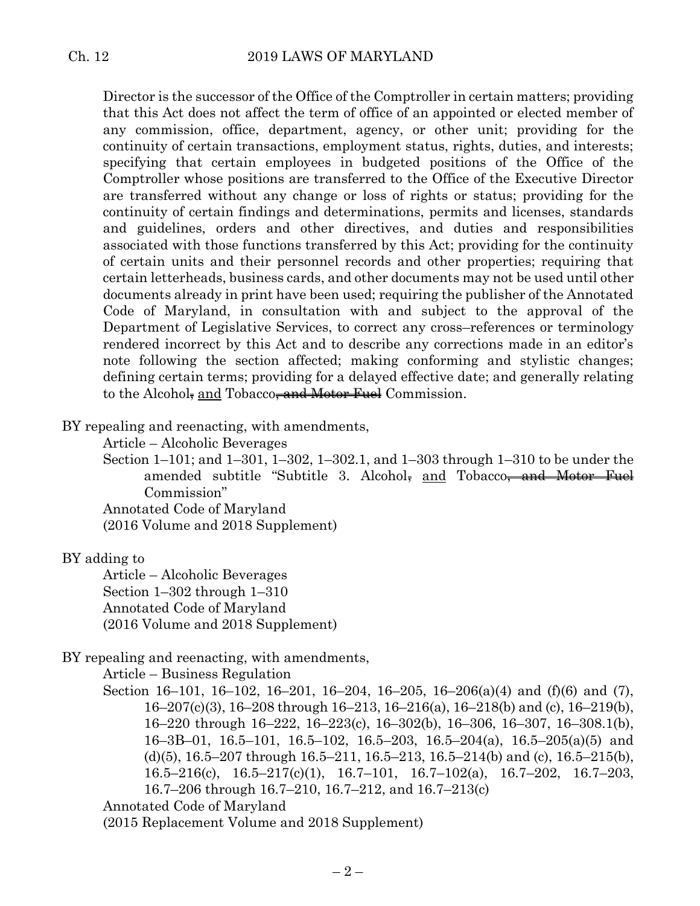Director is the successor of the Office of the Comptroller in certain matters; providing that this Act does not affect the term of office of an appointed or elected member of any commission, office, department, agency, or other unit; providing for the continuity of certain transactions, employment status, rights, duties, and interests; specifying that certain employees in budgeted positions of the Office of the Comptroller whose positions are transferred to the Office of the Executive Director are transferred without any change or loss of rights or status; providing for the continuity of certain findings and determinations, permits and licenses, standards and guidelines, orders and other directives, and duties and responsibilities associated with those functions transferred by this Act; providing for the continuity of certain units and their personnel records and other properties; requiring that certain letterheads, business cards, and other documents may not be used until other documents already in print have been used; requiring the publisher of the Annotated Code of Maryland, in consultation with and subject to the approval of the Department of Legislative Services, to correct any cross–references or terminology rendered incorrect by this Act and to describe any corrections made in an editor's note following the section affected; making conforming and stylistic changes; defining certain terms; providing for a delayed effective date; and generally relating to the Alcohol, and Tobacco, and Motor Fuel Commission.

BY repealing and reenacting, with amendments,

Article – Alcoholic Beverages

Section 1–101; and 1–301, 1–302, 1–302.1, and 1–303 through 1–310 to be under the amended subtitle "Subtitle 3. Alcohol, and Tobacco<del>, and Motor Fuel</del> Commission"

Annotated Code of Maryland

(2016 Volume and 2018 Supplement)

#### BY adding to

Article – Alcoholic Beverages Section 1–302 through 1–310 Annotated Code of Maryland (2016 Volume and 2018 Supplement)

#### BY repealing and reenacting, with amendments,

Article – Business Regulation

Section 16–101, 16–102, 16–201, 16–204, 16–205, 16–206(a)(4) and (f)(6) and (7), 16–207(c)(3), 16–208 through 16–213, 16–216(a), 16–218(b) and (c), 16–219(b), 16–220 through 16–222, 16–223(c), 16–302(b), 16–306, 16–307, 16–308.1(b), 16–3B–01, 16.5–101, 16.5–102, 16.5–203, 16.5–204(a), 16.5–205(a)(5) and (d)(5),  $16.5-207$  through  $16.5-211$ ,  $16.5-213$ ,  $16.5-214$ (b) and (c),  $16.5-215$ (b), 16.5–216(c), 16.5–217(c)(1), 16.7–101, 16.7–102(a), 16.7–202, 16.7–203, 16.7–206 through 16.7–210, 16.7–212, and 16.7–213(c)

Annotated Code of Maryland

(2015 Replacement Volume and 2018 Supplement)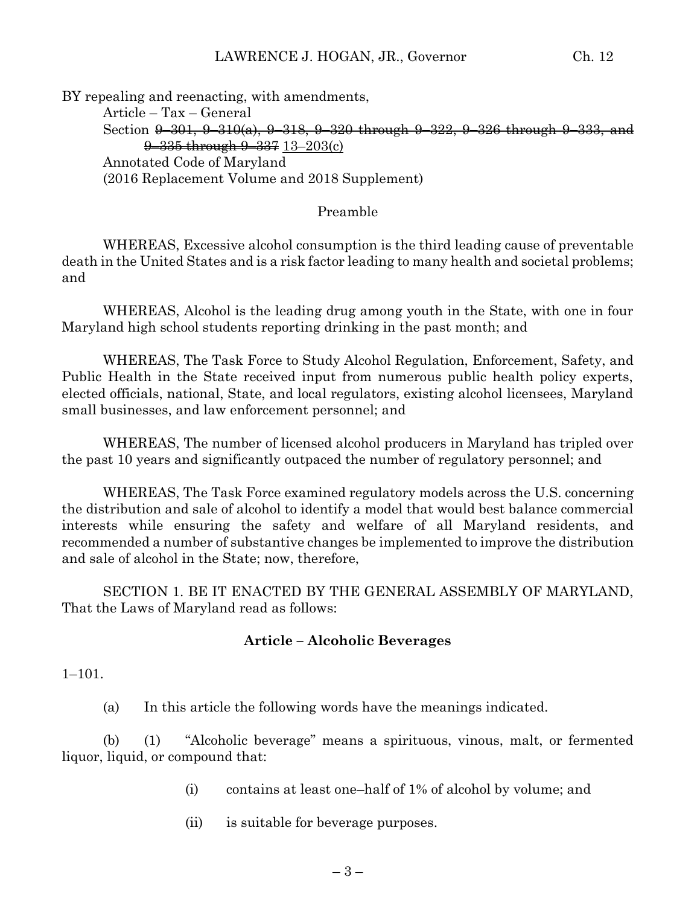BY repealing and reenacting, with amendments,

Article – Tax – General Section <del>9–301, 9–310(a), 9–318, 9–320 through 9–322, 9–326 through 9–333, and</del> 9–335 through 9–337 13–203(c) Annotated Code of Maryland (2016 Replacement Volume and 2018 Supplement)

## Preamble

WHEREAS, Excessive alcohol consumption is the third leading cause of preventable death in the United States and is a risk factor leading to many health and societal problems; and

WHEREAS, Alcohol is the leading drug among youth in the State, with one in four Maryland high school students reporting drinking in the past month; and

WHEREAS, The Task Force to Study Alcohol Regulation, Enforcement, Safety, and Public Health in the State received input from numerous public health policy experts, elected officials, national, State, and local regulators, existing alcohol licensees, Maryland small businesses, and law enforcement personnel; and

WHEREAS, The number of licensed alcohol producers in Maryland has tripled over the past 10 years and significantly outpaced the number of regulatory personnel; and

WHEREAS, The Task Force examined regulatory models across the U.S. concerning the distribution and sale of alcohol to identify a model that would best balance commercial interests while ensuring the safety and welfare of all Maryland residents, and recommended a number of substantive changes be implemented to improve the distribution and sale of alcohol in the State; now, therefore,

SECTION 1. BE IT ENACTED BY THE GENERAL ASSEMBLY OF MARYLAND, That the Laws of Maryland read as follows:

# **Article – Alcoholic Beverages**

1–101.

(a) In this article the following words have the meanings indicated.

(b) (1) "Alcoholic beverage" means a spirituous, vinous, malt, or fermented liquor, liquid, or compound that:

- (i) contains at least one–half of 1% of alcohol by volume; and
- (ii) is suitable for beverage purposes.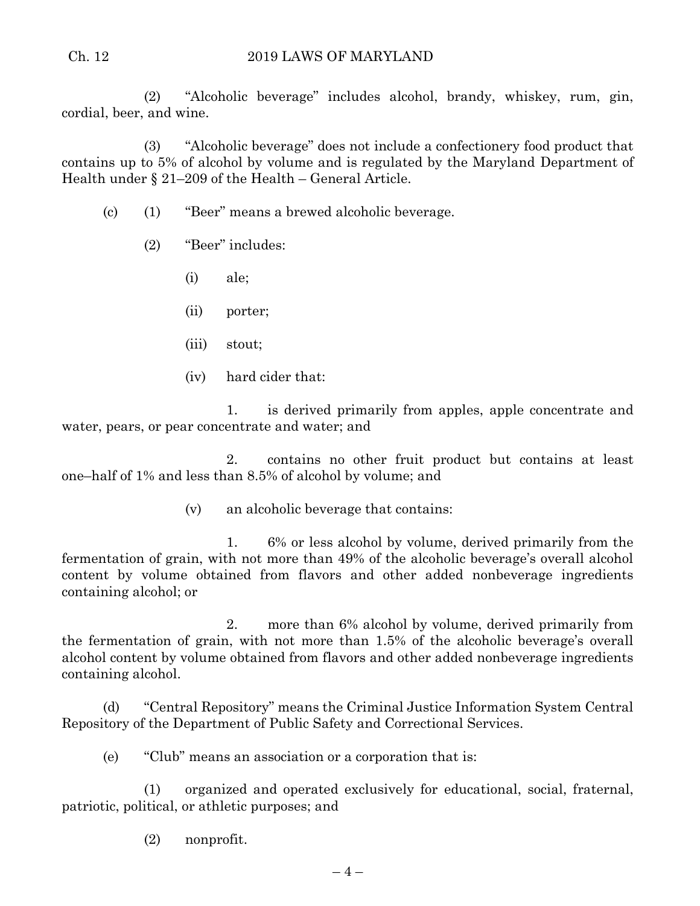#### Ch. 12 2019 LAWS OF MARYLAND

(2) "Alcoholic beverage" includes alcohol, brandy, whiskey, rum, gin, cordial, beer, and wine.

(3) "Alcoholic beverage" does not include a confectionery food product that contains up to 5% of alcohol by volume and is regulated by the Maryland Department of Health under § 21–209 of the Health – General Article.

- (c) (1) "Beer" means a brewed alcoholic beverage.
	- (2) "Beer" includes:
		- (i) ale;
		- (ii) porter;
		- (iii) stout;
		- (iv) hard cider that:

1. is derived primarily from apples, apple concentrate and water, pears, or pear concentrate and water; and

2. contains no other fruit product but contains at least one–half of 1% and less than 8.5% of alcohol by volume; and

(v) an alcoholic beverage that contains:

1. 6% or less alcohol by volume, derived primarily from the fermentation of grain, with not more than 49% of the alcoholic beverage's overall alcohol content by volume obtained from flavors and other added nonbeverage ingredients containing alcohol; or

2. more than 6% alcohol by volume, derived primarily from the fermentation of grain, with not more than 1.5% of the alcoholic beverage's overall alcohol content by volume obtained from flavors and other added nonbeverage ingredients containing alcohol.

(d) "Central Repository" means the Criminal Justice Information System Central Repository of the Department of Public Safety and Correctional Services.

(e) "Club" means an association or a corporation that is:

(1) organized and operated exclusively for educational, social, fraternal, patriotic, political, or athletic purposes; and

(2) nonprofit.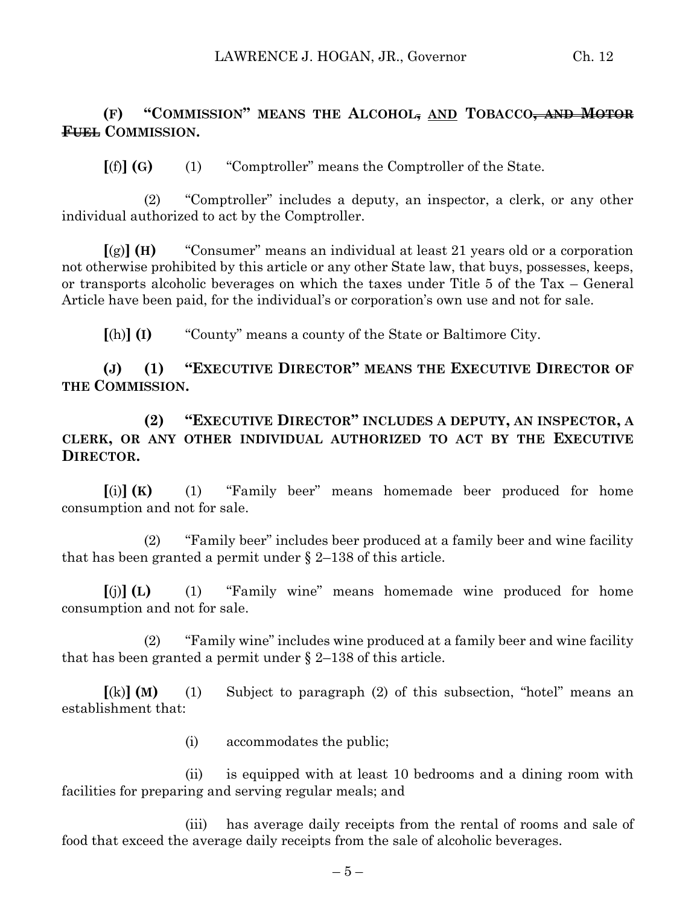## **(F) "COMMISSION" MEANS THE ALCOHOL, AND TOBACCO, AND MOTOR FUEL COMMISSION.**

**[**(f)**] (G)** (1) "Comptroller" means the Comptroller of the State.

(2) "Comptroller" includes a deputy, an inspector, a clerk, or any other individual authorized to act by the Comptroller.

**[**(g)**] (H)** "Consumer" means an individual at least 21 years old or a corporation not otherwise prohibited by this article or any other State law, that buys, possesses, keeps, or transports alcoholic beverages on which the taxes under Title 5 of the Tax – General Article have been paid, for the individual's or corporation's own use and not for sale.

**[**(h)**] (I)** "County" means a county of the State or Baltimore City.

**(J) (1) "EXECUTIVE DIRECTOR" MEANS THE EXECUTIVE DIRECTOR OF THE COMMISSION.**

**(2) "EXECUTIVE DIRECTOR" INCLUDES A DEPUTY, AN INSPECTOR, A CLERK, OR ANY OTHER INDIVIDUAL AUTHORIZED TO ACT BY THE EXECUTIVE DIRECTOR.**

**[**(i)**] (K)** (1) "Family beer" means homemade beer produced for home consumption and not for sale.

(2) "Family beer" includes beer produced at a family beer and wine facility that has been granted a permit under § 2–138 of this article.

**[**(j)**] (L)** (1) "Family wine" means homemade wine produced for home consumption and not for sale.

(2) "Family wine" includes wine produced at a family beer and wine facility that has been granted a permit under § 2–138 of this article.

**[**(k)**] (M)** (1) Subject to paragraph (2) of this subsection, "hotel" means an establishment that:

(i) accommodates the public;

(ii) is equipped with at least 10 bedrooms and a dining room with facilities for preparing and serving regular meals; and

(iii) has average daily receipts from the rental of rooms and sale of food that exceed the average daily receipts from the sale of alcoholic beverages.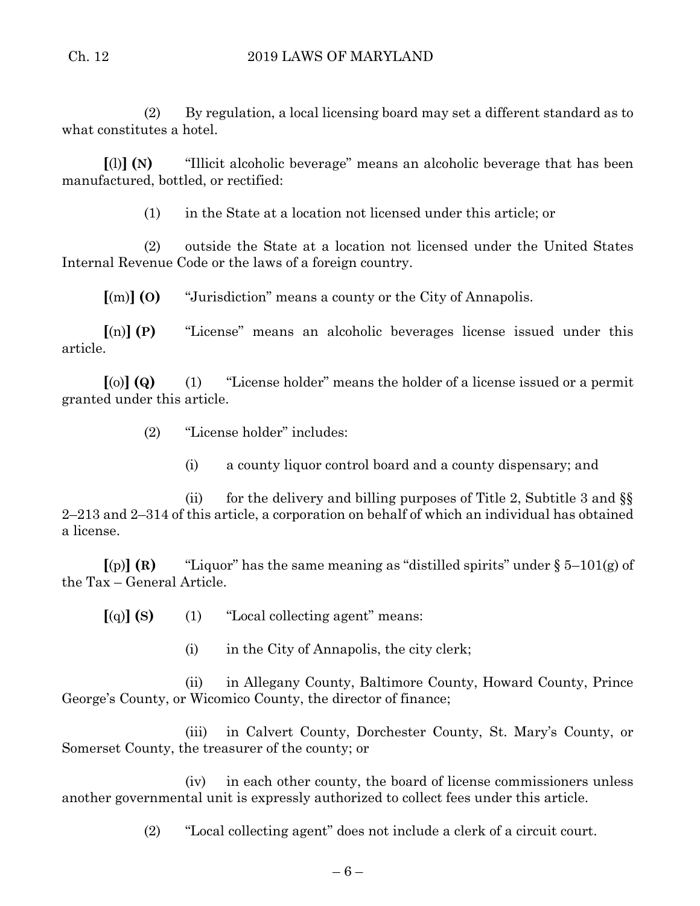## Ch. 12 2019 LAWS OF MARYLAND

(2) By regulation, a local licensing board may set a different standard as to what constitutes a hotel.

**[**(l)**] (N)** "Illicit alcoholic beverage" means an alcoholic beverage that has been manufactured, bottled, or rectified:

(1) in the State at a location not licensed under this article; or

(2) outside the State at a location not licensed under the United States Internal Revenue Code or the laws of a foreign country.

**[**(m)**] (O)** "Jurisdiction" means a county or the City of Annapolis.

**[**(n)**] (P)** "License" means an alcoholic beverages license issued under this article.

**[**(o)**] (Q)** (1) "License holder" means the holder of a license issued or a permit granted under this article.

- (2) "License holder" includes:
	- (i) a county liquor control board and a county dispensary; and

(ii) for the delivery and billing purposes of Title 2, Subtitle 3 and  $\S$ 2–213 and 2–314 of this article, a corporation on behalf of which an individual has obtained a license.

 $\lceil$ (p)  $\rceil$  **(R)** "Liquor" has the same meaning as "distilled spirits" under § 5–101(g) of the Tax – General Article.

**[**(q)**] (S)** (1) "Local collecting agent" means:

(i) in the City of Annapolis, the city clerk;

(ii) in Allegany County, Baltimore County, Howard County, Prince George's County, or Wicomico County, the director of finance;

(iii) in Calvert County, Dorchester County, St. Mary's County, or Somerset County, the treasurer of the county; or

(iv) in each other county, the board of license commissioners unless another governmental unit is expressly authorized to collect fees under this article.

(2) "Local collecting agent" does not include a clerk of a circuit court.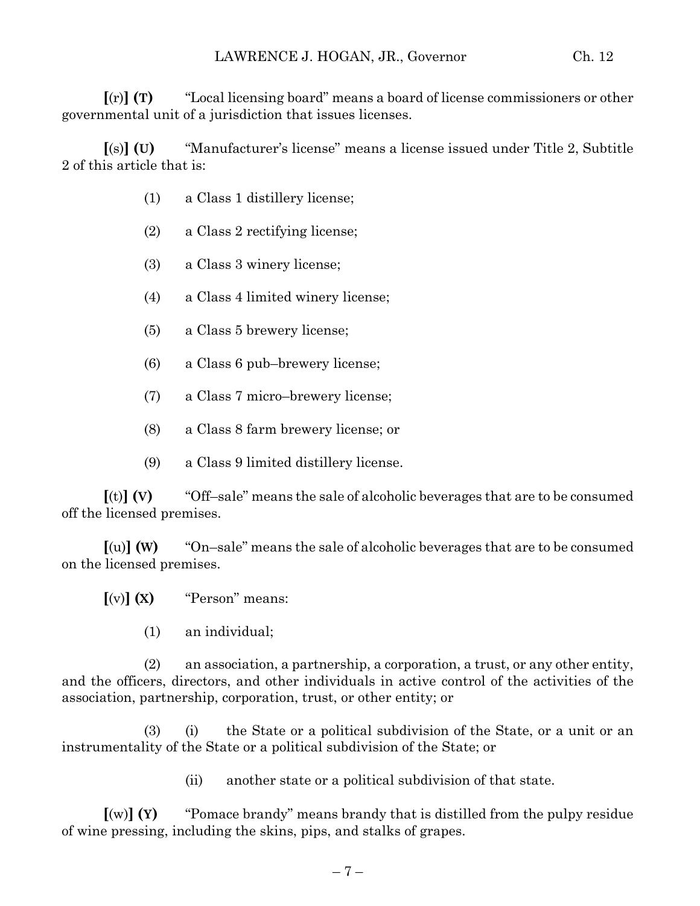**[**(r)**] (T)** "Local licensing board" means a board of license commissioners or other governmental unit of a jurisdiction that issues licenses.

**[**(s)**] (U)** "Manufacturer's license" means a license issued under Title 2, Subtitle 2 of this article that is:

- (1) a Class 1 distillery license;
- (2) a Class 2 rectifying license;
- (3) a Class 3 winery license;
- (4) a Class 4 limited winery license;
- (5) a Class 5 brewery license;
- (6) a Class 6 pub–brewery license;
- (7) a Class 7 micro–brewery license;
- (8) a Class 8 farm brewery license; or
- (9) a Class 9 limited distillery license.

**[**(t)**] (V)** "Off–sale" means the sale of alcoholic beverages that are to be consumed off the licensed premises.

**[**(u)**] (W)** "On–sale" means the sale of alcoholic beverages that are to be consumed on the licensed premises.

 $[(v)]$  **(X)** "Person" means:

(1) an individual;

(2) an association, a partnership, a corporation, a trust, or any other entity, and the officers, directors, and other individuals in active control of the activities of the association, partnership, corporation, trust, or other entity; or

(3) (i) the State or a political subdivision of the State, or a unit or an instrumentality of the State or a political subdivision of the State; or

(ii) another state or a political subdivision of that state.

**[**(w)**] (Y)** "Pomace brandy" means brandy that is distilled from the pulpy residue of wine pressing, including the skins, pips, and stalks of grapes.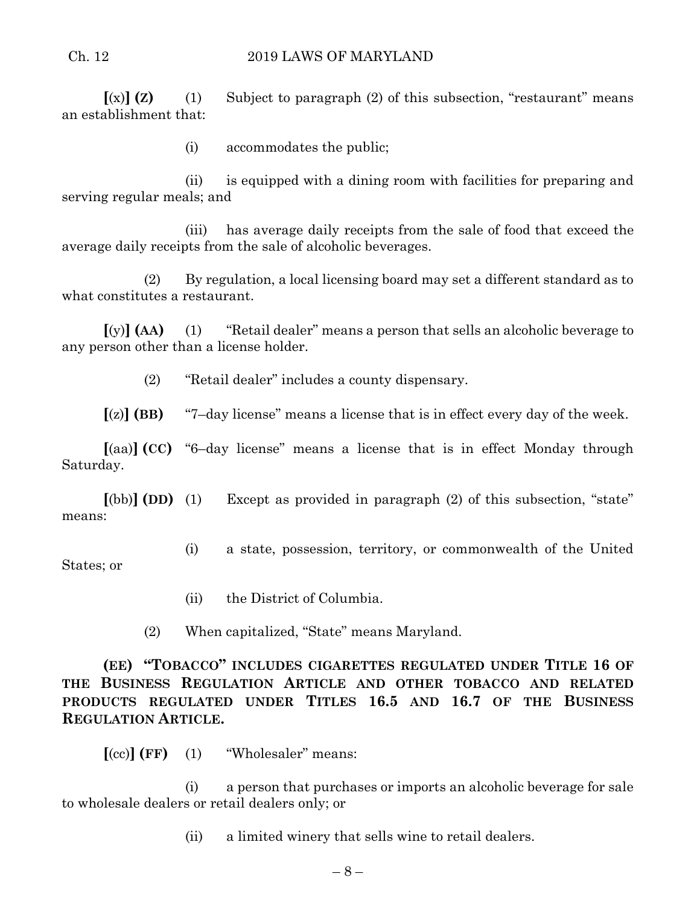#### Ch. 12 2019 LAWS OF MARYLAND

 $\lceil$ (x) **(Z)** (1) Subject to paragraph (2) of this subsection, "restaurant" means an establishment that:

(i) accommodates the public;

(ii) is equipped with a dining room with facilities for preparing and serving regular meals; and

(iii) has average daily receipts from the sale of food that exceed the average daily receipts from the sale of alcoholic beverages.

(2) By regulation, a local licensing board may set a different standard as to what constitutes a restaurant.

**[**(y)**] (AA)** (1) "Retail dealer" means a person that sells an alcoholic beverage to any person other than a license holder.

(2) "Retail dealer" includes a county dispensary.

**[**(z)**] (BB)** "7–day license" means a license that is in effect every day of the week.

**[**(aa)**] (CC)** "6–day license" means a license that is in effect Monday through Saturday.

**[**(bb)**] (DD)** (1) Except as provided in paragraph (2) of this subsection, "state" means:

- (i) a state, possession, territory, or commonwealth of the United States; or
	- (ii) the District of Columbia.
	- (2) When capitalized, "State" means Maryland.

**(EE) "TOBACCO" INCLUDES CIGARETTES REGULATED UNDER TITLE 16 OF THE BUSINESS REGULATION ARTICLE AND OTHER TOBACCO AND RELATED PRODUCTS REGULATED UNDER TITLES 16.5 AND 16.7 OF THE BUSINESS REGULATION ARTICLE.**

**[**(cc)**] (FF)** (1) "Wholesaler" means:

(i) a person that purchases or imports an alcoholic beverage for sale to wholesale dealers or retail dealers only; or

(ii) a limited winery that sells wine to retail dealers.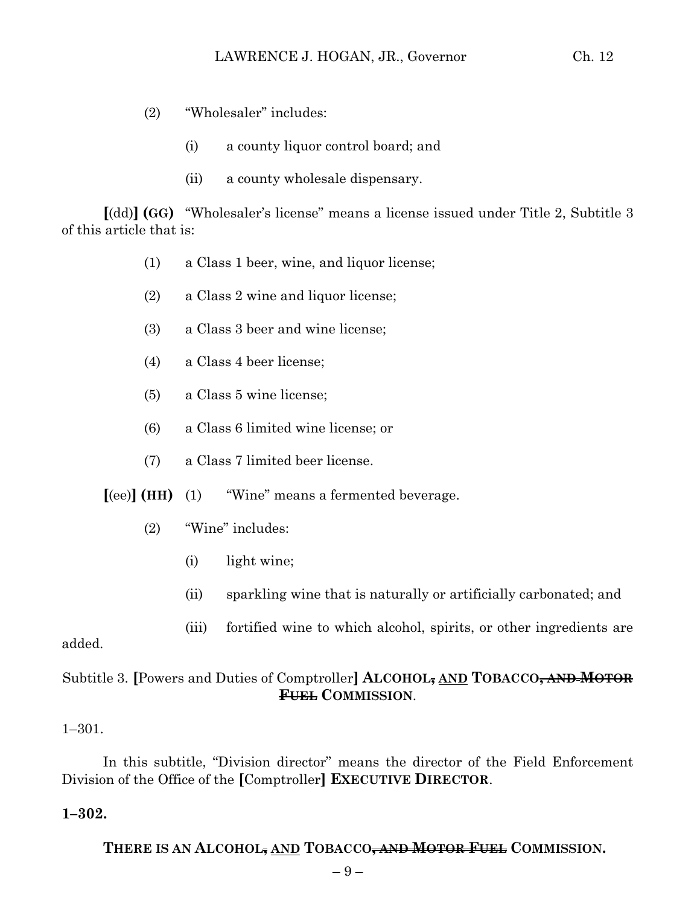- (2) "Wholesaler" includes:
	- (i) a county liquor control board; and
	- (ii) a county wholesale dispensary.

**[**(dd)**] (GG)** "Wholesaler's license" means a license issued under Title 2, Subtitle 3 of this article that is:

- (1) a Class 1 beer, wine, and liquor license;
- (2) a Class 2 wine and liquor license;
- (3) a Class 3 beer and wine license;
- (4) a Class 4 beer license;
- (5) a Class 5 wine license;
- (6) a Class 6 limited wine license; or
- (7) a Class 7 limited beer license.

**[**(ee)**] (HH)** (1) "Wine" means a fermented beverage.

- (2) "Wine" includes:
	- (i) light wine;
	- (ii) sparkling wine that is naturally or artificially carbonated; and
	- (iii) fortified wine to which alcohol, spirits, or other ingredients are

#### added.

# Subtitle 3. **[**Powers and Duties of Comptroller**] ALCOHOL, AND TOBACCO, AND MOTOR FUEL COMMISSION**.

#### 1–301.

In this subtitle, "Division director" means the director of the Field Enforcement Division of the Office of the **[**Comptroller**] EXECUTIVE DIRECTOR**.

#### **1–302.**

**THERE IS AN ALCOHOL, AND TOBACCO, AND MOTOR FUEL COMMISSION.**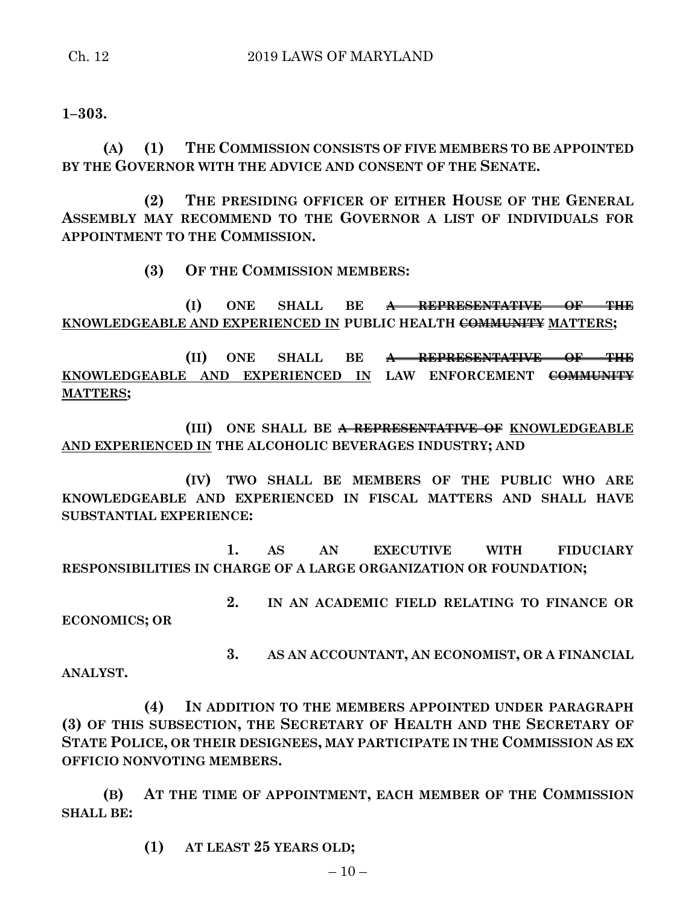**1–303.**

**(A) (1) THE COMMISSION CONSISTS OF FIVE MEMBERS TO BE APPOINTED BY THE GOVERNOR WITH THE ADVICE AND CONSENT OF THE SENATE.**

**(2) THE PRESIDING OFFICER OF EITHER HOUSE OF THE GENERAL ASSEMBLY MAY RECOMMEND TO THE GOVERNOR A LIST OF INDIVIDUALS FOR APPOINTMENT TO THE COMMISSION.**

**(3) OF THE COMMISSION MEMBERS:**

**(I) ONE SHALL BE A REPRESENTATIVE OF THE KNOWLEDGEABLE AND EXPERIENCED IN PUBLIC HEALTH COMMUNITY MATTERS;**

**(II) ONE SHALL BE A REPRESENTATIVE OF THE KNOWLEDGEABLE AND EXPERIENCED IN LAW ENFORCEMENT COMMUNITY MATTERS;**

**(III) ONE SHALL BE A REPRESENTATIVE OF KNOWLEDGEABLE AND EXPERIENCED IN THE ALCOHOLIC BEVERAGES INDUSTRY; AND**

**(IV) TWO SHALL BE MEMBERS OF THE PUBLIC WHO ARE KNOWLEDGEABLE AND EXPERIENCED IN FISCAL MATTERS AND SHALL HAVE SUBSTANTIAL EXPERIENCE:**

**1. AS AN EXECUTIVE WITH FIDUCIARY RESPONSIBILITIES IN CHARGE OF A LARGE ORGANIZATION OR FOUNDATION;**

**2. IN AN ACADEMIC FIELD RELATING TO FINANCE OR ECONOMICS; OR**

**3. AS AN ACCOUNTANT, AN ECONOMIST, OR A FINANCIAL** 

**ANALYST.**

**(4) IN ADDITION TO THE MEMBERS APPOINTED UNDER PARAGRAPH (3) OF THIS SUBSECTION, THE SECRETARY OF HEALTH AND THE SECRETARY OF STATE POLICE, OR THEIR DESIGNEES, MAY PARTICIPATE IN THE COMMISSION AS EX OFFICIO NONVOTING MEMBERS.**

**(B) AT THE TIME OF APPOINTMENT, EACH MEMBER OF THE COMMISSION SHALL BE:**

**(1) AT LEAST 25 YEARS OLD;**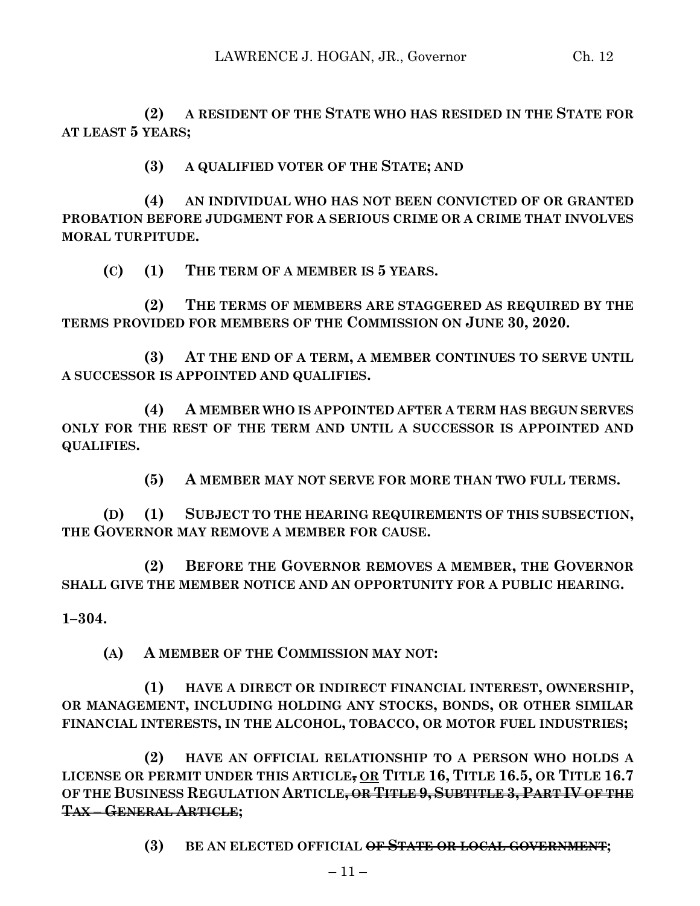**(2) A RESIDENT OF THE STATE WHO HAS RESIDED IN THE STATE FOR AT LEAST 5 YEARS;**

**(3) A QUALIFIED VOTER OF THE STATE; AND**

**(4) AN INDIVIDUAL WHO HAS NOT BEEN CONVICTED OF OR GRANTED PROBATION BEFORE JUDGMENT FOR A SERIOUS CRIME OR A CRIME THAT INVOLVES MORAL TURPITUDE.**

**(C) (1) THE TERM OF A MEMBER IS 5 YEARS.**

**(2) THE TERMS OF MEMBERS ARE STAGGERED AS REQUIRED BY THE TERMS PROVIDED FOR MEMBERS OF THE COMMISSION ON JUNE 30, 2020.**

**(3) AT THE END OF A TERM, A MEMBER CONTINUES TO SERVE UNTIL A SUCCESSOR IS APPOINTED AND QUALIFIES.**

**(4) A MEMBER WHO IS APPOINTED AFTER A TERM HAS BEGUN SERVES ONLY FOR THE REST OF THE TERM AND UNTIL A SUCCESSOR IS APPOINTED AND QUALIFIES.**

**(5) A MEMBER MAY NOT SERVE FOR MORE THAN TWO FULL TERMS.**

**(D) (1) SUBJECT TO THE HEARING REQUIREMENTS OF THIS SUBSECTION, THE GOVERNOR MAY REMOVE A MEMBER FOR CAUSE.**

**(2) BEFORE THE GOVERNOR REMOVES A MEMBER, THE GOVERNOR SHALL GIVE THE MEMBER NOTICE AND AN OPPORTUNITY FOR A PUBLIC HEARING.**

**1–304.**

**(A) A MEMBER OF THE COMMISSION MAY NOT:**

**(1) HAVE A DIRECT OR INDIRECT FINANCIAL INTEREST, OWNERSHIP, OR MANAGEMENT, INCLUDING HOLDING ANY STOCKS, BONDS, OR OTHER SIMILAR FINANCIAL INTERESTS, IN THE ALCOHOL, TOBACCO, OR MOTOR FUEL INDUSTRIES;**

**(2) HAVE AN OFFICIAL RELATIONSHIP TO A PERSON WHO HOLDS A LICENSE OR PERMIT UNDER THIS ARTICLE, OR TITLE 16, TITLE 16.5, OR TITLE 16.7 OF THE BUSINESS REGULATION ARTICLE, OR TITLE 9, SUBTITLE 3, PART IV OF THE TAX – GENERAL ARTICLE;**

**(3) BE AN ELECTED OFFICIAL OF STATE OR LOCAL GOVERNMENT;**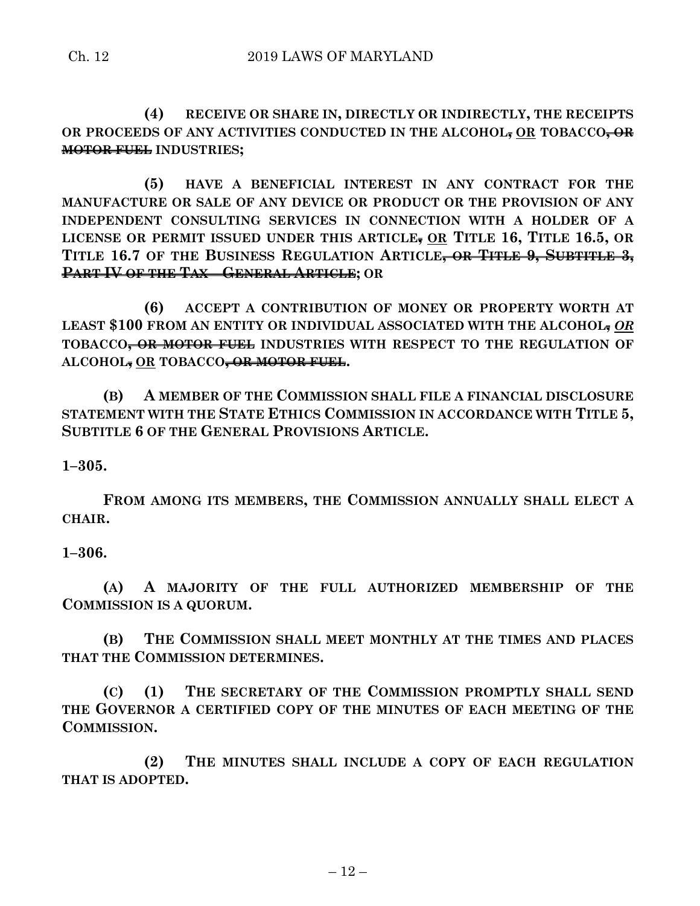**(4) RECEIVE OR SHARE IN, DIRECTLY OR INDIRECTLY, THE RECEIPTS OR PROCEEDS OF ANY ACTIVITIES CONDUCTED IN THE ALCOHOL, OR TOBACCO, OR MOTOR FUEL INDUSTRIES;**

**(5) HAVE A BENEFICIAL INTEREST IN ANY CONTRACT FOR THE MANUFACTURE OR SALE OF ANY DEVICE OR PRODUCT OR THE PROVISION OF ANY INDEPENDENT CONSULTING SERVICES IN CONNECTION WITH A HOLDER OF A LICENSE OR PERMIT ISSUED UNDER THIS ARTICLE, OR TITLE 16, TITLE 16.5, OR TITLE 16.7 OF THE BUSINESS REGULATION ARTICLE, OR TITLE 9, SUBTITLE 3, PART IV OF THE TAX – GENERAL ARTICLE; OR**

**(6) ACCEPT A CONTRIBUTION OF MONEY OR PROPERTY WORTH AT LEAST \$100 FROM AN ENTITY OR INDIVIDUAL ASSOCIATED WITH THE ALCOHOL,** *OR* **TOBACCO, OR MOTOR FUEL INDUSTRIES WITH RESPECT TO THE REGULATION OF ALCOHOL, OR TOBACCO, OR MOTOR FUEL.**

**(B) A MEMBER OF THE COMMISSION SHALL FILE A FINANCIAL DISCLOSURE STATEMENT WITH THE STATE ETHICS COMMISSION IN ACCORDANCE WITH TITLE 5, SUBTITLE 6 OF THE GENERAL PROVISIONS ARTICLE.**

**1–305.**

**FROM AMONG ITS MEMBERS, THE COMMISSION ANNUALLY SHALL ELECT A CHAIR.**

**1–306.**

**(A) A MAJORITY OF THE FULL AUTHORIZED MEMBERSHIP OF THE COMMISSION IS A QUORUM.**

**(B) THE COMMISSION SHALL MEET MONTHLY AT THE TIMES AND PLACES THAT THE COMMISSION DETERMINES.**

**(C) (1) THE SECRETARY OF THE COMMISSION PROMPTLY SHALL SEND THE GOVERNOR A CERTIFIED COPY OF THE MINUTES OF EACH MEETING OF THE COMMISSION.**

**(2) THE MINUTES SHALL INCLUDE A COPY OF EACH REGULATION THAT IS ADOPTED.**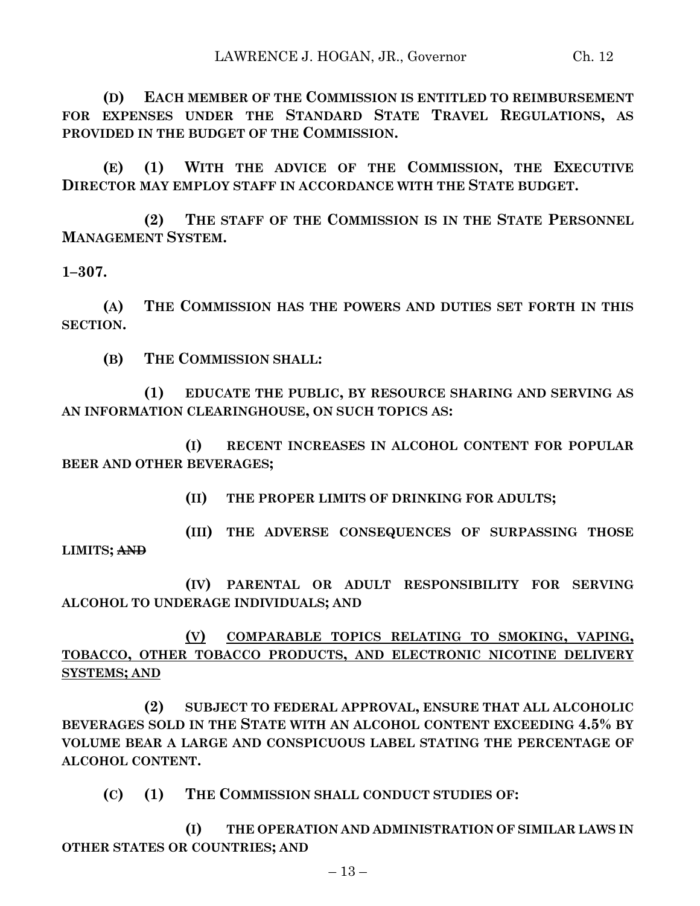**(D) EACH MEMBER OF THE COMMISSION IS ENTITLED TO REIMBURSEMENT FOR EXPENSES UNDER THE STANDARD STATE TRAVEL REGULATIONS, AS PROVIDED IN THE BUDGET OF THE COMMISSION.**

**(E) (1) WITH THE ADVICE OF THE COMMISSION, THE EXECUTIVE DIRECTOR MAY EMPLOY STAFF IN ACCORDANCE WITH THE STATE BUDGET.**

**(2) THE STAFF OF THE COMMISSION IS IN THE STATE PERSONNEL MANAGEMENT SYSTEM.**

**1–307.**

**(A) THE COMMISSION HAS THE POWERS AND DUTIES SET FORTH IN THIS SECTION.**

**(B) THE COMMISSION SHALL:**

**(1) EDUCATE THE PUBLIC, BY RESOURCE SHARING AND SERVING AS AN INFORMATION CLEARINGHOUSE, ON SUCH TOPICS AS:**

**(I) RECENT INCREASES IN ALCOHOL CONTENT FOR POPULAR BEER AND OTHER BEVERAGES;**

**(II) THE PROPER LIMITS OF DRINKING FOR ADULTS;**

**(III) THE ADVERSE CONSEQUENCES OF SURPASSING THOSE LIMITS; AND**

**(IV) PARENTAL OR ADULT RESPONSIBILITY FOR SERVING ALCOHOL TO UNDERAGE INDIVIDUALS; AND**

**(V) COMPARABLE TOPICS RELATING TO SMOKING, VAPING, TOBACCO, OTHER TOBACCO PRODUCTS, AND ELECTRONIC NICOTINE DELIVERY SYSTEMS; AND**

**(2) SUBJECT TO FEDERAL APPROVAL, ENSURE THAT ALL ALCOHOLIC BEVERAGES SOLD IN THE STATE WITH AN ALCOHOL CONTENT EXCEEDING 4.5% BY VOLUME BEAR A LARGE AND CONSPICUOUS LABEL STATING THE PERCENTAGE OF ALCOHOL CONTENT.**

**(C) (1) THE COMMISSION SHALL CONDUCT STUDIES OF:**

**(I) THE OPERATION AND ADMINISTRATION OF SIMILAR LAWS IN OTHER STATES OR COUNTRIES; AND**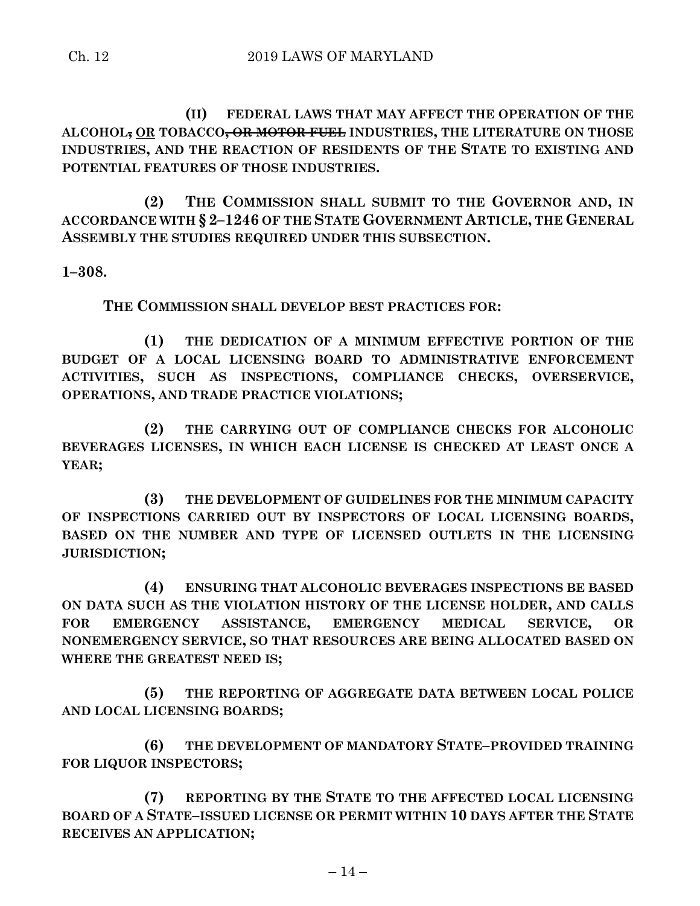**(II) FEDERAL LAWS THAT MAY AFFECT THE OPERATION OF THE ALCOHOL, OR TOBACCO, OR MOTOR FUEL INDUSTRIES, THE LITERATURE ON THOSE INDUSTRIES, AND THE REACTION OF RESIDENTS OF THE STATE TO EXISTING AND POTENTIAL FEATURES OF THOSE INDUSTRIES.**

**(2) THE COMMISSION SHALL SUBMIT TO THE GOVERNOR AND, IN ACCORDANCE WITH § 2–1246 OF THE STATE GOVERNMENT ARTICLE, THE GENERAL ASSEMBLY THE STUDIES REQUIRED UNDER THIS SUBSECTION.**

**1–308.**

**THE COMMISSION SHALL DEVELOP BEST PRACTICES FOR:**

**(1) THE DEDICATION OF A MINIMUM EFFECTIVE PORTION OF THE BUDGET OF A LOCAL LICENSING BOARD TO ADMINISTRATIVE ENFORCEMENT ACTIVITIES, SUCH AS INSPECTIONS, COMPLIANCE CHECKS, OVERSERVICE, OPERATIONS, AND TRADE PRACTICE VIOLATIONS;**

**(2) THE CARRYING OUT OF COMPLIANCE CHECKS FOR ALCOHOLIC BEVERAGES LICENSES, IN WHICH EACH LICENSE IS CHECKED AT LEAST ONCE A YEAR;**

**(3) THE DEVELOPMENT OF GUIDELINES FOR THE MINIMUM CAPACITY OF INSPECTIONS CARRIED OUT BY INSPECTORS OF LOCAL LICENSING BOARDS, BASED ON THE NUMBER AND TYPE OF LICENSED OUTLETS IN THE LICENSING JURISDICTION;**

**(4) ENSURING THAT ALCOHOLIC BEVERAGES INSPECTIONS BE BASED ON DATA SUCH AS THE VIOLATION HISTORY OF THE LICENSE HOLDER, AND CALLS FOR EMERGENCY ASSISTANCE, EMERGENCY MEDICAL SERVICE, OR NONEMERGENCY SERVICE, SO THAT RESOURCES ARE BEING ALLOCATED BASED ON WHERE THE GREATEST NEED IS;**

**(5) THE REPORTING OF AGGREGATE DATA BETWEEN LOCAL POLICE AND LOCAL LICENSING BOARDS;**

**(6) THE DEVELOPMENT OF MANDATORY STATE–PROVIDED TRAINING FOR LIQUOR INSPECTORS;**

**(7) REPORTING BY THE STATE TO THE AFFECTED LOCAL LICENSING BOARD OF A STATE–ISSUED LICENSE OR PERMIT WITHIN 10 DAYS AFTER THE STATE RECEIVES AN APPLICATION;**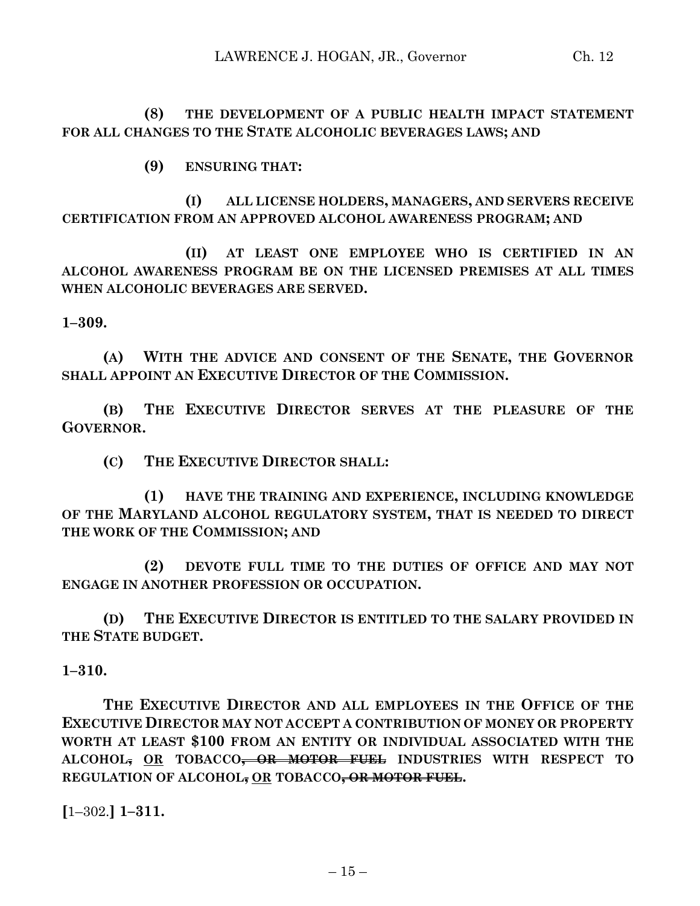## **(8) THE DEVELOPMENT OF A PUBLIC HEALTH IMPACT STATEMENT FOR ALL CHANGES TO THE STATE ALCOHOLIC BEVERAGES LAWS; AND**

**(9) ENSURING THAT:**

**(I) ALL LICENSE HOLDERS, MANAGERS, AND SERVERS RECEIVE CERTIFICATION FROM AN APPROVED ALCOHOL AWARENESS PROGRAM; AND**

**(II) AT LEAST ONE EMPLOYEE WHO IS CERTIFIED IN AN ALCOHOL AWARENESS PROGRAM BE ON THE LICENSED PREMISES AT ALL TIMES WHEN ALCOHOLIC BEVERAGES ARE SERVED.**

**1–309.**

**(A) WITH THE ADVICE AND CONSENT OF THE SENATE, THE GOVERNOR SHALL APPOINT AN EXECUTIVE DIRECTOR OF THE COMMISSION.**

**(B) THE EXECUTIVE DIRECTOR SERVES AT THE PLEASURE OF THE GOVERNOR.**

**(C) THE EXECUTIVE DIRECTOR SHALL:**

**(1) HAVE THE TRAINING AND EXPERIENCE, INCLUDING KNOWLEDGE OF THE MARYLAND ALCOHOL REGULATORY SYSTEM, THAT IS NEEDED TO DIRECT THE WORK OF THE COMMISSION; AND**

**(2) DEVOTE FULL TIME TO THE DUTIES OF OFFICE AND MAY NOT ENGAGE IN ANOTHER PROFESSION OR OCCUPATION.**

**(D) THE EXECUTIVE DIRECTOR IS ENTITLED TO THE SALARY PROVIDED IN THE STATE BUDGET.**

**1–310.**

**THE EXECUTIVE DIRECTOR AND ALL EMPLOYEES IN THE OFFICE OF THE EXECUTIVE DIRECTOR MAY NOT ACCEPT A CONTRIBUTION OF MONEY OR PROPERTY WORTH AT LEAST \$100 FROM AN ENTITY OR INDIVIDUAL ASSOCIATED WITH THE ALCOHOL, OR TOBACCO, OR MOTOR FUEL INDUSTRIES WITH RESPECT TO REGULATION OF ALCOHOL, OR TOBACCO, OR MOTOR FUEL.**

**[**1–302.**] 1–311.**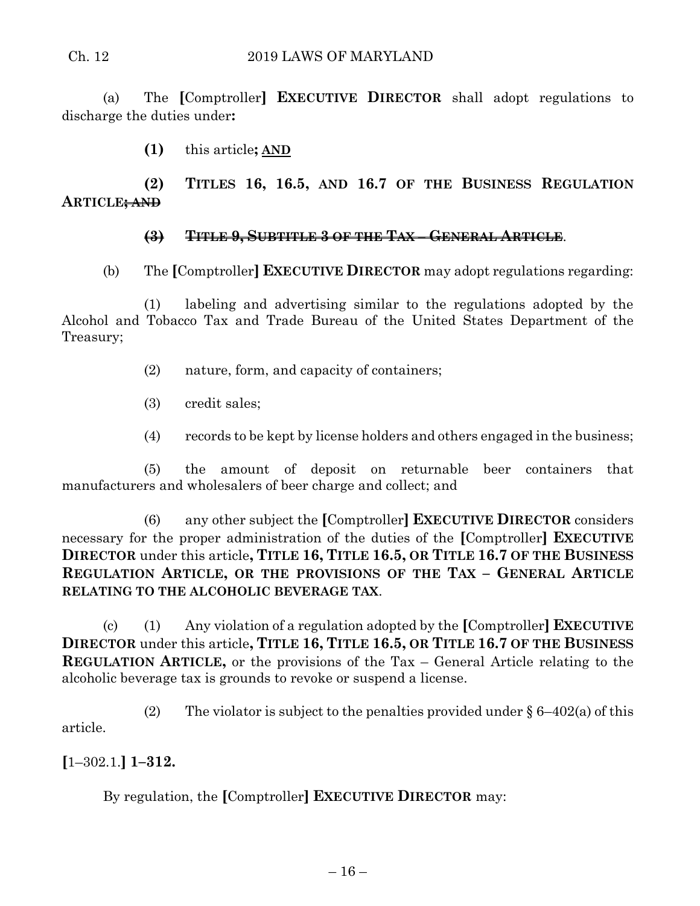#### Ch. 12 2019 LAWS OF MARYLAND

(a) The **[**Comptroller**] EXECUTIVE DIRECTOR** shall adopt regulations to discharge the duties under**:**

**(1)** this article**; AND**

**(2) TITLES 16, 16.5, AND 16.7 OF THE BUSINESS REGULATION ARTICLE; AND**

## **(3) TITLE 9, SUBTITLE 3 OF THE TAX – GENERAL ARTICLE**.

(b) The **[**Comptroller**] EXECUTIVE DIRECTOR** may adopt regulations regarding:

(1) labeling and advertising similar to the regulations adopted by the Alcohol and Tobacco Tax and Trade Bureau of the United States Department of the Treasury;

- (2) nature, form, and capacity of containers;
- (3) credit sales;
- (4) records to be kept by license holders and others engaged in the business;

(5) the amount of deposit on returnable beer containers that manufacturers and wholesalers of beer charge and collect; and

(6) any other subject the **[**Comptroller**] EXECUTIVE DIRECTOR** considers necessary for the proper administration of the duties of the **[**Comptroller**] EXECUTIVE DIRECTOR** under this article**, TITLE 16, TITLE 16.5, OR TITLE 16.7 OF THE BUSINESS REGULATION ARTICLE, OR THE PROVISIONS OF THE TAX – GENERAL ARTICLE RELATING TO THE ALCOHOLIC BEVERAGE TAX**.

(c) (1) Any violation of a regulation adopted by the **[**Comptroller**] EXECUTIVE DIRECTOR** under this article**, TITLE 16, TITLE 16.5, OR TITLE 16.7 OF THE BUSINESS REGULATION ARTICLE,** or the provisions of the Tax – General Article relating to the alcoholic beverage tax is grounds to revoke or suspend a license.

(2) The violator is subject to the penalties provided under  $\S 6-402(a)$  of this article.

**[**1–302.1.**] 1–312.**

By regulation, the **[**Comptroller**] EXECUTIVE DIRECTOR** may: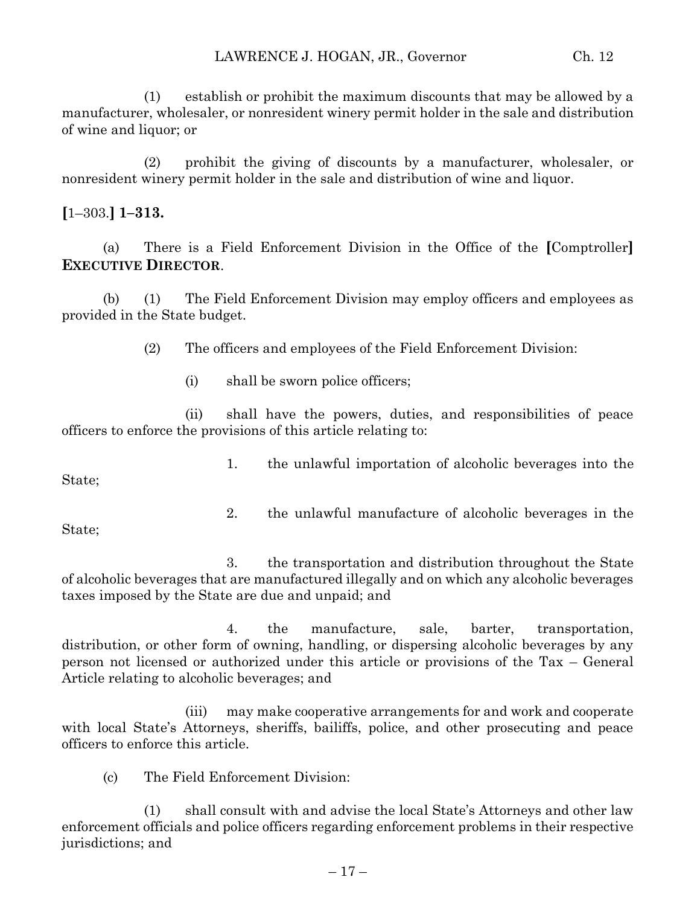(1) establish or prohibit the maximum discounts that may be allowed by a manufacturer, wholesaler, or nonresident winery permit holder in the sale and distribution of wine and liquor; or

(2) prohibit the giving of discounts by a manufacturer, wholesaler, or nonresident winery permit holder in the sale and distribution of wine and liquor.

## **[**1–303.**] 1–313.**

(a) There is a Field Enforcement Division in the Office of the **[**Comptroller**] EXECUTIVE DIRECTOR**.

(b) (1) The Field Enforcement Division may employ officers and employees as provided in the State budget.

(2) The officers and employees of the Field Enforcement Division:

(i) shall be sworn police officers;

(ii) shall have the powers, duties, and responsibilities of peace officers to enforce the provisions of this article relating to:

1. the unlawful importation of alcoholic beverages into the State;

2. the unlawful manufacture of alcoholic beverages in the

State;

3. the transportation and distribution throughout the State of alcoholic beverages that are manufactured illegally and on which any alcoholic beverages taxes imposed by the State are due and unpaid; and

4. the manufacture, sale, barter, transportation, distribution, or other form of owning, handling, or dispersing alcoholic beverages by any person not licensed or authorized under this article or provisions of the Tax – General Article relating to alcoholic beverages; and

(iii) may make cooperative arrangements for and work and cooperate with local State's Attorneys, sheriffs, bailiffs, police, and other prosecuting and peace officers to enforce this article.

(c) The Field Enforcement Division:

(1) shall consult with and advise the local State's Attorneys and other law enforcement officials and police officers regarding enforcement problems in their respective jurisdictions; and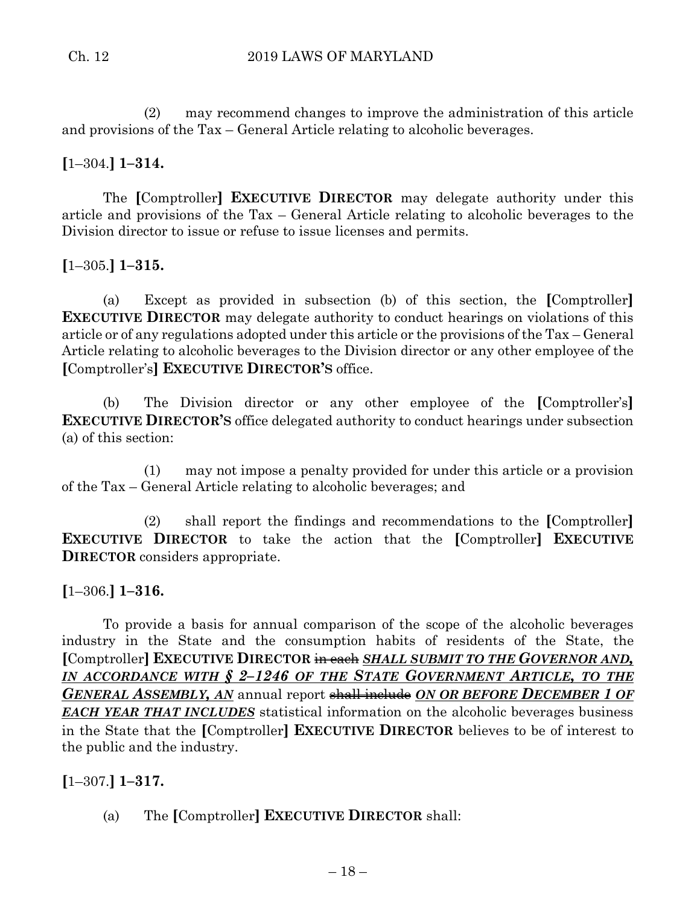(2) may recommend changes to improve the administration of this article and provisions of the Tax – General Article relating to alcoholic beverages.

# **[**1–304.**] 1–314.**

The **[**Comptroller**] EXECUTIVE DIRECTOR** may delegate authority under this article and provisions of the Tax – General Article relating to alcoholic beverages to the Division director to issue or refuse to issue licenses and permits.

# **[**1–305.**] 1–315.**

(a) Except as provided in subsection (b) of this section, the **[**Comptroller**] EXECUTIVE DIRECTOR** may delegate authority to conduct hearings on violations of this article or of any regulations adopted under this article or the provisions of the Tax – General Article relating to alcoholic beverages to the Division director or any other employee of the **[**Comptroller's**] EXECUTIVE DIRECTOR'S** office.

(b) The Division director or any other employee of the **[**Comptroller's**] EXECUTIVE DIRECTOR'S** office delegated authority to conduct hearings under subsection (a) of this section:

(1) may not impose a penalty provided for under this article or a provision of the Tax – General Article relating to alcoholic beverages; and

(2) shall report the findings and recommendations to the **[**Comptroller**] EXECUTIVE DIRECTOR** to take the action that the **[**Comptroller**] EXECUTIVE DIRECTOR** considers appropriate.

# **[**1–306.**] 1–316.**

To provide a basis for annual comparison of the scope of the alcoholic beverages industry in the State and the consumption habits of residents of the State, the **[**Comptroller**] EXECUTIVE DIRECTOR** in each *SHALL SUBMIT TO THE GOVERNOR AND, IN ACCORDANCE WITH § 2–1246 OF THE STATE GOVERNMENT ARTICLE, TO THE GENERAL ASSEMBLY, AN* annual report shall include *ON OR BEFORE DECEMBER 1 OF EACH YEAR THAT INCLUDES* statistical information on the alcoholic beverages business in the State that the **[**Comptroller**] EXECUTIVE DIRECTOR** believes to be of interest to the public and the industry.

# **[**1–307.**] 1–317.**

(a) The **[**Comptroller**] EXECUTIVE DIRECTOR** shall: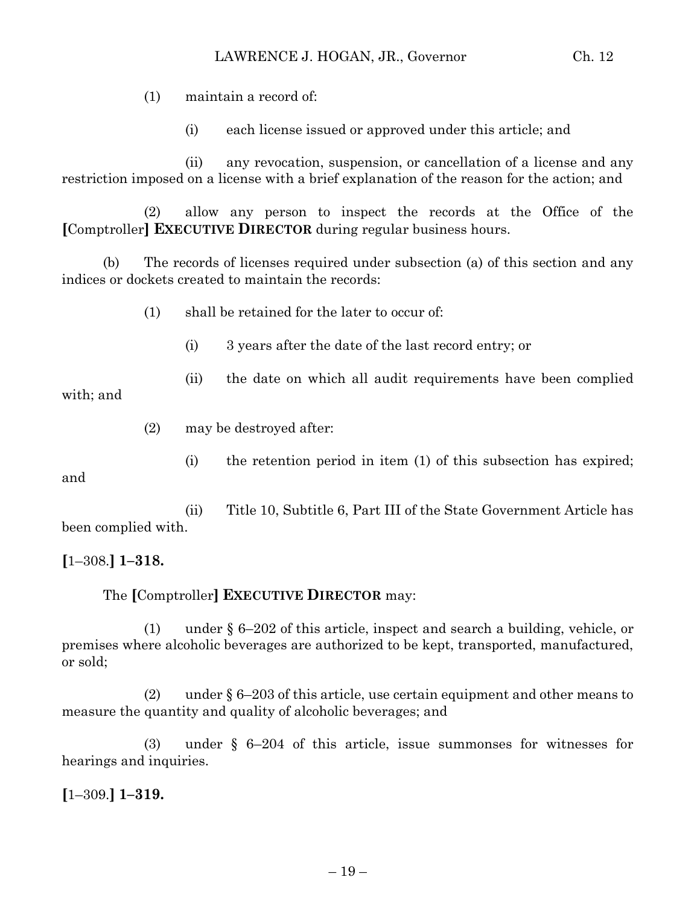(1) maintain a record of:

(i) each license issued or approved under this article; and

(ii) any revocation, suspension, or cancellation of a license and any restriction imposed on a license with a brief explanation of the reason for the action; and

(2) allow any person to inspect the records at the Office of the **[**Comptroller**] EXECUTIVE DIRECTOR** during regular business hours.

(b) The records of licenses required under subsection (a) of this section and any indices or dockets created to maintain the records:

- (1) shall be retained for the later to occur of:
	- (i) 3 years after the date of the last record entry; or
	- (ii) the date on which all audit requirements have been complied

with; and

- (2) may be destroyed after:
	- (i) the retention period in item (1) of this subsection has expired;

and

(ii) Title 10, Subtitle 6, Part III of the State Government Article has been complied with.

**[**1–308.**] 1–318.**

## The **[**Comptroller**] EXECUTIVE DIRECTOR** may:

(1) under § 6–202 of this article, inspect and search a building, vehicle, or premises where alcoholic beverages are authorized to be kept, transported, manufactured, or sold;

(2) under § 6–203 of this article, use certain equipment and other means to measure the quantity and quality of alcoholic beverages; and

(3) under § 6–204 of this article, issue summonses for witnesses for hearings and inquiries.

**[**1–309.**] 1–319.**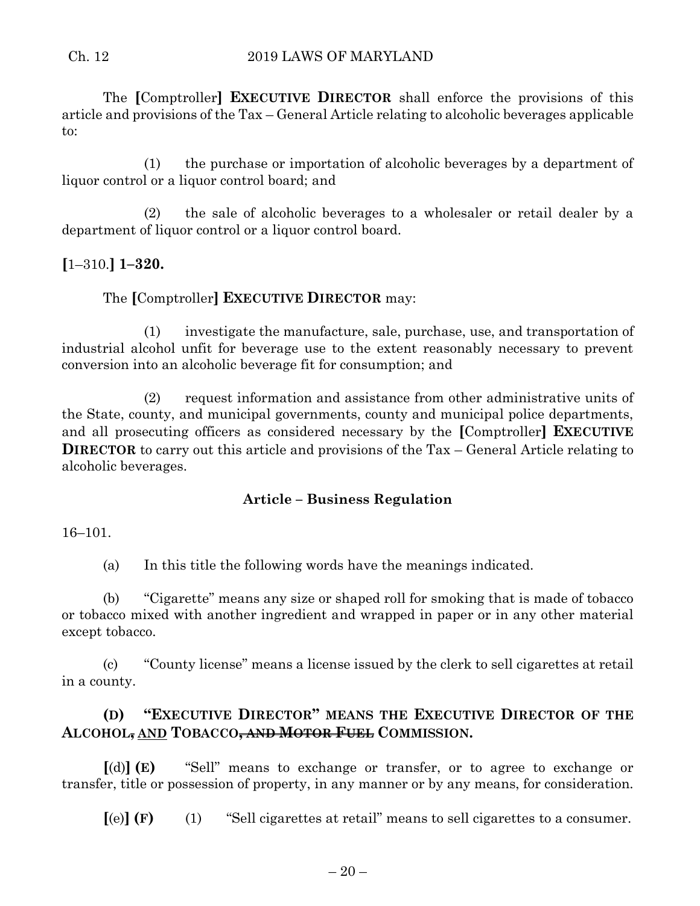The **[**Comptroller**] EXECUTIVE DIRECTOR** shall enforce the provisions of this article and provisions of the Tax – General Article relating to alcoholic beverages applicable to:

(1) the purchase or importation of alcoholic beverages by a department of liquor control or a liquor control board; and

(2) the sale of alcoholic beverages to a wholesaler or retail dealer by a department of liquor control or a liquor control board.

# **[**1–310.**] 1–320.**

# The **[**Comptroller**] EXECUTIVE DIRECTOR** may:

(1) investigate the manufacture, sale, purchase, use, and transportation of industrial alcohol unfit for beverage use to the extent reasonably necessary to prevent conversion into an alcoholic beverage fit for consumption; and

(2) request information and assistance from other administrative units of the State, county, and municipal governments, county and municipal police departments, and all prosecuting officers as considered necessary by the **[**Comptroller**] EXECUTIVE DIRECTOR** to carry out this article and provisions of the Tax – General Article relating to alcoholic beverages.

## **Article – Business Regulation**

#### 16–101.

(a) In this title the following words have the meanings indicated.

(b) "Cigarette" means any size or shaped roll for smoking that is made of tobacco or tobacco mixed with another ingredient and wrapped in paper or in any other material except tobacco.

(c) "County license" means a license issued by the clerk to sell cigarettes at retail in a county.

# **(D) "EXECUTIVE DIRECTOR" MEANS THE EXECUTIVE DIRECTOR OF THE ALCOHOL, AND TOBACCO, AND MOTOR FUEL COMMISSION.**

**[**(d)**] (E)** "Sell" means to exchange or transfer, or to agree to exchange or transfer, title or possession of property, in any manner or by any means, for consideration.

**[**(e)**] (F)** (1) "Sell cigarettes at retail" means to sell cigarettes to a consumer.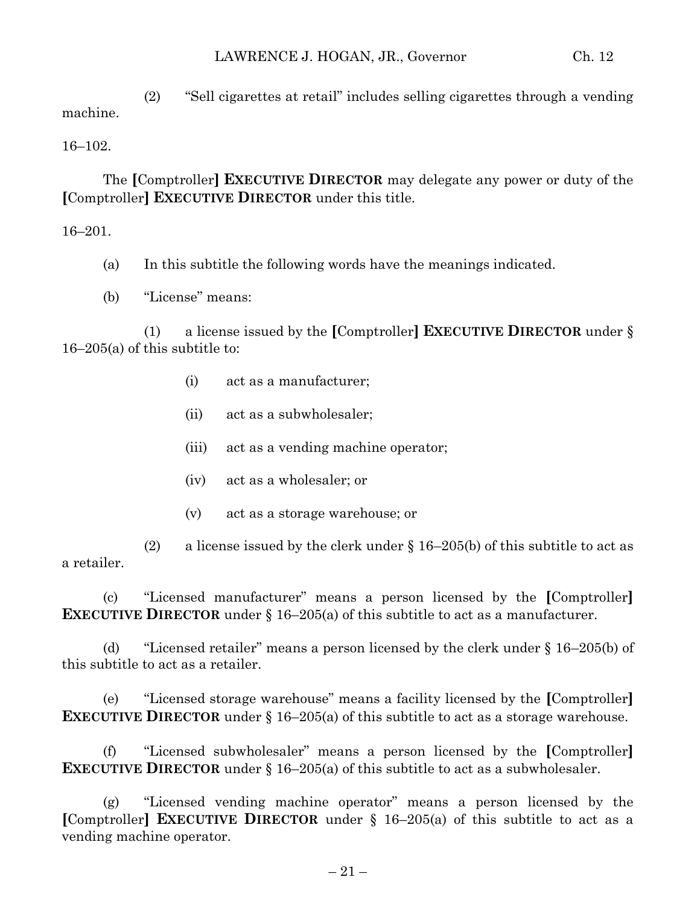(2) "Sell cigarettes at retail" includes selling cigarettes through a vending machine.

16–102.

The **[**Comptroller**] EXECUTIVE DIRECTOR** may delegate any power or duty of the **[**Comptroller**] EXECUTIVE DIRECTOR** under this title.

16–201.

- (a) In this subtitle the following words have the meanings indicated.
- (b) "License" means:

(1) a license issued by the **[**Comptroller**] EXECUTIVE DIRECTOR** under § 16–205(a) of this subtitle to:

- (i) act as a manufacturer;
- (ii) act as a subwholesaler;
- (iii) act as a vending machine operator;
- (iv) act as a wholesaler; or
- (v) act as a storage warehouse; or

(2) a license issued by the clerk under  $\S 16-205(b)$  of this subtitle to act as a retailer.

(c) "Licensed manufacturer" means a person licensed by the **[**Comptroller**] EXECUTIVE DIRECTOR** under § 16–205(a) of this subtitle to act as a manufacturer.

(d) "Licensed retailer" means a person licensed by the clerk under § 16–205(b) of this subtitle to act as a retailer.

(e) "Licensed storage warehouse" means a facility licensed by the **[**Comptroller**] EXECUTIVE DIRECTOR** under § 16–205(a) of this subtitle to act as a storage warehouse.

(f) "Licensed subwholesaler" means a person licensed by the **[**Comptroller**] EXECUTIVE DIRECTOR** under § 16–205(a) of this subtitle to act as a subwholesaler.

(g) "Licensed vending machine operator" means a person licensed by the **[**Comptroller**] EXECUTIVE DIRECTOR** under § 16–205(a) of this subtitle to act as a vending machine operator.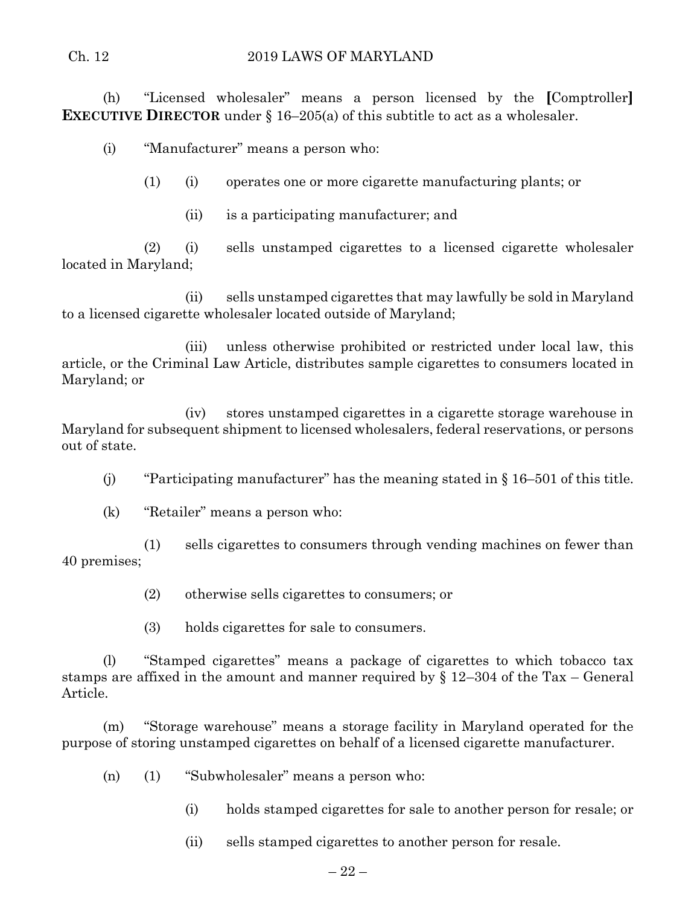#### Ch. 12 2019 LAWS OF MARYLAND

(h) "Licensed wholesaler" means a person licensed by the **[**Comptroller**] EXECUTIVE DIRECTOR** under § 16–205(a) of this subtitle to act as a wholesaler.

(i) "Manufacturer" means a person who:

(1) (i) operates one or more cigarette manufacturing plants; or

(ii) is a participating manufacturer; and

(2) (i) sells unstamped cigarettes to a licensed cigarette wholesaler located in Maryland;

(ii) sells unstamped cigarettes that may lawfully be sold in Maryland to a licensed cigarette wholesaler located outside of Maryland;

(iii) unless otherwise prohibited or restricted under local law, this article, or the Criminal Law Article, distributes sample cigarettes to consumers located in Maryland; or

(iv) stores unstamped cigarettes in a cigarette storage warehouse in Maryland for subsequent shipment to licensed wholesalers, federal reservations, or persons out of state.

- (i) "Participating manufacturer" has the meaning stated in  $\S 16-501$  of this title.
- (k) "Retailer" means a person who:

(1) sells cigarettes to consumers through vending machines on fewer than 40 premises;

- (2) otherwise sells cigarettes to consumers; or
- (3) holds cigarettes for sale to consumers.

(l) "Stamped cigarettes" means a package of cigarettes to which tobacco tax stamps are affixed in the amount and manner required by § 12–304 of the Tax – General Article.

(m) "Storage warehouse" means a storage facility in Maryland operated for the purpose of storing unstamped cigarettes on behalf of a licensed cigarette manufacturer.

- (n) (1) "Subwholesaler" means a person who:
	- (i) holds stamped cigarettes for sale to another person for resale; or
	- (ii) sells stamped cigarettes to another person for resale.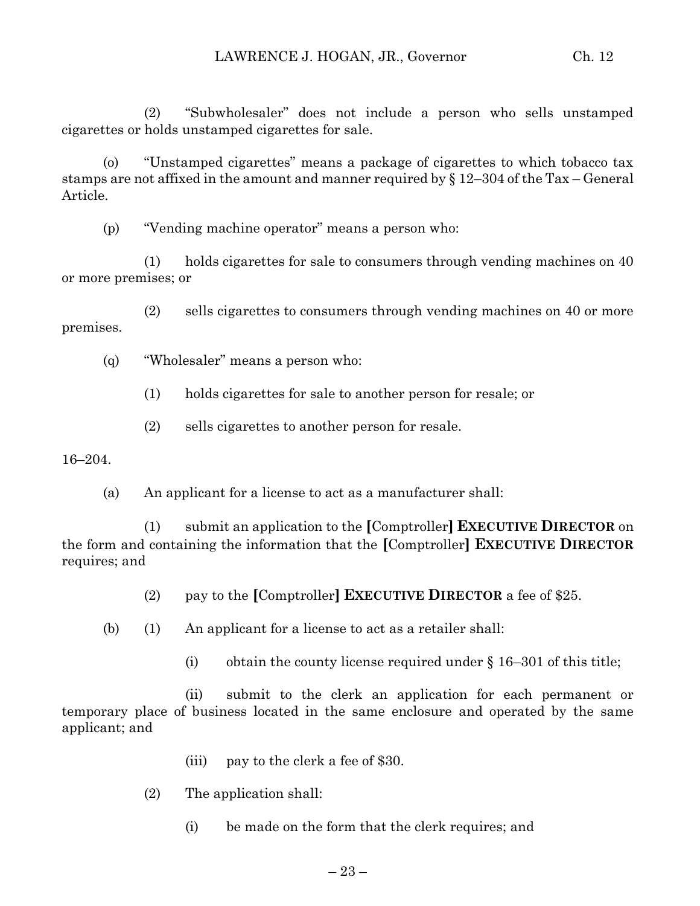(2) "Subwholesaler" does not include a person who sells unstamped cigarettes or holds unstamped cigarettes for sale.

(o) "Unstamped cigarettes" means a package of cigarettes to which tobacco tax stamps are not affixed in the amount and manner required by § 12–304 of the Tax – General Article.

(p) "Vending machine operator" means a person who:

(1) holds cigarettes for sale to consumers through vending machines on 40 or more premises; or

(2) sells cigarettes to consumers through vending machines on 40 or more premises.

(q) "Wholesaler" means a person who:

(1) holds cigarettes for sale to another person for resale; or

(2) sells cigarettes to another person for resale.

16–204.

(a) An applicant for a license to act as a manufacturer shall:

(1) submit an application to the **[**Comptroller**] EXECUTIVE DIRECTOR** on the form and containing the information that the **[**Comptroller**] EXECUTIVE DIRECTOR** requires; and

(2) pay to the **[**Comptroller**] EXECUTIVE DIRECTOR** a fee of \$25.

(b) (1) An applicant for a license to act as a retailer shall:

(i) obtain the county license required under  $\S$  16–301 of this title;

(ii) submit to the clerk an application for each permanent or temporary place of business located in the same enclosure and operated by the same applicant; and

(iii) pay to the clerk a fee of \$30.

(2) The application shall:

(i) be made on the form that the clerk requires; and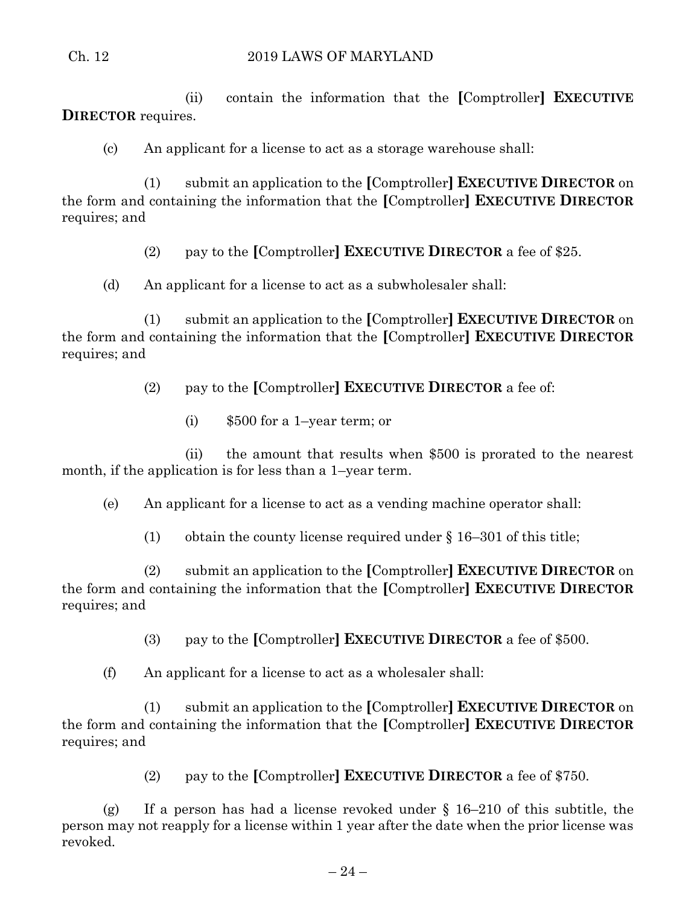(ii) contain the information that the **[**Comptroller**] EXECUTIVE DIRECTOR** requires.

(c) An applicant for a license to act as a storage warehouse shall:

(1) submit an application to the **[**Comptroller**] EXECUTIVE DIRECTOR** on the form and containing the information that the **[**Comptroller**] EXECUTIVE DIRECTOR** requires; and

(2) pay to the **[**Comptroller**] EXECUTIVE DIRECTOR** a fee of \$25.

(d) An applicant for a license to act as a subwholesaler shall:

(1) submit an application to the **[**Comptroller**] EXECUTIVE DIRECTOR** on the form and containing the information that the **[**Comptroller**] EXECUTIVE DIRECTOR** requires; and

(2) pay to the **[**Comptroller**] EXECUTIVE DIRECTOR** a fee of:

(i) \$500 for a 1–year term; or

(ii) the amount that results when \$500 is prorated to the nearest month, if the application is for less than a 1–year term.

(e) An applicant for a license to act as a vending machine operator shall:

(1) obtain the county license required under  $\S$  16–301 of this title;

(2) submit an application to the **[**Comptroller**] EXECUTIVE DIRECTOR** on the form and containing the information that the **[**Comptroller**] EXECUTIVE DIRECTOR** requires; and

(3) pay to the **[**Comptroller**] EXECUTIVE DIRECTOR** a fee of \$500.

(f) An applicant for a license to act as a wholesaler shall:

(1) submit an application to the **[**Comptroller**] EXECUTIVE DIRECTOR** on the form and containing the information that the **[**Comptroller**] EXECUTIVE DIRECTOR** requires; and

(2) pay to the **[**Comptroller**] EXECUTIVE DIRECTOR** a fee of \$750.

(g) If a person has had a license revoked under  $\S$  16–210 of this subtitle, the person may not reapply for a license within 1 year after the date when the prior license was revoked.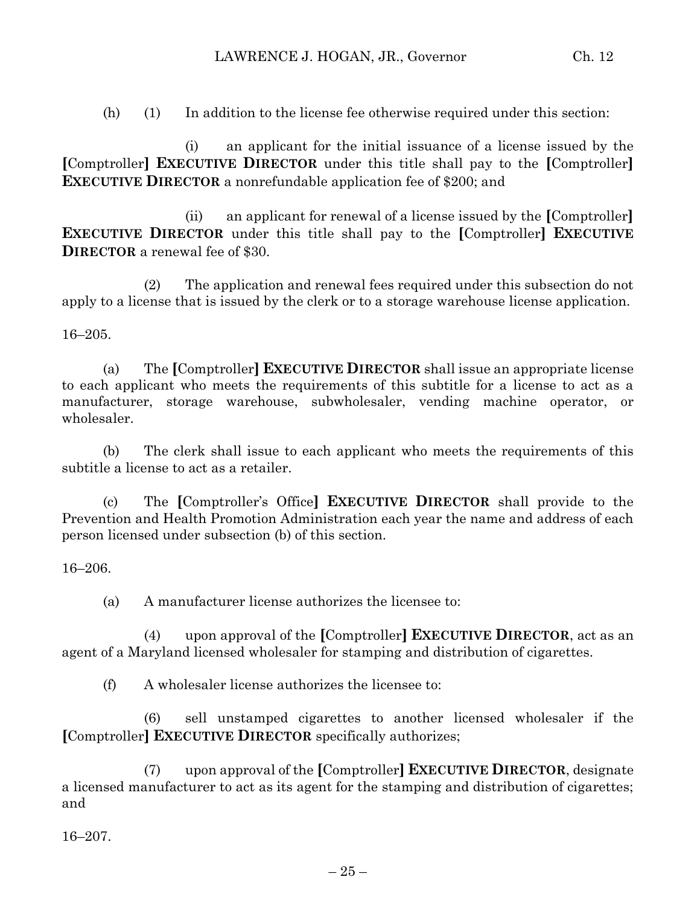(h) (1) In addition to the license fee otherwise required under this section:

(i) an applicant for the initial issuance of a license issued by the **[**Comptroller**] EXECUTIVE DIRECTOR** under this title shall pay to the **[**Comptroller**] EXECUTIVE DIRECTOR** a nonrefundable application fee of \$200; and

(ii) an applicant for renewal of a license issued by the **[**Comptroller**] EXECUTIVE DIRECTOR** under this title shall pay to the **[**Comptroller**] EXECUTIVE DIRECTOR** a renewal fee of \$30.

(2) The application and renewal fees required under this subsection do not apply to a license that is issued by the clerk or to a storage warehouse license application.

16–205.

(a) The **[**Comptroller**] EXECUTIVE DIRECTOR** shall issue an appropriate license to each applicant who meets the requirements of this subtitle for a license to act as a manufacturer, storage warehouse, subwholesaler, vending machine operator, or wholesaler.

(b) The clerk shall issue to each applicant who meets the requirements of this subtitle a license to act as a retailer.

(c) The **[**Comptroller's Office**] EXECUTIVE DIRECTOR** shall provide to the Prevention and Health Promotion Administration each year the name and address of each person licensed under subsection (b) of this section.

#### 16–206.

(a) A manufacturer license authorizes the licensee to:

(4) upon approval of the **[**Comptroller**] EXECUTIVE DIRECTOR**, act as an agent of a Maryland licensed wholesaler for stamping and distribution of cigarettes.

(f) A wholesaler license authorizes the licensee to:

(6) sell unstamped cigarettes to another licensed wholesaler if the **[**Comptroller**] EXECUTIVE DIRECTOR** specifically authorizes;

(7) upon approval of the **[**Comptroller**] EXECUTIVE DIRECTOR**, designate a licensed manufacturer to act as its agent for the stamping and distribution of cigarettes; and

16–207.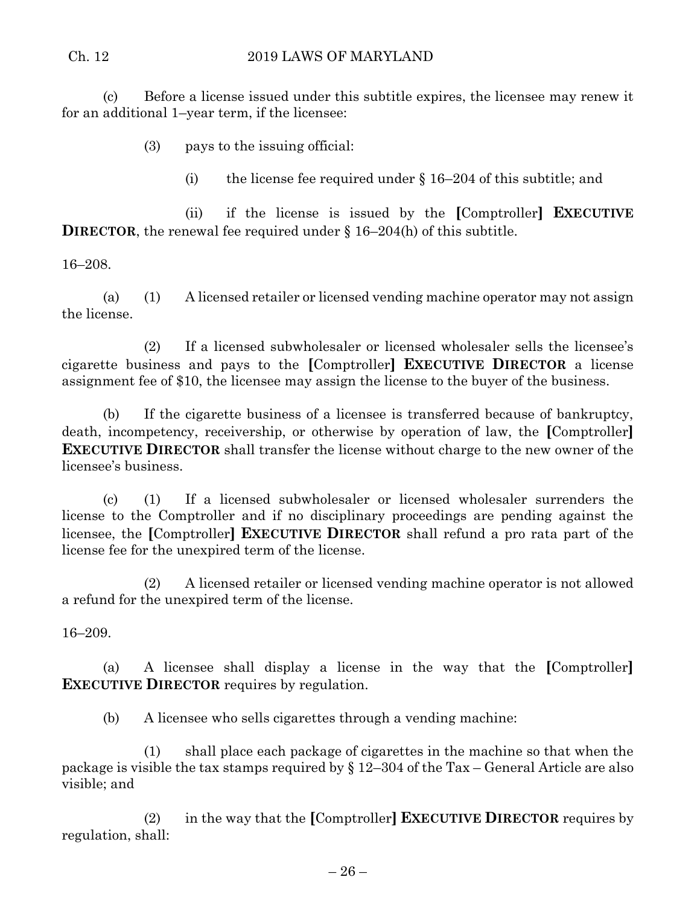### Ch. 12 2019 LAWS OF MARYLAND

(c) Before a license issued under this subtitle expires, the licensee may renew it for an additional 1–year term, if the licensee:

(3) pays to the issuing official:

(i) the license fee required under  $\S 16-204$  of this subtitle; and

(ii) if the license is issued by the **[**Comptroller**] EXECUTIVE DIRECTOR**, the renewal fee required under § 16–204(h) of this subtitle.

16–208.

(a) (1) A licensed retailer or licensed vending machine operator may not assign the license.

(2) If a licensed subwholesaler or licensed wholesaler sells the licensee's cigarette business and pays to the **[**Comptroller**] EXECUTIVE DIRECTOR** a license assignment fee of \$10, the licensee may assign the license to the buyer of the business.

(b) If the cigarette business of a licensee is transferred because of bankruptcy, death, incompetency, receivership, or otherwise by operation of law, the **[**Comptroller**] EXECUTIVE DIRECTOR** shall transfer the license without charge to the new owner of the licensee's business.

(c) (1) If a licensed subwholesaler or licensed wholesaler surrenders the license to the Comptroller and if no disciplinary proceedings are pending against the licensee, the **[**Comptroller**] EXECUTIVE DIRECTOR** shall refund a pro rata part of the license fee for the unexpired term of the license.

(2) A licensed retailer or licensed vending machine operator is not allowed a refund for the unexpired term of the license.

16–209.

(a) A licensee shall display a license in the way that the **[**Comptroller**] EXECUTIVE DIRECTOR** requires by regulation.

(b) A licensee who sells cigarettes through a vending machine:

(1) shall place each package of cigarettes in the machine so that when the package is visible the tax stamps required by § 12–304 of the Tax – General Article are also visible; and

(2) in the way that the **[**Comptroller**] EXECUTIVE DIRECTOR** requires by regulation, shall: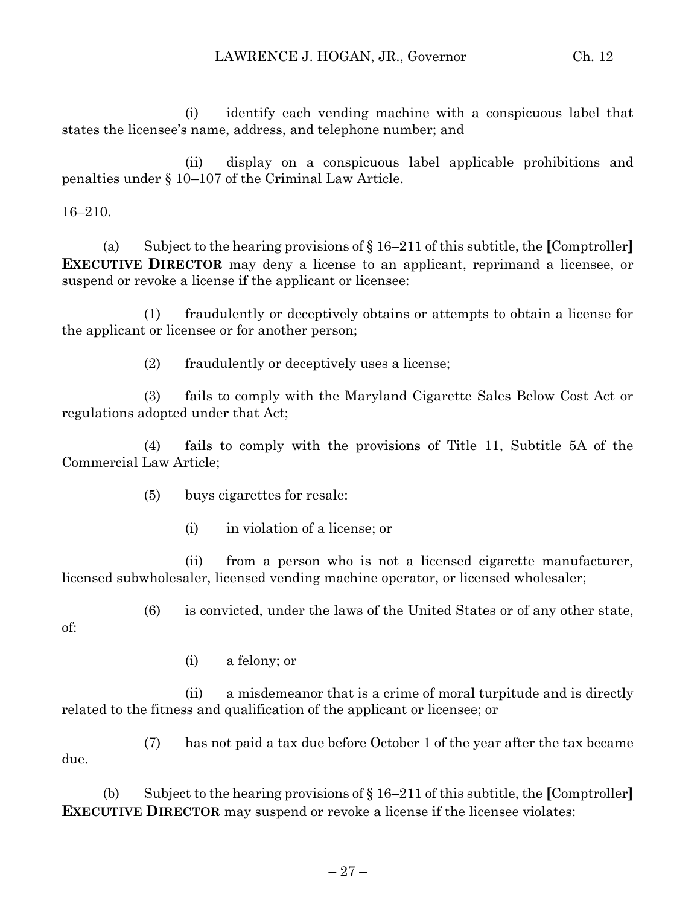(i) identify each vending machine with a conspicuous label that states the licensee's name, address, and telephone number; and

(ii) display on a conspicuous label applicable prohibitions and penalties under § 10–107 of the Criminal Law Article.

16–210.

(a) Subject to the hearing provisions of § 16–211 of this subtitle, the **[**Comptroller**] EXECUTIVE DIRECTOR** may deny a license to an applicant, reprimand a licensee, or suspend or revoke a license if the applicant or licensee:

(1) fraudulently or deceptively obtains or attempts to obtain a license for the applicant or licensee or for another person;

(2) fraudulently or deceptively uses a license;

(3) fails to comply with the Maryland Cigarette Sales Below Cost Act or regulations adopted under that Act;

(4) fails to comply with the provisions of Title 11, Subtitle 5A of the Commercial Law Article;

(5) buys cigarettes for resale:

(i) in violation of a license; or

(ii) from a person who is not a licensed cigarette manufacturer, licensed subwholesaler, licensed vending machine operator, or licensed wholesaler;

(6) is convicted, under the laws of the United States or of any other state,

of:

(i) a felony; or

(ii) a misdemeanor that is a crime of moral turpitude and is directly related to the fitness and qualification of the applicant or licensee; or

(7) has not paid a tax due before October 1 of the year after the tax became due.

(b) Subject to the hearing provisions of § 16–211 of this subtitle, the **[**Comptroller**] EXECUTIVE DIRECTOR** may suspend or revoke a license if the licensee violates: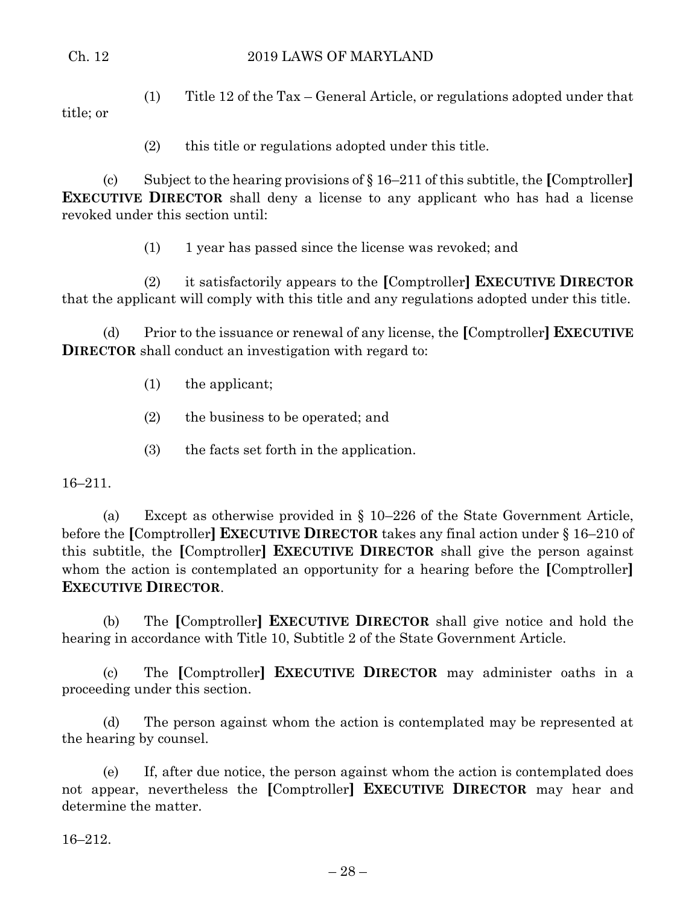title; or

(1) Title 12 of the Tax – General Article, or regulations adopted under that

(2) this title or regulations adopted under this title.

(c) Subject to the hearing provisions of § 16–211 of this subtitle, the **[**Comptroller**] EXECUTIVE DIRECTOR** shall deny a license to any applicant who has had a license revoked under this section until:

(1) 1 year has passed since the license was revoked; and

(2) it satisfactorily appears to the **[**Comptroller**] EXECUTIVE DIRECTOR** that the applicant will comply with this title and any regulations adopted under this title.

(d) Prior to the issuance or renewal of any license, the **[**Comptroller**] EXECUTIVE DIRECTOR** shall conduct an investigation with regard to:

(1) the applicant;

- (2) the business to be operated; and
- (3) the facts set forth in the application.

16–211.

(a) Except as otherwise provided in § 10–226 of the State Government Article, before the **[**Comptroller**] EXECUTIVE DIRECTOR** takes any final action under § 16–210 of this subtitle, the **[**Comptroller**] EXECUTIVE DIRECTOR** shall give the person against whom the action is contemplated an opportunity for a hearing before the **[**Comptroller**] EXECUTIVE DIRECTOR**.

(b) The **[**Comptroller**] EXECUTIVE DIRECTOR** shall give notice and hold the hearing in accordance with Title 10, Subtitle 2 of the State Government Article.

(c) The **[**Comptroller**] EXECUTIVE DIRECTOR** may administer oaths in a proceeding under this section.

(d) The person against whom the action is contemplated may be represented at the hearing by counsel.

(e) If, after due notice, the person against whom the action is contemplated does not appear, nevertheless the **[**Comptroller**] EXECUTIVE DIRECTOR** may hear and determine the matter.

16–212.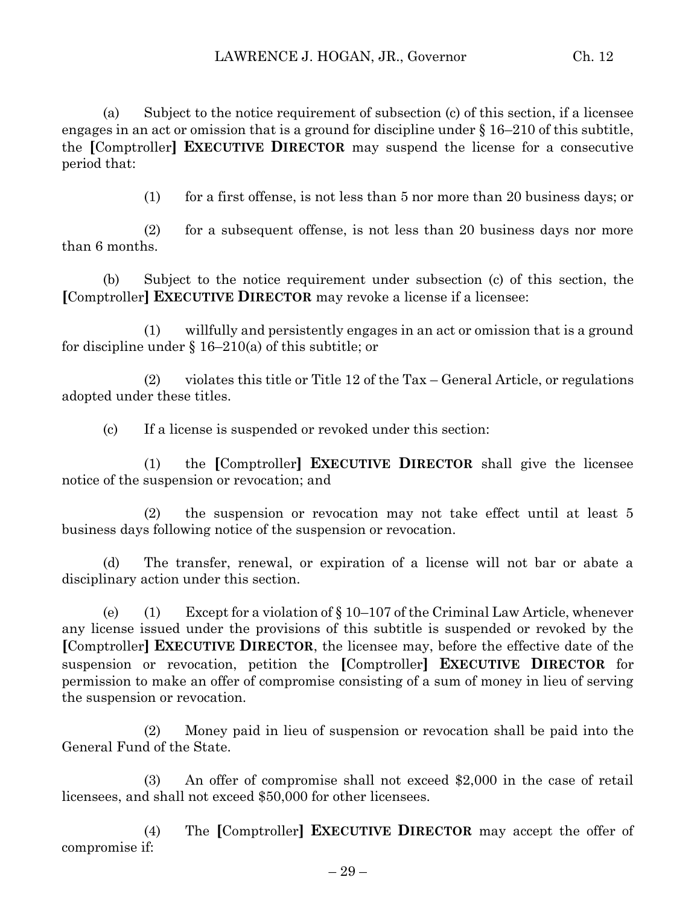(a) Subject to the notice requirement of subsection (c) of this section, if a licensee engages in an act or omission that is a ground for discipline under § 16–210 of this subtitle, the **[**Comptroller**] EXECUTIVE DIRECTOR** may suspend the license for a consecutive period that:

(1) for a first offense, is not less than 5 nor more than 20 business days; or

(2) for a subsequent offense, is not less than 20 business days nor more than 6 months.

(b) Subject to the notice requirement under subsection (c) of this section, the **[**Comptroller**] EXECUTIVE DIRECTOR** may revoke a license if a licensee:

(1) willfully and persistently engages in an act or omission that is a ground for discipline under  $\S 16-210(a)$  of this subtitle; or

(2) violates this title or Title 12 of the Tax – General Article, or regulations adopted under these titles.

(c) If a license is suspended or revoked under this section:

(1) the **[**Comptroller**] EXECUTIVE DIRECTOR** shall give the licensee notice of the suspension or revocation; and

(2) the suspension or revocation may not take effect until at least 5 business days following notice of the suspension or revocation.

(d) The transfer, renewal, or expiration of a license will not bar or abate a disciplinary action under this section.

(e) (1) Except for a violation of  $\S 10-107$  of the Criminal Law Article, whenever any license issued under the provisions of this subtitle is suspended or revoked by the **[**Comptroller**] EXECUTIVE DIRECTOR**, the licensee may, before the effective date of the suspension or revocation, petition the **[**Comptroller**] EXECUTIVE DIRECTOR** for permission to make an offer of compromise consisting of a sum of money in lieu of serving the suspension or revocation.

(2) Money paid in lieu of suspension or revocation shall be paid into the General Fund of the State.

(3) An offer of compromise shall not exceed \$2,000 in the case of retail licensees, and shall not exceed \$50,000 for other licensees.

(4) The **[**Comptroller**] EXECUTIVE DIRECTOR** may accept the offer of compromise if: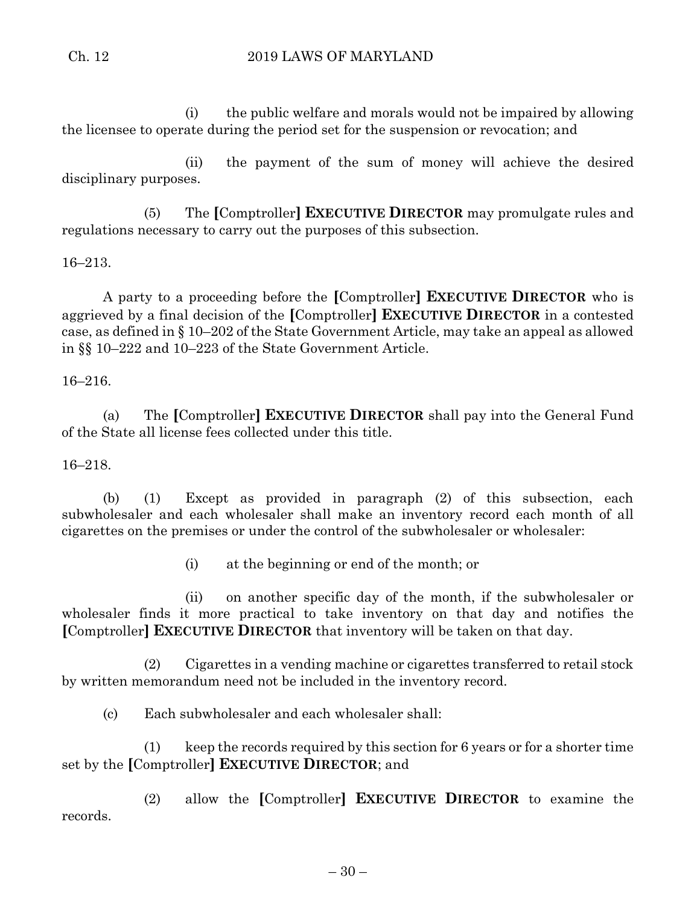(i) the public welfare and morals would not be impaired by allowing the licensee to operate during the period set for the suspension or revocation; and

(ii) the payment of the sum of money will achieve the desired disciplinary purposes.

(5) The **[**Comptroller**] EXECUTIVE DIRECTOR** may promulgate rules and regulations necessary to carry out the purposes of this subsection.

## 16–213.

A party to a proceeding before the **[**Comptroller**] EXECUTIVE DIRECTOR** who is aggrieved by a final decision of the **[**Comptroller**] EXECUTIVE DIRECTOR** in a contested case, as defined in § 10–202 of the State Government Article, may take an appeal as allowed in §§ 10–222 and 10–223 of the State Government Article.

16–216.

(a) The **[**Comptroller**] EXECUTIVE DIRECTOR** shall pay into the General Fund of the State all license fees collected under this title.

#### 16–218.

(b) (1) Except as provided in paragraph (2) of this subsection, each subwholesaler and each wholesaler shall make an inventory record each month of all cigarettes on the premises or under the control of the subwholesaler or wholesaler:

(i) at the beginning or end of the month; or

(ii) on another specific day of the month, if the subwholesaler or wholesaler finds it more practical to take inventory on that day and notifies the **[**Comptroller**] EXECUTIVE DIRECTOR** that inventory will be taken on that day.

(2) Cigarettes in a vending machine or cigarettes transferred to retail stock by written memorandum need not be included in the inventory record.

(c) Each subwholesaler and each wholesaler shall:

(1) keep the records required by this section for 6 years or for a shorter time set by the **[**Comptroller**] EXECUTIVE DIRECTOR**; and

(2) allow the **[**Comptroller**] EXECUTIVE DIRECTOR** to examine the records.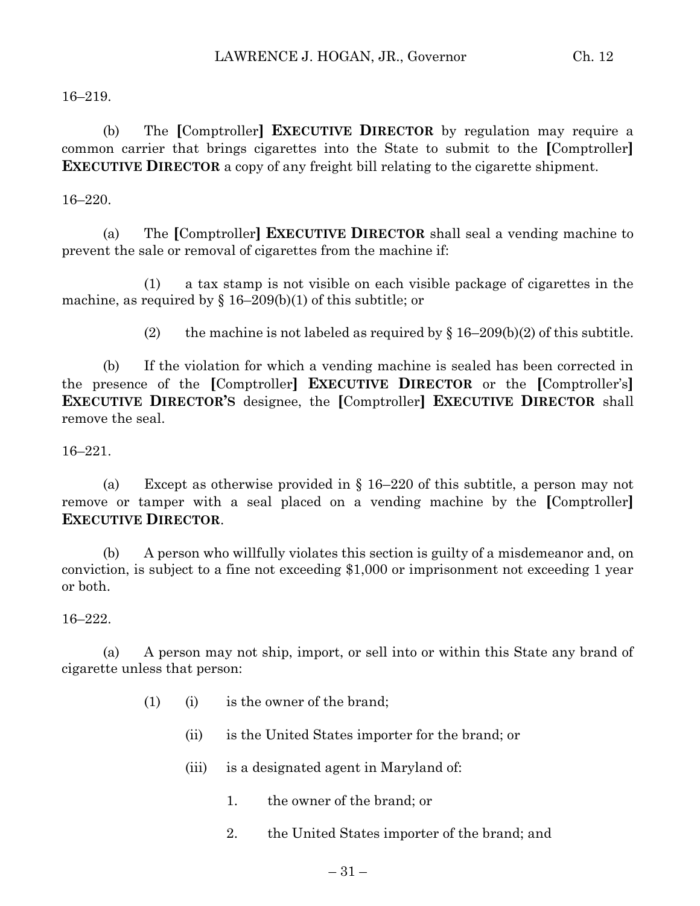16–219.

(b) The **[**Comptroller**] EXECUTIVE DIRECTOR** by regulation may require a common carrier that brings cigarettes into the State to submit to the **[**Comptroller**] EXECUTIVE DIRECTOR** a copy of any freight bill relating to the cigarette shipment.

#### 16–220.

(a) The **[**Comptroller**] EXECUTIVE DIRECTOR** shall seal a vending machine to prevent the sale or removal of cigarettes from the machine if:

(1) a tax stamp is not visible on each visible package of cigarettes in the machine, as required by  $\S 16-209(b)(1)$  of this subtitle; or

(2) the machine is not labeled as required by  $\S 16-209(b)(2)$  of this subtitle.

(b) If the violation for which a vending machine is sealed has been corrected in the presence of the **[**Comptroller**] EXECUTIVE DIRECTOR** or the **[**Comptroller's**] EXECUTIVE DIRECTOR'S** designee, the **[**Comptroller**] EXECUTIVE DIRECTOR** shall remove the seal.

16–221.

(a) Except as otherwise provided in § 16–220 of this subtitle, a person may not remove or tamper with a seal placed on a vending machine by the **[**Comptroller**] EXECUTIVE DIRECTOR**.

(b) A person who willfully violates this section is guilty of a misdemeanor and, on conviction, is subject to a fine not exceeding \$1,000 or imprisonment not exceeding 1 year or both.

16–222.

(a) A person may not ship, import, or sell into or within this State any brand of cigarette unless that person:

- (1) (i) is the owner of the brand;
	- (ii) is the United States importer for the brand; or
	- (iii) is a designated agent in Maryland of:
		- 1. the owner of the brand; or
		- 2. the United States importer of the brand; and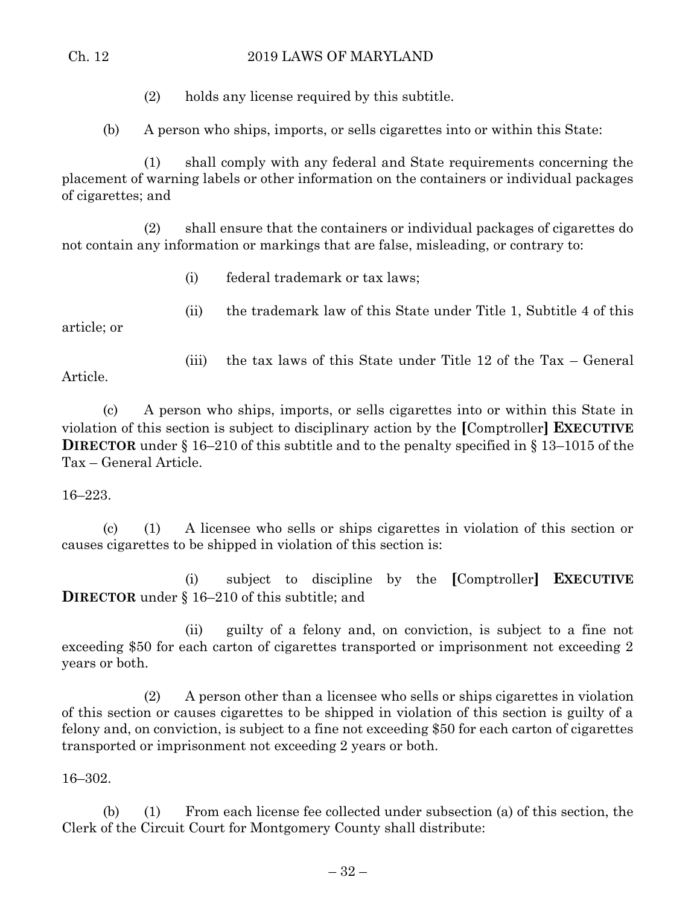## Ch. 12 2019 LAWS OF MARYLAND

(2) holds any license required by this subtitle.

(b) A person who ships, imports, or sells cigarettes into or within this State:

(1) shall comply with any federal and State requirements concerning the placement of warning labels or other information on the containers or individual packages of cigarettes; and

(2) shall ensure that the containers or individual packages of cigarettes do not contain any information or markings that are false, misleading, or contrary to:

- (i) federal trademark or tax laws;
- (ii) the trademark law of this State under Title 1, Subtitle 4 of this

article; or

(iii) the tax laws of this State under Title 12 of the Tax – General

Article.

(c) A person who ships, imports, or sells cigarettes into or within this State in violation of this section is subject to disciplinary action by the **[**Comptroller**] EXECUTIVE DIRECTOR** under § 16–210 of this subtitle and to the penalty specified in § 13–1015 of the Tax – General Article.

16–223.

(c) (1) A licensee who sells or ships cigarettes in violation of this section or causes cigarettes to be shipped in violation of this section is:

(i) subject to discipline by the **[**Comptroller**] EXECUTIVE DIRECTOR** under § 16–210 of this subtitle; and

(ii) guilty of a felony and, on conviction, is subject to a fine not exceeding \$50 for each carton of cigarettes transported or imprisonment not exceeding 2 years or both.

(2) A person other than a licensee who sells or ships cigarettes in violation of this section or causes cigarettes to be shipped in violation of this section is guilty of a felony and, on conviction, is subject to a fine not exceeding \$50 for each carton of cigarettes transported or imprisonment not exceeding 2 years or both.

16–302.

(b) (1) From each license fee collected under subsection (a) of this section, the Clerk of the Circuit Court for Montgomery County shall distribute: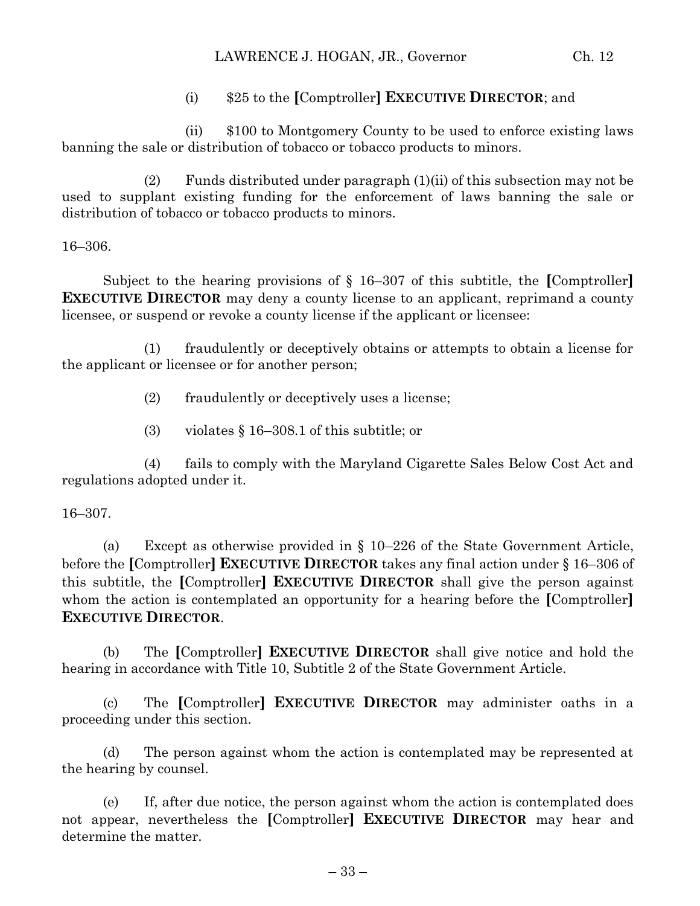### LAWRENCE J. HOGAN, JR., Governor Ch. 12

## (i) \$25 to the **[**Comptroller**] EXECUTIVE DIRECTOR**; and

(ii) \$100 to Montgomery County to be used to enforce existing laws banning the sale or distribution of tobacco or tobacco products to minors.

(2) Funds distributed under paragraph  $(1)(ii)$  of this subsection may not be used to supplant existing funding for the enforcement of laws banning the sale or distribution of tobacco or tobacco products to minors.

16–306.

Subject to the hearing provisions of § 16–307 of this subtitle, the **[**Comptroller**] EXECUTIVE DIRECTOR** may deny a county license to an applicant, reprimand a county licensee, or suspend or revoke a county license if the applicant or licensee:

(1) fraudulently or deceptively obtains or attempts to obtain a license for the applicant or licensee or for another person;

(2) fraudulently or deceptively uses a license;

(3) violates § 16–308.1 of this subtitle; or

(4) fails to comply with the Maryland Cigarette Sales Below Cost Act and regulations adopted under it.

#### 16–307.

(a) Except as otherwise provided in § 10–226 of the State Government Article, before the **[**Comptroller**] EXECUTIVE DIRECTOR** takes any final action under § 16–306 of this subtitle, the **[**Comptroller**] EXECUTIVE DIRECTOR** shall give the person against whom the action is contemplated an opportunity for a hearing before the **[**Comptroller**] EXECUTIVE DIRECTOR**.

(b) The **[**Comptroller**] EXECUTIVE DIRECTOR** shall give notice and hold the hearing in accordance with Title 10, Subtitle 2 of the State Government Article.

(c) The **[**Comptroller**] EXECUTIVE DIRECTOR** may administer oaths in a proceeding under this section.

(d) The person against whom the action is contemplated may be represented at the hearing by counsel.

(e) If, after due notice, the person against whom the action is contemplated does not appear, nevertheless the **[**Comptroller**] EXECUTIVE DIRECTOR** may hear and determine the matter.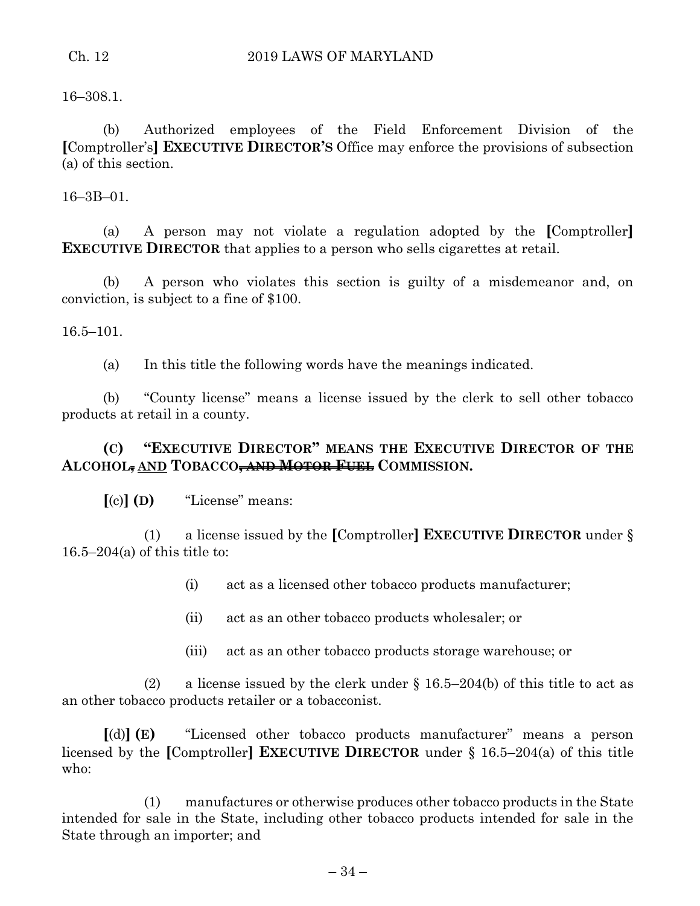16–308.1.

(b) Authorized employees of the Field Enforcement Division of the **[**Comptroller's**] EXECUTIVE DIRECTOR'S** Office may enforce the provisions of subsection (a) of this section.

16–3B–01.

(a) A person may not violate a regulation adopted by the **[**Comptroller**] EXECUTIVE DIRECTOR** that applies to a person who sells cigarettes at retail.

(b) A person who violates this section is guilty of a misdemeanor and, on conviction, is subject to a fine of \$100.

16.5–101.

(a) In this title the following words have the meanings indicated.

(b) "County license" means a license issued by the clerk to sell other tobacco products at retail in a county.

# **(C) "EXECUTIVE DIRECTOR" MEANS THE EXECUTIVE DIRECTOR OF THE ALCOHOL, AND TOBACCO, AND MOTOR FUEL COMMISSION.**

**[**(c)**] (D)** "License" means:

(1) a license issued by the **[**Comptroller**] EXECUTIVE DIRECTOR** under § 16.5–204(a) of this title to:

(i) act as a licensed other tobacco products manufacturer;

- (ii) act as an other tobacco products wholesaler; or
- (iii) act as an other tobacco products storage warehouse; or

(2) a license issued by the clerk under  $\S 16.5-204(b)$  of this title to act as an other tobacco products retailer or a tobacconist.

**[**(d)**] (E)** "Licensed other tobacco products manufacturer" means a person licensed by the **[**Comptroller**] EXECUTIVE DIRECTOR** under § 16.5–204(a) of this title who:

(1) manufactures or otherwise produces other tobacco products in the State intended for sale in the State, including other tobacco products intended for sale in the State through an importer; and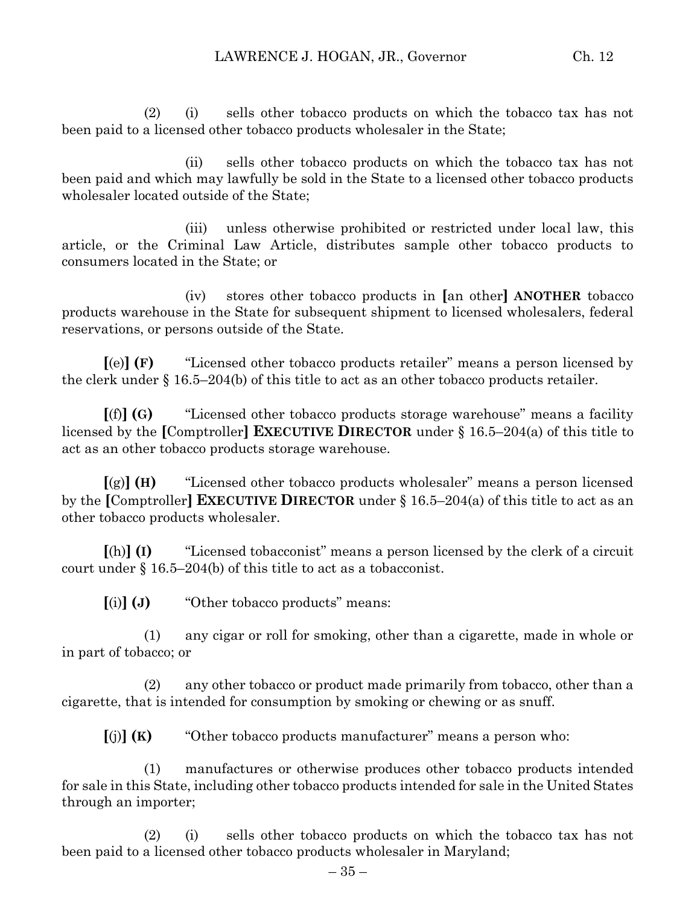(2) (i) sells other tobacco products on which the tobacco tax has not been paid to a licensed other tobacco products wholesaler in the State;

(ii) sells other tobacco products on which the tobacco tax has not been paid and which may lawfully be sold in the State to a licensed other tobacco products wholesaler located outside of the State;

(iii) unless otherwise prohibited or restricted under local law, this article, or the Criminal Law Article, distributes sample other tobacco products to consumers located in the State; or

(iv) stores other tobacco products in **[**an other**] ANOTHER** tobacco products warehouse in the State for subsequent shipment to licensed wholesalers, federal reservations, or persons outside of the State.

**[**(e)**] (F)** "Licensed other tobacco products retailer" means a person licensed by the clerk under  $\S 16.5-204(b)$  of this title to act as an other tobacco products retailer.

**[**(f)**] (G)** "Licensed other tobacco products storage warehouse" means a facility licensed by the **[**Comptroller**] EXECUTIVE DIRECTOR** under § 16.5–204(a) of this title to act as an other tobacco products storage warehouse.

**[**(g)**] (H)** "Licensed other tobacco products wholesaler" means a person licensed by the **[**Comptroller**] EXECUTIVE DIRECTOR** under § 16.5–204(a) of this title to act as an other tobacco products wholesaler.

**[**(h)**] (I)** "Licensed tobacconist" means a person licensed by the clerk of a circuit court under § 16.5–204(b) of this title to act as a tobacconist.

**[**(i)**] (J)** "Other tobacco products" means:

(1) any cigar or roll for smoking, other than a cigarette, made in whole or in part of tobacco; or

(2) any other tobacco or product made primarily from tobacco, other than a cigarette, that is intended for consumption by smoking or chewing or as snuff.

**[**(j)**] (K)** "Other tobacco products manufacturer" means a person who:

(1) manufactures or otherwise produces other tobacco products intended for sale in this State, including other tobacco products intended for sale in the United States through an importer;

(2) (i) sells other tobacco products on which the tobacco tax has not been paid to a licensed other tobacco products wholesaler in Maryland;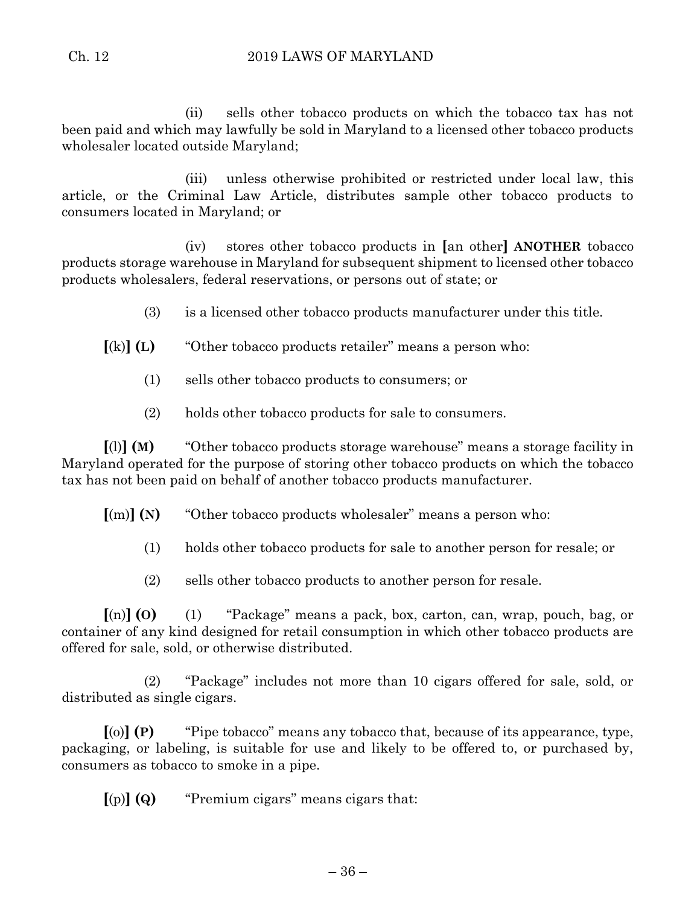(ii) sells other tobacco products on which the tobacco tax has not been paid and which may lawfully be sold in Maryland to a licensed other tobacco products wholesaler located outside Maryland;

(iii) unless otherwise prohibited or restricted under local law, this article, or the Criminal Law Article, distributes sample other tobacco products to consumers located in Maryland; or

(iv) stores other tobacco products in **[**an other**] ANOTHER** tobacco products storage warehouse in Maryland for subsequent shipment to licensed other tobacco products wholesalers, federal reservations, or persons out of state; or

- (3) is a licensed other tobacco products manufacturer under this title.
- **[**(k)**] (L)** "Other tobacco products retailer" means a person who:
	- (1) sells other tobacco products to consumers; or
	- (2) holds other tobacco products for sale to consumers.

**[**(l)**] (M)** "Other tobacco products storage warehouse" means a storage facility in Maryland operated for the purpose of storing other tobacco products on which the tobacco tax has not been paid on behalf of another tobacco products manufacturer.

**[**(m)**] (N)** "Other tobacco products wholesaler" means a person who:

- (1) holds other tobacco products for sale to another person for resale; or
- (2) sells other tobacco products to another person for resale.

**[**(n)**] (O)** (1) "Package" means a pack, box, carton, can, wrap, pouch, bag, or container of any kind designed for retail consumption in which other tobacco products are offered for sale, sold, or otherwise distributed.

(2) "Package" includes not more than 10 cigars offered for sale, sold, or distributed as single cigars.

**[**(o)**] (P)** "Pipe tobacco" means any tobacco that, because of its appearance, type, packaging, or labeling, is suitable for use and likely to be offered to, or purchased by, consumers as tobacco to smoke in a pipe.

**[**(p)**] (Q)** "Premium cigars" means cigars that: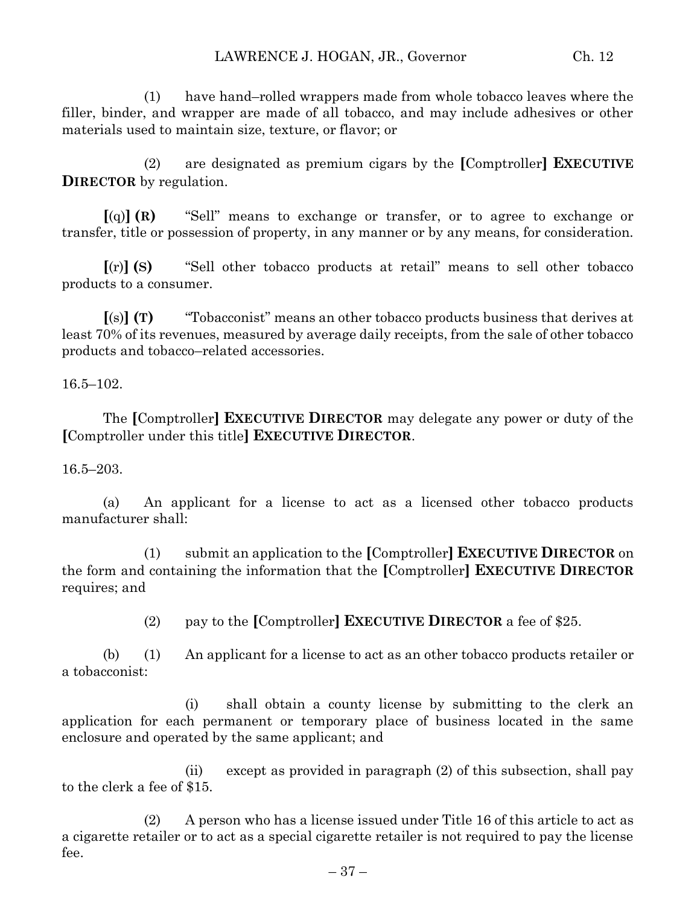(1) have hand–rolled wrappers made from whole tobacco leaves where the filler, binder, and wrapper are made of all tobacco, and may include adhesives or other materials used to maintain size, texture, or flavor; or

(2) are designated as premium cigars by the **[**Comptroller**] EXECUTIVE DIRECTOR** by regulation.

**[**(q)**] (R)** "Sell" means to exchange or transfer, or to agree to exchange or transfer, title or possession of property, in any manner or by any means, for consideration.

**[**(r)**] (S)** "Sell other tobacco products at retail" means to sell other tobacco products to a consumer.

**[**(s)**] (T)** "Tobacconist" means an other tobacco products business that derives at least 70% of its revenues, measured by average daily receipts, from the sale of other tobacco products and tobacco–related accessories.

16.5–102.

The **[**Comptroller**] EXECUTIVE DIRECTOR** may delegate any power or duty of the **[**Comptroller under this title**] EXECUTIVE DIRECTOR**.

16.5–203.

(a) An applicant for a license to act as a licensed other tobacco products manufacturer shall:

(1) submit an application to the **[**Comptroller**] EXECUTIVE DIRECTOR** on the form and containing the information that the **[**Comptroller**] EXECUTIVE DIRECTOR** requires; and

(2) pay to the **[**Comptroller**] EXECUTIVE DIRECTOR** a fee of \$25.

(b) (1) An applicant for a license to act as an other tobacco products retailer or a tobacconist:

(i) shall obtain a county license by submitting to the clerk an application for each permanent or temporary place of business located in the same enclosure and operated by the same applicant; and

(ii) except as provided in paragraph (2) of this subsection, shall pay to the clerk a fee of \$15.

(2) A person who has a license issued under Title 16 of this article to act as a cigarette retailer or to act as a special cigarette retailer is not required to pay the license fee.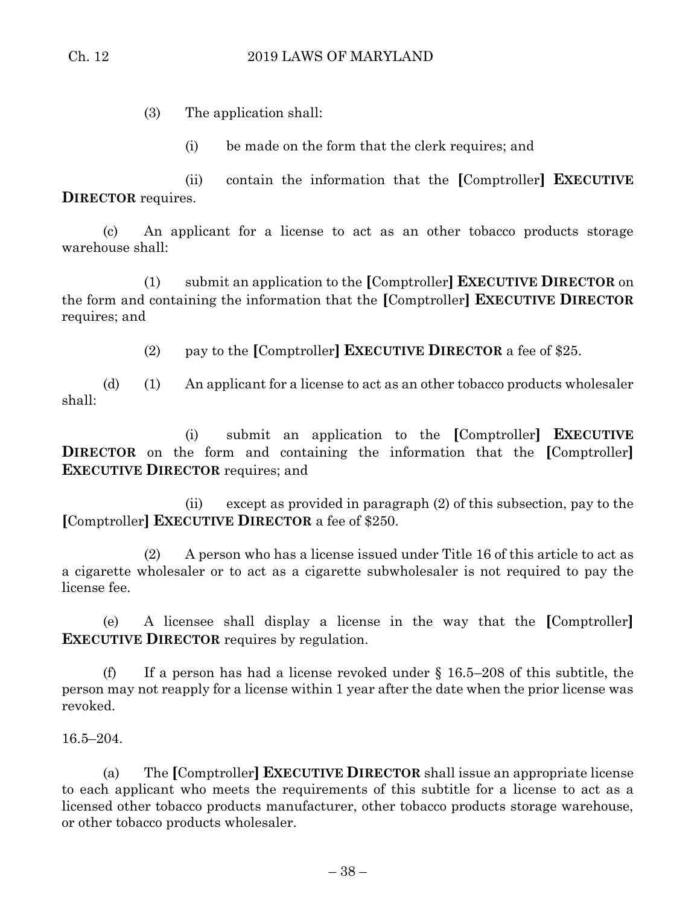(3) The application shall:

(i) be made on the form that the clerk requires; and

(ii) contain the information that the **[**Comptroller**] EXECUTIVE DIRECTOR** requires.

(c) An applicant for a license to act as an other tobacco products storage warehouse shall:

(1) submit an application to the **[**Comptroller**] EXECUTIVE DIRECTOR** on the form and containing the information that the **[**Comptroller**] EXECUTIVE DIRECTOR** requires; and

(2) pay to the **[**Comptroller**] EXECUTIVE DIRECTOR** a fee of \$25.

(d) (1) An applicant for a license to act as an other tobacco products wholesaler shall:

(i) submit an application to the **[**Comptroller**] EXECUTIVE DIRECTOR** on the form and containing the information that the **[**Comptroller**] EXECUTIVE DIRECTOR** requires; and

(ii) except as provided in paragraph (2) of this subsection, pay to the **[**Comptroller**] EXECUTIVE DIRECTOR** a fee of \$250.

(2) A person who has a license issued under Title 16 of this article to act as a cigarette wholesaler or to act as a cigarette subwholesaler is not required to pay the license fee.

(e) A licensee shall display a license in the way that the **[**Comptroller**] EXECUTIVE DIRECTOR** requires by regulation.

(f) If a person has had a license revoked under  $\S 16.5-208$  of this subtitle, the person may not reapply for a license within 1 year after the date when the prior license was revoked.

16.5–204.

(a) The **[**Comptroller**] EXECUTIVE DIRECTOR** shall issue an appropriate license to each applicant who meets the requirements of this subtitle for a license to act as a licensed other tobacco products manufacturer, other tobacco products storage warehouse, or other tobacco products wholesaler.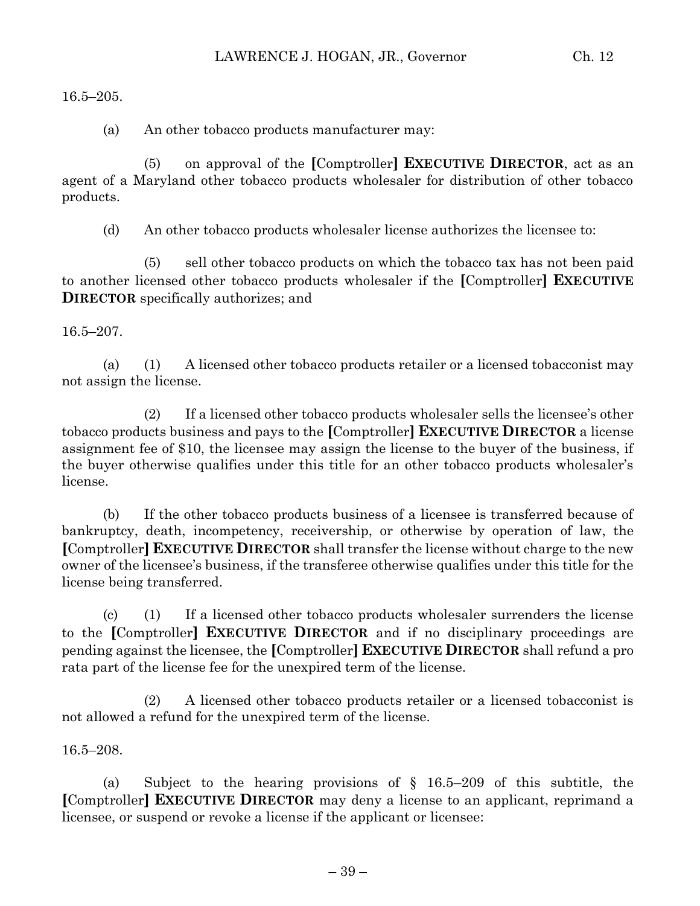16.5–205.

(a) An other tobacco products manufacturer may:

(5) on approval of the **[**Comptroller**] EXECUTIVE DIRECTOR**, act as an agent of a Maryland other tobacco products wholesaler for distribution of other tobacco products.

(d) An other tobacco products wholesaler license authorizes the licensee to:

(5) sell other tobacco products on which the tobacco tax has not been paid to another licensed other tobacco products wholesaler if the **[**Comptroller**] EXECUTIVE DIRECTOR** specifically authorizes; and

16.5–207.

(a) (1) A licensed other tobacco products retailer or a licensed tobacconist may not assign the license.

(2) If a licensed other tobacco products wholesaler sells the licensee's other tobacco products business and pays to the **[**Comptroller**] EXECUTIVE DIRECTOR** a license assignment fee of \$10, the licensee may assign the license to the buyer of the business, if the buyer otherwise qualifies under this title for an other tobacco products wholesaler's license.

(b) If the other tobacco products business of a licensee is transferred because of bankruptcy, death, incompetency, receivership, or otherwise by operation of law, the **[**Comptroller**] EXECUTIVE DIRECTOR** shall transfer the license without charge to the new owner of the licensee's business, if the transferee otherwise qualifies under this title for the license being transferred.

(c) (1) If a licensed other tobacco products wholesaler surrenders the license to the **[**Comptroller**] EXECUTIVE DIRECTOR** and if no disciplinary proceedings are pending against the licensee, the **[**Comptroller**] EXECUTIVE DIRECTOR** shall refund a pro rata part of the license fee for the unexpired term of the license.

(2) A licensed other tobacco products retailer or a licensed tobacconist is not allowed a refund for the unexpired term of the license.

16.5–208.

(a) Subject to the hearing provisions of § 16.5–209 of this subtitle, the **[**Comptroller**] EXECUTIVE DIRECTOR** may deny a license to an applicant, reprimand a licensee, or suspend or revoke a license if the applicant or licensee: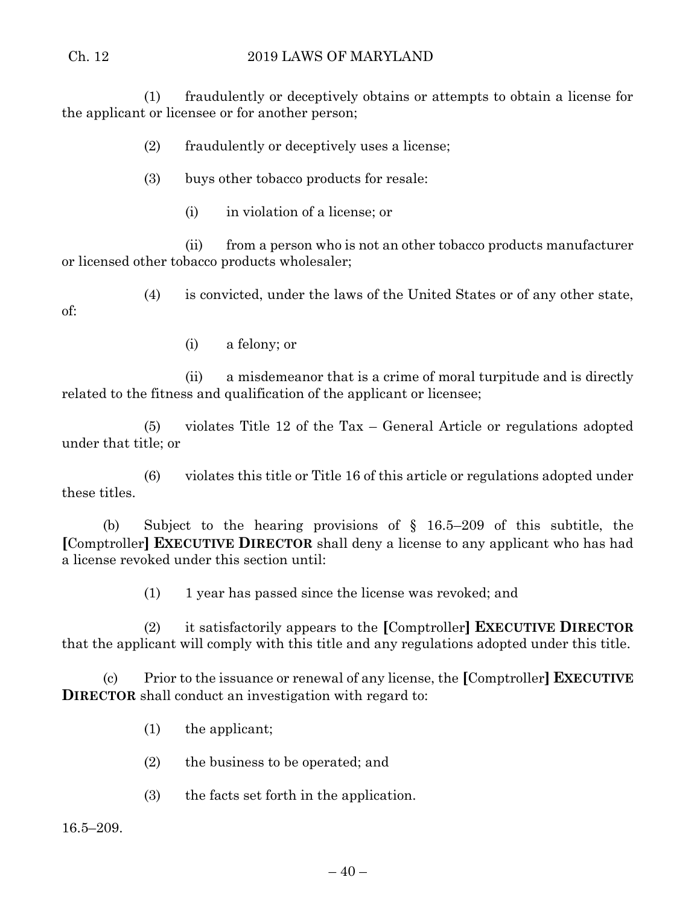## Ch. 12 2019 LAWS OF MARYLAND

(1) fraudulently or deceptively obtains or attempts to obtain a license for the applicant or licensee or for another person;

(2) fraudulently or deceptively uses a license;

(3) buys other tobacco products for resale:

(i) in violation of a license; or

(ii) from a person who is not an other tobacco products manufacturer or licensed other tobacco products wholesaler;

(4) is convicted, under the laws of the United States or of any other state,

of:

(i) a felony; or

(ii) a misdemeanor that is a crime of moral turpitude and is directly related to the fitness and qualification of the applicant or licensee;

(5) violates Title 12 of the Tax – General Article or regulations adopted under that title; or

(6) violates this title or Title 16 of this article or regulations adopted under these titles.

(b) Subject to the hearing provisions of § 16.5–209 of this subtitle, the **[**Comptroller**] EXECUTIVE DIRECTOR** shall deny a license to any applicant who has had a license revoked under this section until:

(1) 1 year has passed since the license was revoked; and

(2) it satisfactorily appears to the **[**Comptroller**] EXECUTIVE DIRECTOR** that the applicant will comply with this title and any regulations adopted under this title.

(c) Prior to the issuance or renewal of any license, the **[**Comptroller**] EXECUTIVE DIRECTOR** shall conduct an investigation with regard to:

- (1) the applicant;
- (2) the business to be operated; and
- (3) the facts set forth in the application.

16.5–209.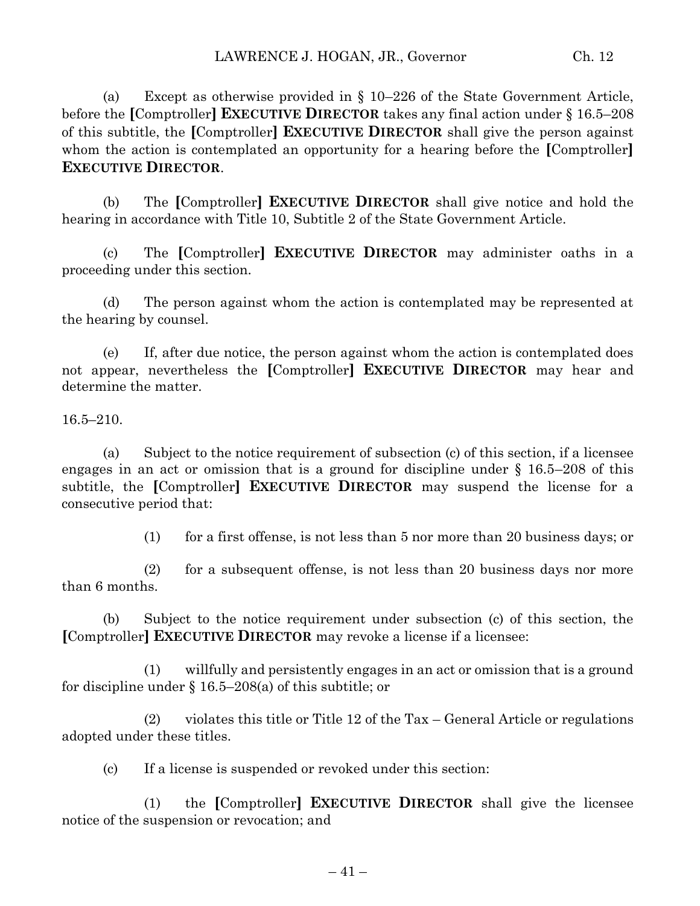(a) Except as otherwise provided in § 10–226 of the State Government Article, before the **[**Comptroller**] EXECUTIVE DIRECTOR** takes any final action under § 16.5–208 of this subtitle, the **[**Comptroller**] EXECUTIVE DIRECTOR** shall give the person against whom the action is contemplated an opportunity for a hearing before the **[**Comptroller**] EXECUTIVE DIRECTOR**.

(b) The **[**Comptroller**] EXECUTIVE DIRECTOR** shall give notice and hold the hearing in accordance with Title 10, Subtitle 2 of the State Government Article.

(c) The **[**Comptroller**] EXECUTIVE DIRECTOR** may administer oaths in a proceeding under this section.

(d) The person against whom the action is contemplated may be represented at the hearing by counsel.

(e) If, after due notice, the person against whom the action is contemplated does not appear, nevertheless the **[**Comptroller**] EXECUTIVE DIRECTOR** may hear and determine the matter.

16.5–210.

(a) Subject to the notice requirement of subsection (c) of this section, if a licensee engages in an act or omission that is a ground for discipline under § 16.5–208 of this subtitle, the **[**Comptroller**] EXECUTIVE DIRECTOR** may suspend the license for a consecutive period that:

(1) for a first offense, is not less than 5 nor more than 20 business days; or

(2) for a subsequent offense, is not less than 20 business days nor more than 6 months.

(b) Subject to the notice requirement under subsection (c) of this section, the **[**Comptroller**] EXECUTIVE DIRECTOR** may revoke a license if a licensee:

(1) willfully and persistently engages in an act or omission that is a ground for discipline under § 16.5–208(a) of this subtitle; or

(2) violates this title or Title 12 of the Tax – General Article or regulations adopted under these titles.

(c) If a license is suspended or revoked under this section:

(1) the **[**Comptroller**] EXECUTIVE DIRECTOR** shall give the licensee notice of the suspension or revocation; and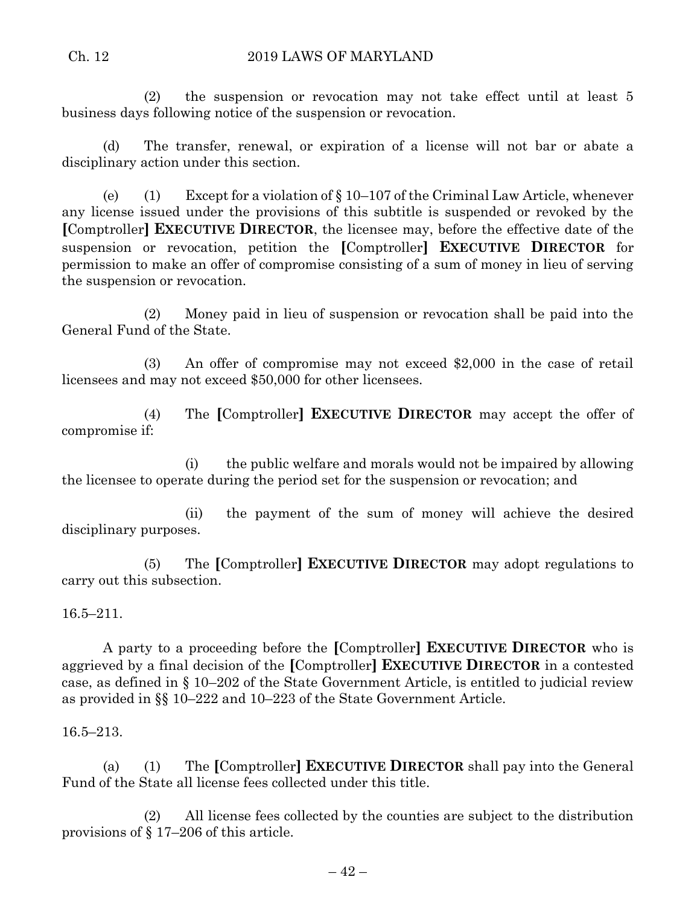### Ch. 12 2019 LAWS OF MARYLAND

(2) the suspension or revocation may not take effect until at least 5 business days following notice of the suspension or revocation.

(d) The transfer, renewal, or expiration of a license will not bar or abate a disciplinary action under this section.

(e) (1) Except for a violation of  $\S 10-107$  of the Criminal Law Article, whenever any license issued under the provisions of this subtitle is suspended or revoked by the **[**Comptroller**] EXECUTIVE DIRECTOR**, the licensee may, before the effective date of the suspension or revocation, petition the **[**Comptroller**] EXECUTIVE DIRECTOR** for permission to make an offer of compromise consisting of a sum of money in lieu of serving the suspension or revocation.

(2) Money paid in lieu of suspension or revocation shall be paid into the General Fund of the State.

(3) An offer of compromise may not exceed \$2,000 in the case of retail licensees and may not exceed \$50,000 for other licensees.

(4) The **[**Comptroller**] EXECUTIVE DIRECTOR** may accept the offer of compromise if:

(i) the public welfare and morals would not be impaired by allowing the licensee to operate during the period set for the suspension or revocation; and

(ii) the payment of the sum of money will achieve the desired disciplinary purposes.

(5) The **[**Comptroller**] EXECUTIVE DIRECTOR** may adopt regulations to carry out this subsection.

16.5–211.

A party to a proceeding before the **[**Comptroller**] EXECUTIVE DIRECTOR** who is aggrieved by a final decision of the **[**Comptroller**] EXECUTIVE DIRECTOR** in a contested case, as defined in § 10–202 of the State Government Article, is entitled to judicial review as provided in §§ 10–222 and 10–223 of the State Government Article.

16.5–213.

(a) (1) The **[**Comptroller**] EXECUTIVE DIRECTOR** shall pay into the General Fund of the State all license fees collected under this title.

(2) All license fees collected by the counties are subject to the distribution provisions of § 17–206 of this article.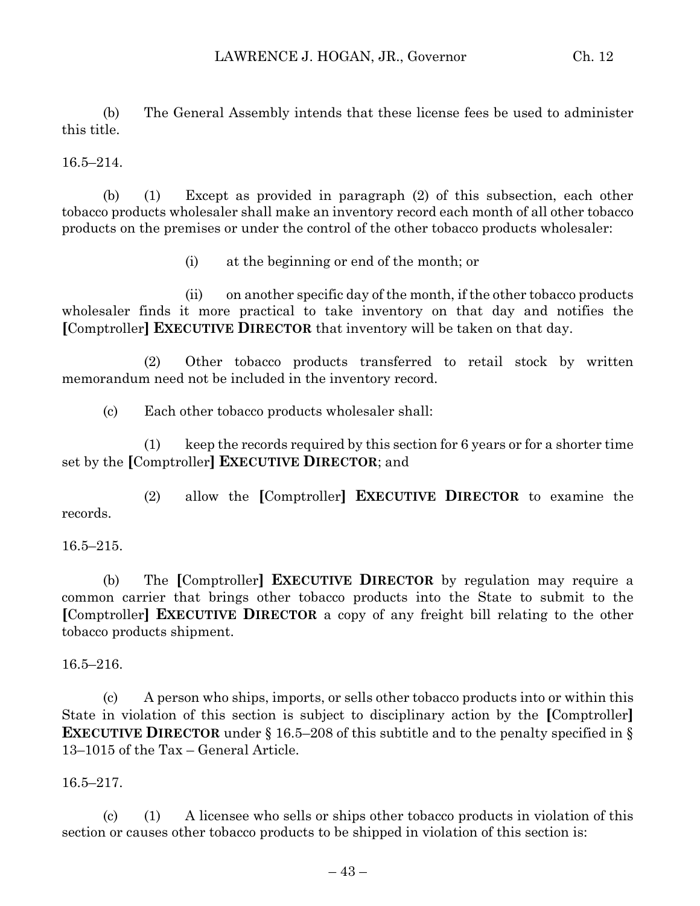(b) The General Assembly intends that these license fees be used to administer this title.

16.5–214.

(b) (1) Except as provided in paragraph (2) of this subsection, each other tobacco products wholesaler shall make an inventory record each month of all other tobacco products on the premises or under the control of the other tobacco products wholesaler:

(i) at the beginning or end of the month; or

(ii) on another specific day of the month, if the other tobacco products wholesaler finds it more practical to take inventory on that day and notifies the **[**Comptroller**] EXECUTIVE DIRECTOR** that inventory will be taken on that day.

(2) Other tobacco products transferred to retail stock by written memorandum need not be included in the inventory record.

(c) Each other tobacco products wholesaler shall:

(1) keep the records required by this section for 6 years or for a shorter time set by the **[**Comptroller**] EXECUTIVE DIRECTOR**; and

(2) allow the **[**Comptroller**] EXECUTIVE DIRECTOR** to examine the records.

16.5–215.

(b) The **[**Comptroller**] EXECUTIVE DIRECTOR** by regulation may require a common carrier that brings other tobacco products into the State to submit to the **[**Comptroller**] EXECUTIVE DIRECTOR** a copy of any freight bill relating to the other tobacco products shipment.

16.5–216.

(c) A person who ships, imports, or sells other tobacco products into or within this State in violation of this section is subject to disciplinary action by the **[**Comptroller**] EXECUTIVE DIRECTOR** under § 16.5–208 of this subtitle and to the penalty specified in § 13–1015 of the Tax – General Article.

16.5–217.

(c) (1) A licensee who sells or ships other tobacco products in violation of this section or causes other tobacco products to be shipped in violation of this section is: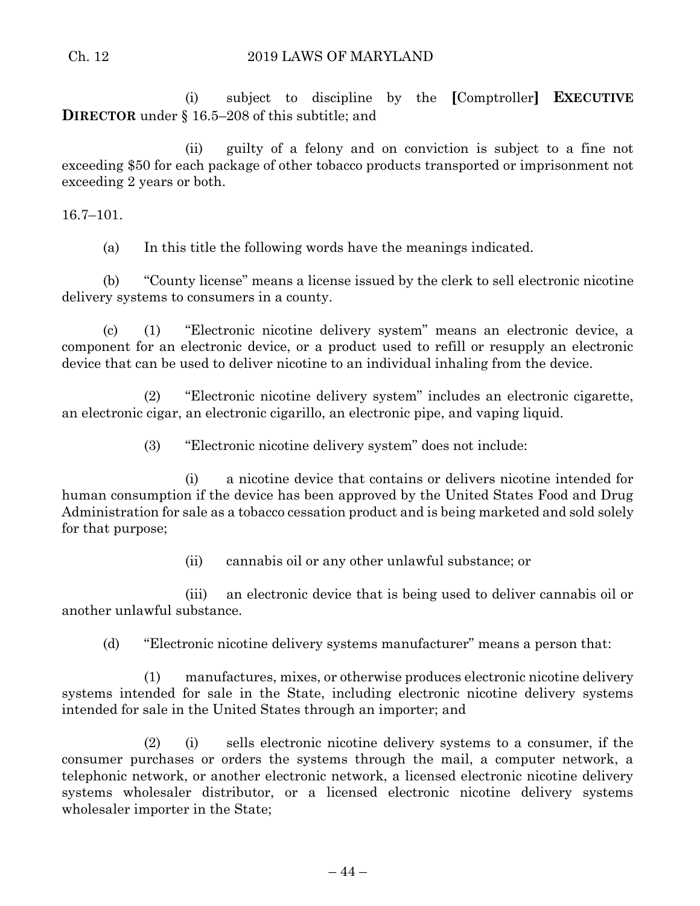#### Ch. 12 2019 LAWS OF MARYLAND

(i) subject to discipline by the **[**Comptroller**] EXECUTIVE DIRECTOR** under § 16.5–208 of this subtitle; and

(ii) guilty of a felony and on conviction is subject to a fine not exceeding \$50 for each package of other tobacco products transported or imprisonment not exceeding 2 years or both.

16.7–101.

(a) In this title the following words have the meanings indicated.

(b) "County license" means a license issued by the clerk to sell electronic nicotine delivery systems to consumers in a county.

(c) (1) "Electronic nicotine delivery system" means an electronic device, a component for an electronic device, or a product used to refill or resupply an electronic device that can be used to deliver nicotine to an individual inhaling from the device.

(2) "Electronic nicotine delivery system" includes an electronic cigarette, an electronic cigar, an electronic cigarillo, an electronic pipe, and vaping liquid.

(3) "Electronic nicotine delivery system" does not include:

(i) a nicotine device that contains or delivers nicotine intended for human consumption if the device has been approved by the United States Food and Drug Administration for sale as a tobacco cessation product and is being marketed and sold solely for that purpose;

(ii) cannabis oil or any other unlawful substance; or

(iii) an electronic device that is being used to deliver cannabis oil or another unlawful substance.

(d) "Electronic nicotine delivery systems manufacturer" means a person that:

(1) manufactures, mixes, or otherwise produces electronic nicotine delivery systems intended for sale in the State, including electronic nicotine delivery systems intended for sale in the United States through an importer; and

(2) (i) sells electronic nicotine delivery systems to a consumer, if the consumer purchases or orders the systems through the mail, a computer network, a telephonic network, or another electronic network, a licensed electronic nicotine delivery systems wholesaler distributor, or a licensed electronic nicotine delivery systems wholesaler importer in the State;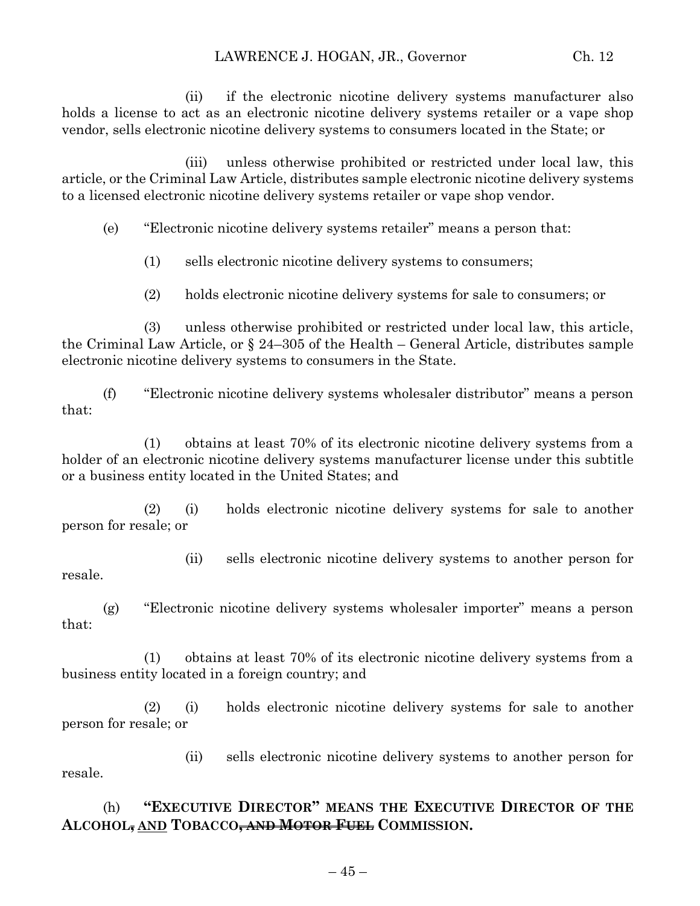(ii) if the electronic nicotine delivery systems manufacturer also holds a license to act as an electronic nicotine delivery systems retailer or a vape shop vendor, sells electronic nicotine delivery systems to consumers located in the State; or

(iii) unless otherwise prohibited or restricted under local law, this article, or the Criminal Law Article, distributes sample electronic nicotine delivery systems to a licensed electronic nicotine delivery systems retailer or vape shop vendor.

(e) "Electronic nicotine delivery systems retailer" means a person that:

(1) sells electronic nicotine delivery systems to consumers;

(2) holds electronic nicotine delivery systems for sale to consumers; or

(3) unless otherwise prohibited or restricted under local law, this article, the Criminal Law Article, or § 24–305 of the Health – General Article, distributes sample electronic nicotine delivery systems to consumers in the State.

(f) "Electronic nicotine delivery systems wholesaler distributor" means a person that:

(1) obtains at least 70% of its electronic nicotine delivery systems from a holder of an electronic nicotine delivery systems manufacturer license under this subtitle or a business entity located in the United States; and

(2) (i) holds electronic nicotine delivery systems for sale to another person for resale; or

(ii) sells electronic nicotine delivery systems to another person for

(g) "Electronic nicotine delivery systems wholesaler importer" means a person that:

resale.

(1) obtains at least 70% of its electronic nicotine delivery systems from a business entity located in a foreign country; and

(2) (i) holds electronic nicotine delivery systems for sale to another person for resale; or

(ii) sells electronic nicotine delivery systems to another person for resale.

(h) **"EXECUTIVE DIRECTOR" MEANS THE EXECUTIVE DIRECTOR OF THE ALCOHOL, AND TOBACCO, AND MOTOR FUEL COMMISSION.**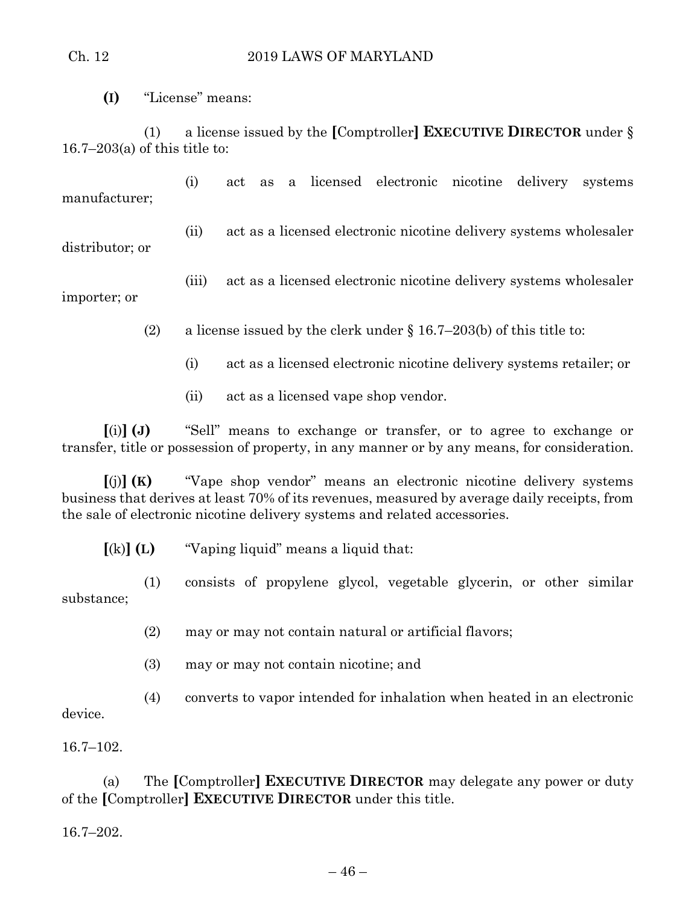#### Ch. 12 2019 LAWS OF MARYLAND

**(I)** "License" means:

(1) a license issued by the **[**Comptroller**] EXECUTIVE DIRECTOR** under § 16.7–203(a) of this title to:

(i) act as a licensed electronic nicotine delivery systems manufacturer;

(ii) act as a licensed electronic nicotine delivery systems wholesaler distributor; or

(iii) act as a licensed electronic nicotine delivery systems wholesaler importer; or

(2) a license issued by the clerk under  $\S$  16.7–203(b) of this title to:

- (i) act as a licensed electronic nicotine delivery systems retailer; or
- (ii) act as a licensed vape shop vendor.

**[**(i)**] (J)** "Sell" means to exchange or transfer, or to agree to exchange or transfer, title or possession of property, in any manner or by any means, for consideration.

**[**(j)**] (K)** "Vape shop vendor" means an electronic nicotine delivery systems business that derives at least 70% of its revenues, measured by average daily receipts, from the sale of electronic nicotine delivery systems and related accessories.

**[**(k)**] (L)** "Vaping liquid" means a liquid that:

(1) consists of propylene glycol, vegetable glycerin, or other similar substance;

(2) may or may not contain natural or artificial flavors;

(3) may or may not contain nicotine; and

(4) converts to vapor intended for inhalation when heated in an electronic

device.

16.7–102.

(a) The **[**Comptroller**] EXECUTIVE DIRECTOR** may delegate any power or duty of the **[**Comptroller**] EXECUTIVE DIRECTOR** under this title.

16.7–202.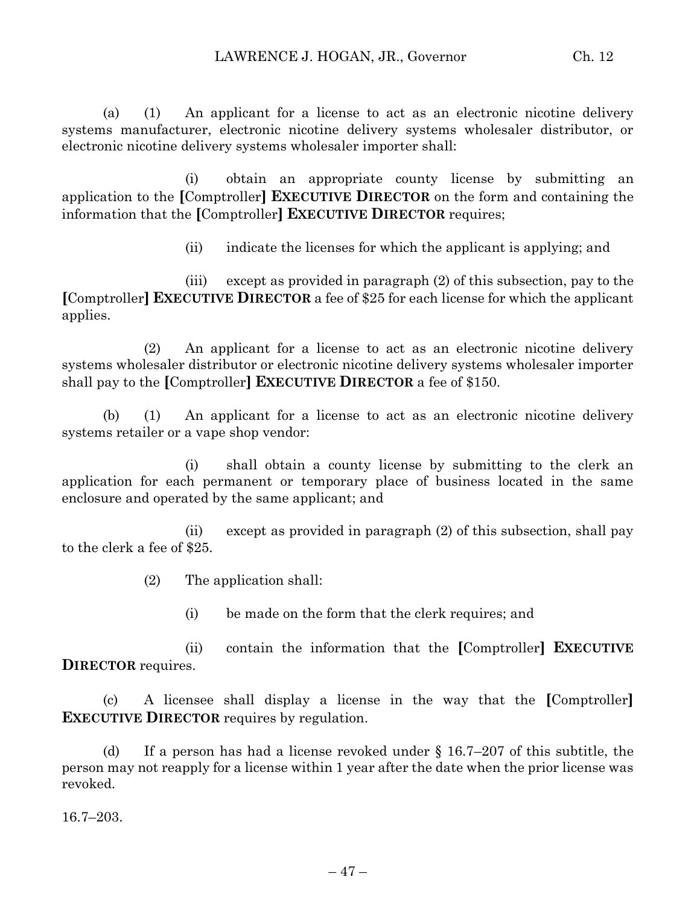(a) (1) An applicant for a license to act as an electronic nicotine delivery systems manufacturer, electronic nicotine delivery systems wholesaler distributor, or electronic nicotine delivery systems wholesaler importer shall:

(i) obtain an appropriate county license by submitting an application to the **[**Comptroller**] EXECUTIVE DIRECTOR** on the form and containing the information that the **[**Comptroller**] EXECUTIVE DIRECTOR** requires;

(ii) indicate the licenses for which the applicant is applying; and

(iii) except as provided in paragraph (2) of this subsection, pay to the **[**Comptroller**] EXECUTIVE DIRECTOR** a fee of \$25 for each license for which the applicant applies.

(2) An applicant for a license to act as an electronic nicotine delivery systems wholesaler distributor or electronic nicotine delivery systems wholesaler importer shall pay to the **[**Comptroller**] EXECUTIVE DIRECTOR** a fee of \$150.

(b) (1) An applicant for a license to act as an electronic nicotine delivery systems retailer or a vape shop vendor:

(i) shall obtain a county license by submitting to the clerk an application for each permanent or temporary place of business located in the same enclosure and operated by the same applicant; and

(ii) except as provided in paragraph (2) of this subsection, shall pay to the clerk a fee of \$25.

(2) The application shall:

(i) be made on the form that the clerk requires; and

(ii) contain the information that the **[**Comptroller**] EXECUTIVE DIRECTOR** requires.

(c) A licensee shall display a license in the way that the **[**Comptroller**] EXECUTIVE DIRECTOR** requires by regulation.

(d) If a person has had a license revoked under  $\S$  16.7–207 of this subtitle, the person may not reapply for a license within 1 year after the date when the prior license was revoked.

16.7–203.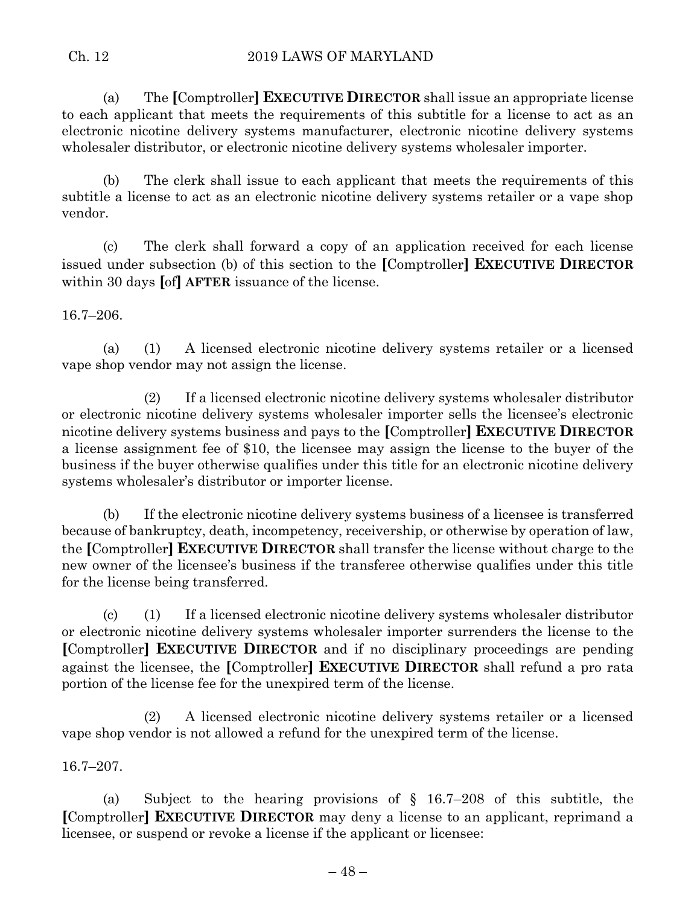(a) The **[**Comptroller**] EXECUTIVE DIRECTOR** shall issue an appropriate license to each applicant that meets the requirements of this subtitle for a license to act as an electronic nicotine delivery systems manufacturer, electronic nicotine delivery systems wholesaler distributor, or electronic nicotine delivery systems wholesaler importer.

(b) The clerk shall issue to each applicant that meets the requirements of this subtitle a license to act as an electronic nicotine delivery systems retailer or a vape shop vendor.

(c) The clerk shall forward a copy of an application received for each license issued under subsection (b) of this section to the **[**Comptroller**] EXECUTIVE DIRECTOR** within 30 days **[**of**] AFTER** issuance of the license.

## 16.7–206.

(a) (1) A licensed electronic nicotine delivery systems retailer or a licensed vape shop vendor may not assign the license.

(2) If a licensed electronic nicotine delivery systems wholesaler distributor or electronic nicotine delivery systems wholesaler importer sells the licensee's electronic nicotine delivery systems business and pays to the **[**Comptroller**] EXECUTIVE DIRECTOR** a license assignment fee of \$10, the licensee may assign the license to the buyer of the business if the buyer otherwise qualifies under this title for an electronic nicotine delivery systems wholesaler's distributor or importer license.

(b) If the electronic nicotine delivery systems business of a licensee is transferred because of bankruptcy, death, incompetency, receivership, or otherwise by operation of law, the **[**Comptroller**] EXECUTIVE DIRECTOR** shall transfer the license without charge to the new owner of the licensee's business if the transferee otherwise qualifies under this title for the license being transferred.

(c) (1) If a licensed electronic nicotine delivery systems wholesaler distributor or electronic nicotine delivery systems wholesaler importer surrenders the license to the **[**Comptroller**] EXECUTIVE DIRECTOR** and if no disciplinary proceedings are pending against the licensee, the **[**Comptroller**] EXECUTIVE DIRECTOR** shall refund a pro rata portion of the license fee for the unexpired term of the license.

(2) A licensed electronic nicotine delivery systems retailer or a licensed vape shop vendor is not allowed a refund for the unexpired term of the license.

16.7–207.

(a) Subject to the hearing provisions of § 16.7–208 of this subtitle, the **[**Comptroller**] EXECUTIVE DIRECTOR** may deny a license to an applicant, reprimand a licensee, or suspend or revoke a license if the applicant or licensee: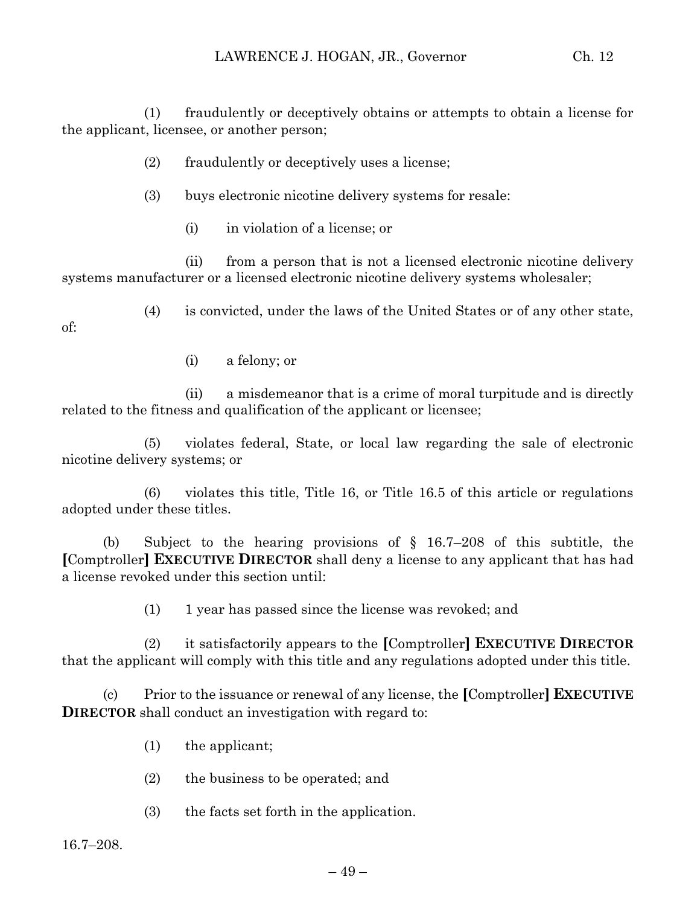(1) fraudulently or deceptively obtains or attempts to obtain a license for the applicant, licensee, or another person;

- (2) fraudulently or deceptively uses a license;
- (3) buys electronic nicotine delivery systems for resale:
	- (i) in violation of a license; or

(ii) from a person that is not a licensed electronic nicotine delivery systems manufacturer or a licensed electronic nicotine delivery systems wholesaler;

(4) is convicted, under the laws of the United States or of any other state,

of:

(i) a felony; or

(ii) a misdemeanor that is a crime of moral turpitude and is directly related to the fitness and qualification of the applicant or licensee;

(5) violates federal, State, or local law regarding the sale of electronic nicotine delivery systems; or

(6) violates this title, Title 16, or Title 16.5 of this article or regulations adopted under these titles.

(b) Subject to the hearing provisions of § 16.7–208 of this subtitle, the **[**Comptroller**] EXECUTIVE DIRECTOR** shall deny a license to any applicant that has had a license revoked under this section until:

(1) 1 year has passed since the license was revoked; and

(2) it satisfactorily appears to the **[**Comptroller**] EXECUTIVE DIRECTOR** that the applicant will comply with this title and any regulations adopted under this title.

(c) Prior to the issuance or renewal of any license, the **[**Comptroller**] EXECUTIVE DIRECTOR** shall conduct an investigation with regard to:

- (1) the applicant;
- (2) the business to be operated; and
- (3) the facts set forth in the application.

16.7–208.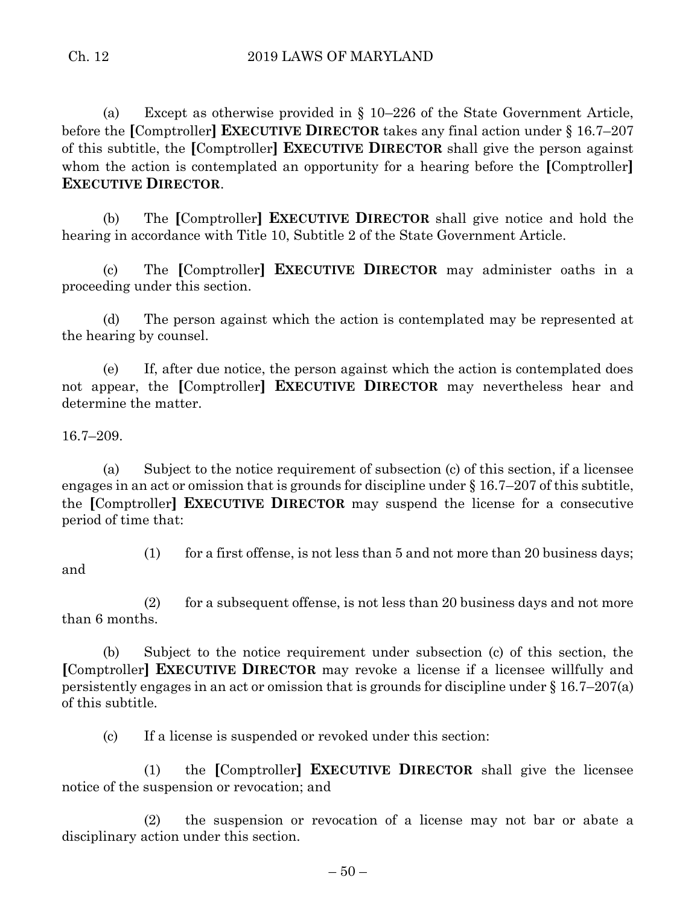(a) Except as otherwise provided in § 10–226 of the State Government Article, before the **[**Comptroller**] EXECUTIVE DIRECTOR** takes any final action under § 16.7–207 of this subtitle, the **[**Comptroller**] EXECUTIVE DIRECTOR** shall give the person against whom the action is contemplated an opportunity for a hearing before the **[**Comptroller**] EXECUTIVE DIRECTOR**.

(b) The **[**Comptroller**] EXECUTIVE DIRECTOR** shall give notice and hold the hearing in accordance with Title 10, Subtitle 2 of the State Government Article.

(c) The **[**Comptroller**] EXECUTIVE DIRECTOR** may administer oaths in a proceeding under this section.

(d) The person against which the action is contemplated may be represented at the hearing by counsel.

(e) If, after due notice, the person against which the action is contemplated does not appear, the **[**Comptroller**] EXECUTIVE DIRECTOR** may nevertheless hear and determine the matter.

16.7–209.

(a) Subject to the notice requirement of subsection (c) of this section, if a licensee engages in an act or omission that is grounds for discipline under § 16.7–207 of this subtitle, the **[**Comptroller**] EXECUTIVE DIRECTOR** may suspend the license for a consecutive period of time that:

and

(1) for a first offense, is not less than  $5$  and not more than  $20$  business days;

(2) for a subsequent offense, is not less than 20 business days and not more than 6 months.

(b) Subject to the notice requirement under subsection (c) of this section, the **[**Comptroller**] EXECUTIVE DIRECTOR** may revoke a license if a licensee willfully and persistently engages in an act or omission that is grounds for discipline under § 16.7–207(a) of this subtitle.

(c) If a license is suspended or revoked under this section:

(1) the **[**Comptroller**] EXECUTIVE DIRECTOR** shall give the licensee notice of the suspension or revocation; and

(2) the suspension or revocation of a license may not bar or abate a disciplinary action under this section.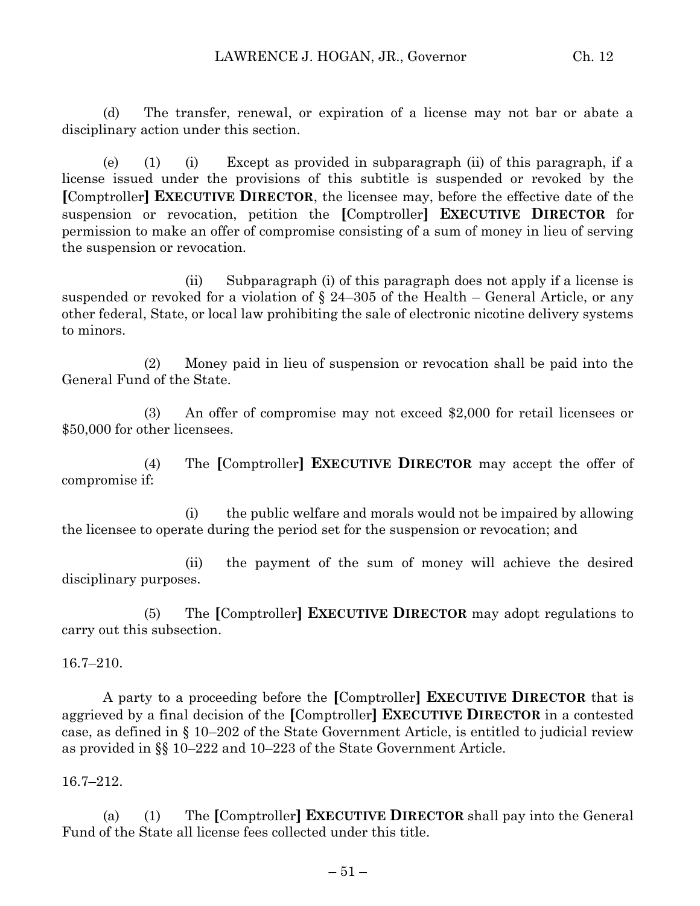(d) The transfer, renewal, or expiration of a license may not bar or abate a disciplinary action under this section.

(e) (1) (i) Except as provided in subparagraph (ii) of this paragraph, if a license issued under the provisions of this subtitle is suspended or revoked by the **[**Comptroller**] EXECUTIVE DIRECTOR**, the licensee may, before the effective date of the suspension or revocation, petition the **[**Comptroller**] EXECUTIVE DIRECTOR** for permission to make an offer of compromise consisting of a sum of money in lieu of serving the suspension or revocation.

(ii) Subparagraph (i) of this paragraph does not apply if a license is suspended or revoked for a violation of  $\S$  24–305 of the Health – General Article, or any other federal, State, or local law prohibiting the sale of electronic nicotine delivery systems to minors.

(2) Money paid in lieu of suspension or revocation shall be paid into the General Fund of the State.

(3) An offer of compromise may not exceed \$2,000 for retail licensees or \$50,000 for other licensees.

(4) The **[**Comptroller**] EXECUTIVE DIRECTOR** may accept the offer of compromise if:

(i) the public welfare and morals would not be impaired by allowing the licensee to operate during the period set for the suspension or revocation; and

(ii) the payment of the sum of money will achieve the desired disciplinary purposes.

(5) The **[**Comptroller**] EXECUTIVE DIRECTOR** may adopt regulations to carry out this subsection.

16.7–210.

A party to a proceeding before the **[**Comptroller**] EXECUTIVE DIRECTOR** that is aggrieved by a final decision of the **[**Comptroller**] EXECUTIVE DIRECTOR** in a contested case, as defined in § 10–202 of the State Government Article, is entitled to judicial review as provided in §§ 10–222 and 10–223 of the State Government Article.

16.7–212.

(a) (1) The **[**Comptroller**] EXECUTIVE DIRECTOR** shall pay into the General Fund of the State all license fees collected under this title.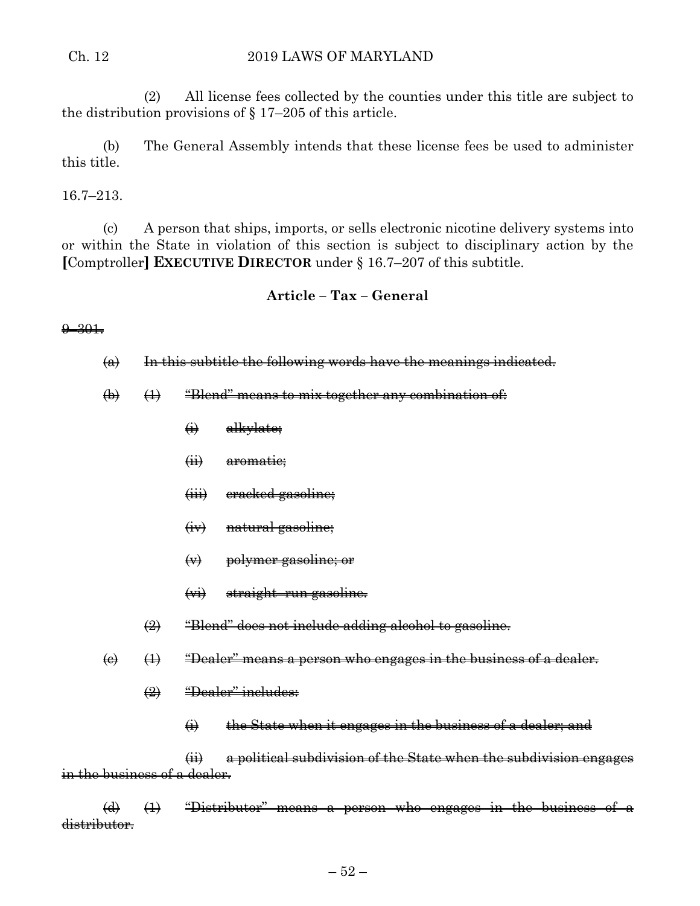#### Ch. 12 2019 LAWS OF MARYLAND

(2) All license fees collected by the counties under this title are subject to the distribution provisions of § 17–205 of this article.

(b) The General Assembly intends that these license fees be used to administer this title.

### 16.7–213.

(c) A person that ships, imports, or sells electronic nicotine delivery systems into or within the State in violation of this section is subject to disciplinary action by the **[**Comptroller**] EXECUTIVE DIRECTOR** under § 16.7–207 of this subtitle.

## **Article – Tax – General**

#### $9 - 301.$

 $\left( a \right)$  In this subtitle the following words have the meanings indicated.

- $\left(\frac{1}{2}\right)$  (1) "Blend" means to mix together any combination of:
	- $\ddot{\textbf{a}}$  alkylate;
	- (ii) aromatic;
	- (iii) cracked gasoline;
	- (iv) natural gasoline;
	- (v) polymer gasoline; or
	- (vi) straight–run gasoline.
	- $\left( 2 \right)$  "Blend" does not include adding alcohol to gasoline.
- $\left(\theta\right)$   $\left(\theta\right)$  "Dealer" means a person who engages in the business of a dealer.
	- (2) "Dealer" includes:
		- $\leftrightarrow$  the State when it engages in the business of a dealer; and

(ii) a political subdivision of the State when the subdivision engages in the business of a dealer.

 $\overline{a}$  (1) "Distributor" means a person who engages in the business of a distributor.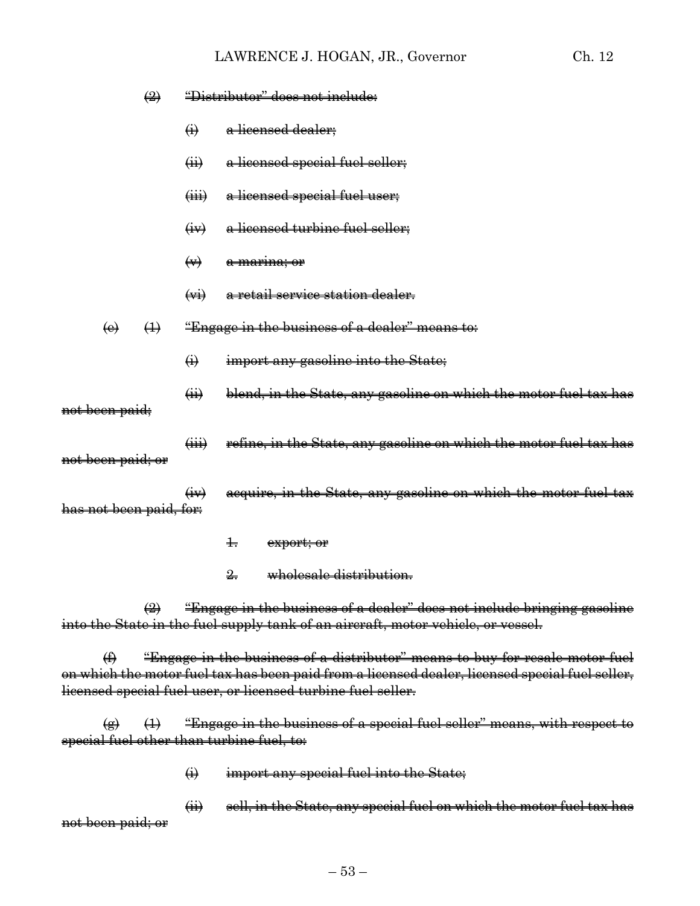|                   |                | $\left(\frac{1}{2}\right)$ |                             | "Distributor" does not include:                                    |
|-------------------|----------------|----------------------------|-----------------------------|--------------------------------------------------------------------|
|                   |                |                            | $\bigoplus$                 | a licensed dealer;                                                 |
|                   |                |                            | $\overrightarrow{41}$       | a licensed special fuel seller;                                    |
|                   |                |                            | $\overleftrightarrow{H}$    | a licensed special fuel user;                                      |
|                   |                |                            | $\left(\frac{1}{2}v\right)$ | a licensed turbine fuel seller;                                    |
|                   |                |                            | $\leftrightarrow$           | <del>a marina; or</del>                                            |
|                   |                |                            | $\overrightarrow{(*)}$      | <del>a retail service station dealer.</del>                        |
|                   | $\Theta$       | $\bigoplus$                |                             | "Engage in the business of a dealer" means to:                     |
|                   |                |                            | $\bigoplus$                 | import any gasoline into the State;                                |
|                   | not been paid; |                            | $\overrightarrow{41}$       | blend, in the State, any gasoline on which the motor fuel tax has  |
| not been paid; or |                |                            | $\overleftrightarrow{iii}$  | refine, in the State, any gasoline on which the motor fuel tax has |
|                   |                | has not been paid, for:    | $\left(\frac{1}{2}$         | acquire, in the State, any gasoline on which the motor fuel tax    |
|                   |                |                            |                             | $\ddagger$<br>export; or                                           |

2. wholesale distribution.

 $\Rightarrow$  "Engage in the business of a dealer" does not include bringing gasoline into the State in the fuel supply tank of an aircraft, motor vehicle, or vessel.

 $(f)$  "Engage in the business of a distributor" means to buy for resale motor fuel on which the motor fuel tax has been paid from a licensed dealer, licensed special fuel seller, licensed special fuel user, or licensed turbine fuel seller.

 $\overline{a}$  (1) "Engage in the business of a special fuel seller" means, with respect to special fuel other than turbine fuel, to:

 $\leftrightarrow$  import any special fuel into the State;

(ii) sell, in the State, any special fuel on which the motor fuel tax has not been paid; or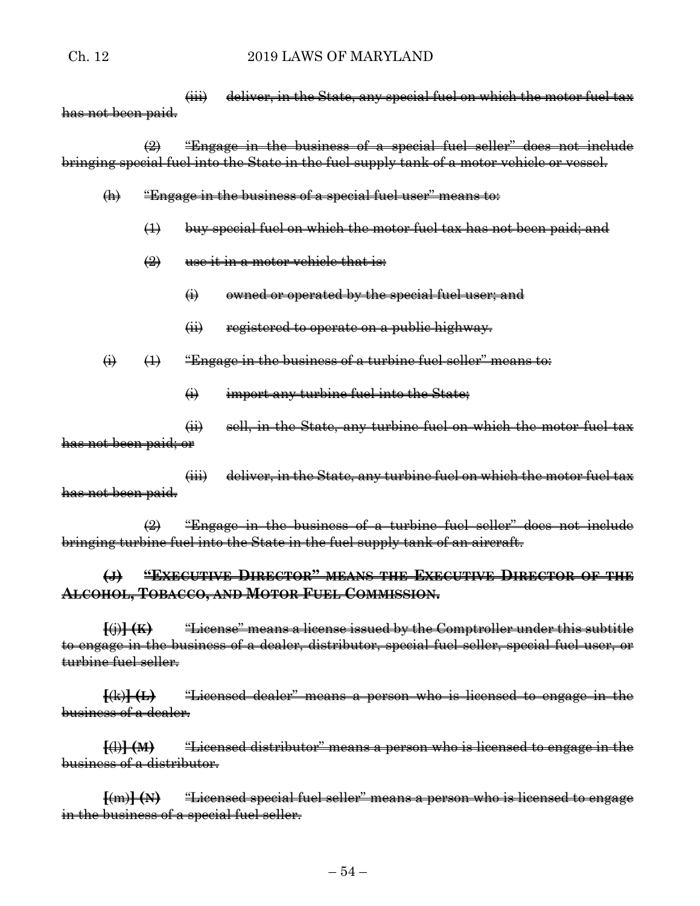(iii) deliver, in the State, any special fuel on which the motor fuel tax has not been paid.

(2) "Engage in the business of a special fuel seller" does not include bringing special fuel into the State in the fuel supply tank of a motor vehicle or vessel.

- (h) "Engage in the business of a special fuel user" means to:
	- (1) buy special fuel on which the motor fuel tax has not been paid; and
	- $(2)$  use it in a motor vehicle that is:
		- (i) owned or operated by the special fuel user; and
		- (ii) registered to operate on a public highway.

 $\overrightarrow{(1)}$  (1) "Engage in the business of a turbine fuel seller" means to:

 $\leftrightarrow$  import any turbine fuel into the State;

(ii) sell, in the State, any turbine fuel on which the motor fuel tax has not been paid; or

(iii) deliver, in the State, any turbine fuel on which the motor fuel tax has not been paid.

 $\left( 2 \right)$  "Engage in the business of a turbine fuel seller" does not include bringing turbine fuel into the State in the fuel supply tank of an aircraft.

## **(J) "EXECUTIVE DIRECTOR" MEANS THE EXECUTIVE DIRECTOR OF THE ALCOHOL, TOBACCO, AND MOTOR FUEL COMMISSION.**

**[**(j)**] (K)** "License" means a license issued by the Comptroller under this subtitle to engage in the business of a dealer, distributor, special fuel seller, special fuel user, or turbine fuel seller.

**[**(k)**] (L)** "Licensed dealer" means a person who is licensed to engage in the business of a dealer.

**[**(l)**] (M)** "Licensed distributor" means a person who is licensed to engage in the business of a distributor.

**[**(m)**] (N)** "Licensed special fuel seller" means a person who is licensed to engage in the business of a special fuel seller.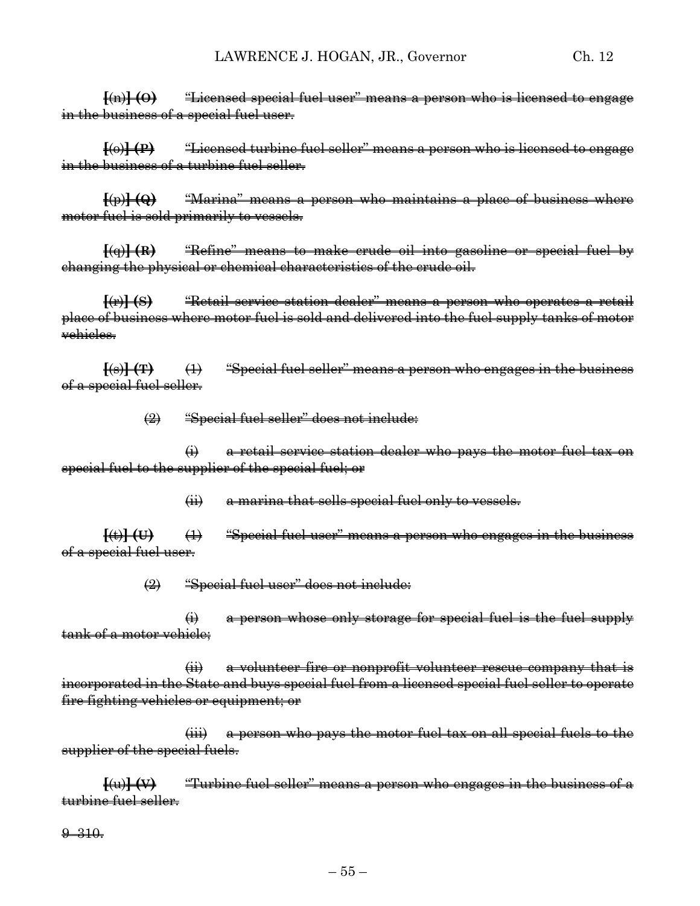**[**(n)**] (O)** "Licensed special fuel user" means a person who is licensed to engage in the business of a special fuel user.

**[**(o)**] (P)** "Licensed turbine fuel seller" means a person who is licensed to engage in the business of a turbine fuel seller.

**[**(p)**] (Q)** "Marina" means a person who maintains a place of business where motor fuel is sold primarily to vessels.

**[**(q)**] (R)** "Refine" means to make crude oil into gasoline or special fuel by changing the physical or chemical characteristics of the crude oil.

**[**(r)**] (S)** "Retail service station dealer" means a person who operates a retail place of business where motor fuel is sold and delivered into the fuel supply tanks of motor vehieles.

**[**(s)**] (T)** (1) "Special fuel seller" means a person who engages in the business of a special fuel seller.

(2) "Special fuel seller" does not include:

(i) a retail service station dealer who pays the motor fuel tax on special fuel to the supplier of the special fuel; or

(ii) a marina that sells special fuel only to vessels.

**[**(t)**] (U)** (1) "Special fuel user" means a person who engages in the business of a special fuel user.

(2) "Special fuel user" does not include:

(i) a person whose only storage for special fuel is the fuel supply tank of a motor vehicle;

(ii) a volunteer fire or nonprofit volunteer rescue company that is incorporated in the State and buys special fuel from a licensed special fuel seller to operate fire fighting vehicles or equipment; or

(iii) a person who pays the motor fuel tax on all special fuels to the supplier of the special fuels.

**[**(u)**] (V)** "Turbine fuel seller" means a person who engages in the business of a turbine fuel seller.

9–310.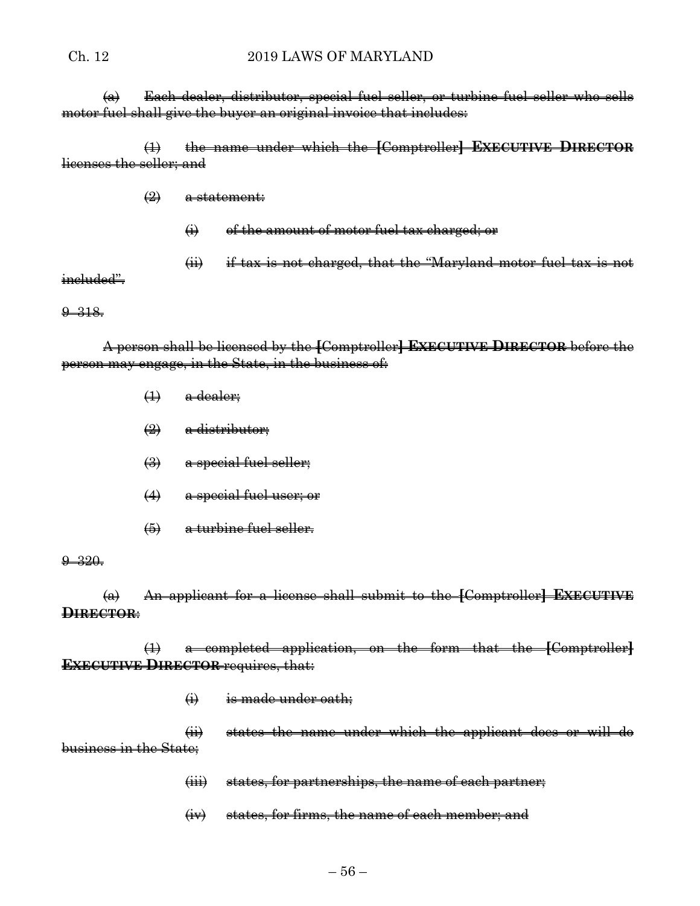#### Ch. 12 2019 LAWS OF MARYLAND

(a) Each dealer, distributor, special fuel seller, or turbine fuel seller who sells motor fuel shall give the buyer an original invoice that includes:

(1) the name under which the **[**Comptroller**] EXECUTIVE DIRECTOR** licenses the seller; and

 $\left( 2 \right)$  a statement:

- (i) of the amount of motor fuel tax charged; or
- (ii) if tax is not charged, that the "Maryland motor fuel tax is not

ineluded".

9–318.

A person shall be licensed by the **[**Comptroller**] EXECUTIVE DIRECTOR** before the person may engage, in the State, in the business of:

- $\leftrightarrow$  a dealer;
- $\left( 2 \right)$  a distributor;
- (3) a special fuel seller;
- (4) a special fuel user; or
- (5) a turbine fuel seller.

#### 9–320.

(a) An applicant for a license shall submit to the **[**Comptroller**] EXECUTIVE DIRECTOR**:

(1) a completed application, on the form that the **[**Comptroller**] EXECUTIVE DIRECTOR** requires, that:

 $\leftrightarrow$  is made under oath;

(ii) states the name under which the applicant does or will do business in the State;

(iii) states, for partnerships, the name of each partner;

(iv) states, for firms, the name of each member; and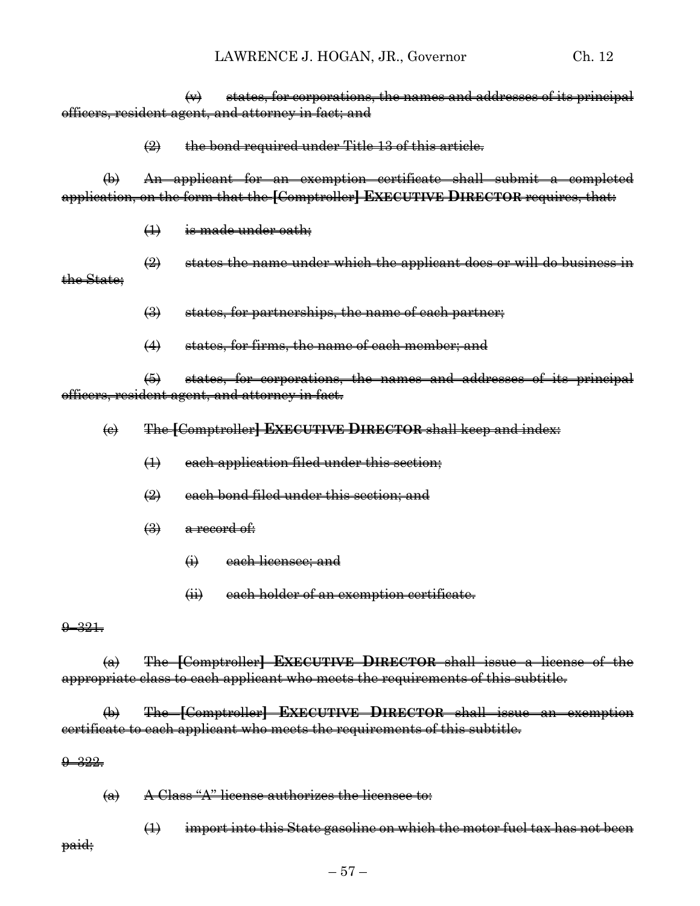$\leftrightarrow$  states, for corporations, the names and addresses of its principal officers, resident agent, and attorney in fact; and

 $\left( 2 \right)$  the bond required under Title 13 of this article.

(b) An applicant for an exemption certificate shall submit a completed application, on the form that the **[**Comptroller**] EXECUTIVE DIRECTOR** requires, that:

(1) is made under oath;

 $(2)$  states the name under which the applicant does or will do business in the State;

 $\left(\frac{3}{2}\right)$  states, for partnerships, the name of each partner;

(4) states, for firms, the name of each member; and

(5) states, for corporations, the names and addresses of its principal officers, resident agent, and attorney in fact.

(c) The **[**Comptroller**] EXECUTIVE DIRECTOR** shall keep and index:

- (1) each application filed under this section;
- $\left( 2\right)$  each bond filed under this section; and
- $\left(\frac{3}{2}\right)$  a record of:
	- (i) each licensee; and
	- (ii) each holder of an exemption certificate.

#### $9 - 321.$

(a) The **[**Comptroller**] EXECUTIVE DIRECTOR** shall issue a license of the appropriate class to each applicant who meets the requirements of this subtitle.

(b) The **[**Comptroller**] EXECUTIVE DIRECTOR** shall issue an exemption certificate to each applicant who meets the requirements of this subtitle.

#### 9–322.

(a) A Class "A" license authorizes the licensee to:

(1) import into this State gasoline on which the motor fuel tax has not been paid;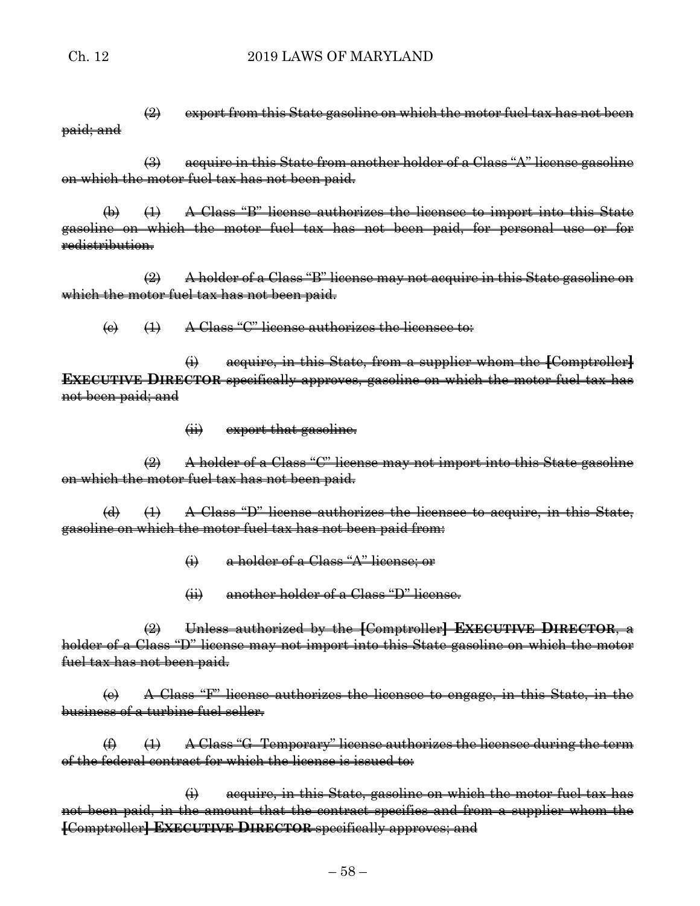$\left(2\right)$  export from this State gasoline on which the motor fuel tax has not been paid; and

(3) acquire in this State from another holder of a Class "A" license gasoline on which the motor fuel tax has not been paid.

 $(\theta)$   $(\theta)$   $(A)$  A Class "B" license authorizes the licensee to import into this State gasoline on which the motor fuel tax has not been paid, for personal use or for redistribution.

(2) A holder of a Class "B" license may not acquire in this State gasoline on which the motor fuel tax has not been paid.

 $\overline{a}$  (1) A Class "C" license authorizes the licensee to:

(i) acquire, in this State, from a supplier whom the **[**Comptroller**] EXECUTIVE DIRECTOR** specifically approves, gasoline on which the motor fuel tax has not been paid; and

(ii) export that gasoline.

(2) A holder of a Class "C" license may not import into this State gasoline on which the motor fuel tax has not been paid.

(d) (1) A Class "D" license authorizes the licensee to acquire, in this State, gasoline on which the motor fuel tax has not been paid from:

- (i) a holder of a Class "A" license; or
- (ii) another holder of a Class "D" license.

(2) Unless authorized by the **[**Comptroller**] EXECUTIVE DIRECTOR**, a holder of a Class "D" license may not import into this State gasoline on which the motor fuel tax has not been paid.

(e) A Class "F" license authorizes the licensee to engage, in this State, in the business of a turbine fuel seller.

 $(4)$   $(1)$  A Class "G-Temporary" license authorizes the licensee during the term of the federal contract for which the license is issued to:

(i) acquire, in this State, gasoline on which the motor fuel tax has not been paid, in the amount that the contract specifies and from a supplier whom the **[**Comptroller**] EXECUTIVE DIRECTOR** specifically approves; and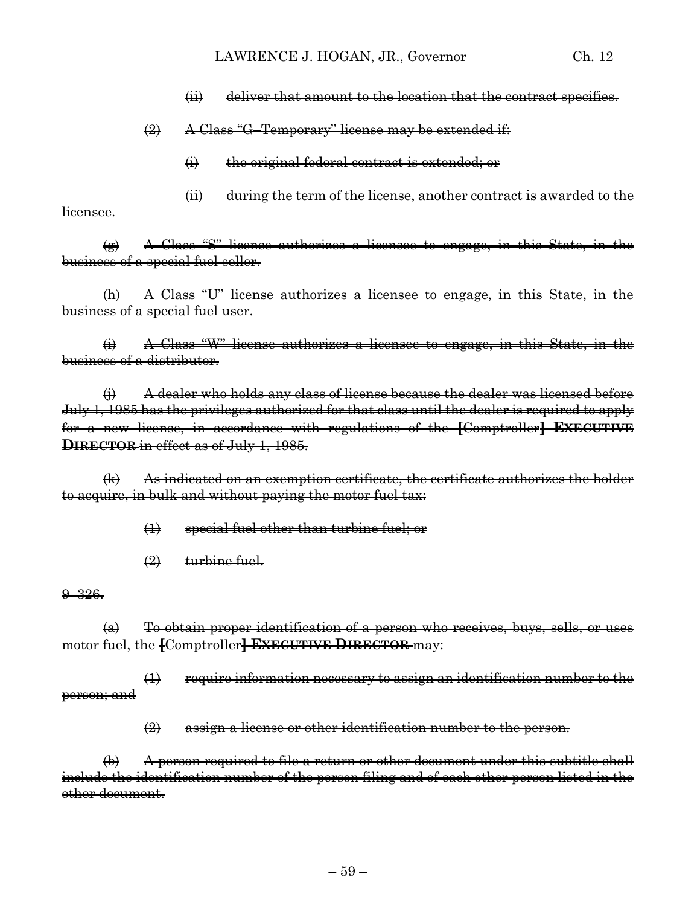- (ii) deliver that amount to the location that the contract specifies.
- $\bigoplus$  A Class "G-Temporary" license may be extended if:
	- (i) the original federal contract is extended; or
	- (ii) during the term of the license, another contract is awarded to the

licensee.

(g) A Class "S" license authorizes a licensee to engage, in this State, in the business of a special fuel seller.

(h) A Class "U" license authorizes a licensee to engage, in this State, in the business of a special fuel user.

(i) A Class "W" license authorizes a licensee to engage, in this State, in the business of a distributor.

 $\leftrightarrow$  A dealer who holds any class of license because the dealer was licensed before July 1, 1985 has the privileges authorized for that class until the dealer is required to apply for a new license, in accordance with regulations of the **[**Comptroller**] EXECUTIVE DIRECTOR** in effect as of July 1, 1985.

(k) As indicated on an exemption certificate, the certificate authorizes the holder to acquire, in bulk and without paying the motor fuel tax:

(1) special fuel other than turbine fuel; or

 $(2)$  turbine fuel.

9–326.

 $(a)$  To obtain proper identification of a person who receives, buys, sells, or uses motor fuel, the **[**Comptroller**] EXECUTIVE DIRECTOR** may:

(1) require information necessary to assign an identification number to the person; and

 $\left( 2 \right)$  assign a license or other identification number to the person.

(b) A person required to file a return or other document under this subtitle shall include the identification number of the person filing and of each other person listed in the other document.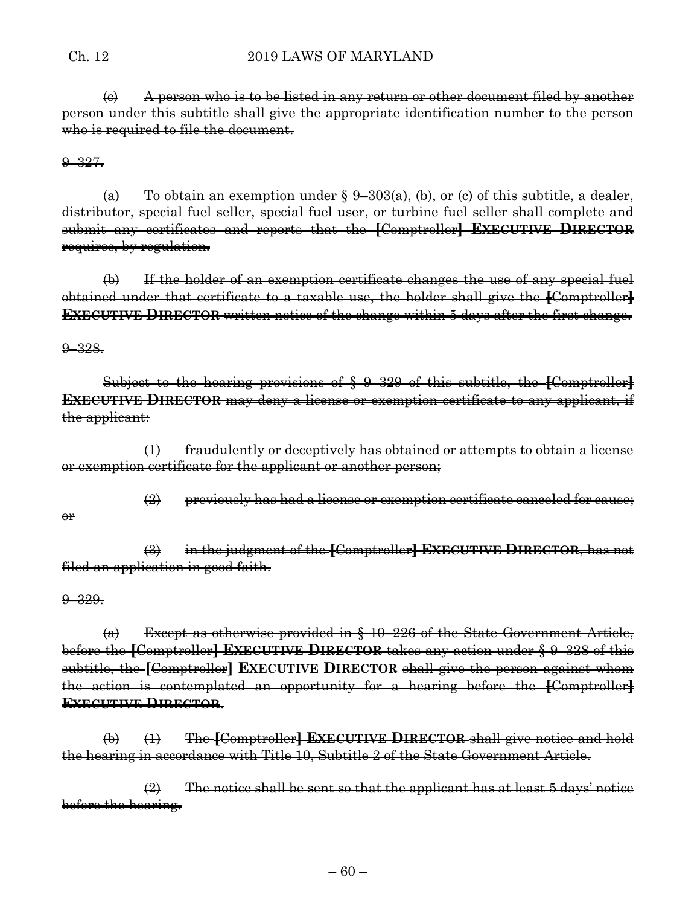$\left\langle e\right\rangle$  A person who is to be listed in any return or other document filed by another person under this subtitle shall give the appropriate identification number to the person who is required to file the document.

 $9 - 327.$ 

 $(a)$  To obtain an exemption under  $\frac{1}{2}$  9–303(a), (b), or (c) of this subtitle, a dealer, distributor, special fuel seller, special fuel user, or turbine fuel seller shall complete and submit any certificates and reports that the **[**Comptroller**] EXECUTIVE DIRECTOR** requires, by regulation.

(b) If the holder of an exemption certificate changes the use of any special fuel obtained under that certificate to a taxable use, the holder shall give the **[**Comptroller**] EXECUTIVE DIRECTOR** written notice of the change within 5 days after the first change.

9–328.

Subject to the hearing provisions of § 9–329 of this subtitle, the **[**Comptroller**] EXECUTIVE DIRECTOR** may deny a license or exemption certificate to any applicant, if the applicant:

(1) fraudulently or deceptively has obtained or attempts to obtain a license or exemption certificate for the applicant or another person;

 $\left(2\right)$  previously has had a license or exemption certificate canceled for cause;

(3) in the judgment of the **[**Comptroller**] EXECUTIVE DIRECTOR**, has not filed an application in good faith.

9–329.

or

 $(a)$  Except as otherwise provided in  $§$  10–226 of the State Government Article, before the **[**Comptroller**] EXECUTIVE DIRECTOR** takes any action under § 9–328 of this subtitle, the **[**Comptroller**] EXECUTIVE DIRECTOR** shall give the person against whom the action is contemplated an opportunity for a hearing before the **[**Comptroller**] EXECUTIVE DIRECTOR**.

(b) (1) The **[**Comptroller**] EXECUTIVE DIRECTOR** shall give notice and hold the hearing in accordance with Title 10, Subtitle 2 of the State Government Article.

 $\left( 2\right)$  The notice shall be sent so that the applicant has at least 5 days' notice before the hearing.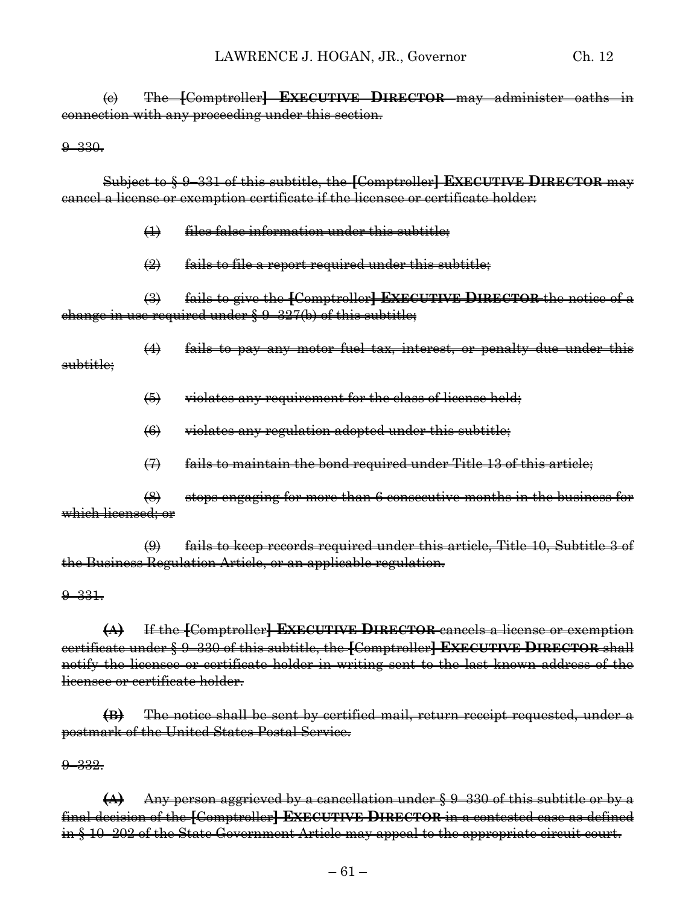(c) The **[**Comptroller**] EXECUTIVE DIRECTOR** may administer oaths in connection with any proceeding under this section.

9–330.

subtitle;

Subject to § 9–331 of this subtitle, the **[**Comptroller**] EXECUTIVE DIRECTOR** may cancel a license or exemption certificate if the licensee or certificate holder:

- (1) files false information under this subtitle;
- $\left( 2 \right)$  fails to file a report required under this subtitle;

(3) fails to give the **[**Comptroller**] EXECUTIVE DIRECTOR** the notice of a change in use required under § 9–327(b) of this subtitle;

(4) fails to pay any motor fuel tax, interest, or penalty due under this

(5) violates any requirement for the class of license held;

- (6) violates any regulation adopted under this subtitle;
- $(7)$  fails to maintain the bond required under Title 13 of this article;

(8) stops engaging for more than 6 consecutive months in the business for which licensed; or

(9) fails to keep records required under this article, Title 10, Subtitle 3 of the Business Regulation Article, or an applicable regulation.

9–331.

**(A)** If the **[**Comptroller**] EXECUTIVE DIRECTOR** cancels a license or exemption certificate under § 9–330 of this subtitle, the **[**Comptroller**] EXECUTIVE DIRECTOR** shall notify the licensee or certificate holder in writing sent to the last known address of the licensee or certificate holder.

**(B)** The notice shall be sent by certified mail, return receipt requested, under a postmark of the United States Postal Service.

9–332.

**(A)** Any person aggrieved by a cancellation under § 9–330 of this subtitle or by a final decision of the **[**Comptroller**] EXECUTIVE DIRECTOR** in a contested case as defined in § 10–202 of the State Government Article may appeal to the appropriate circuit court.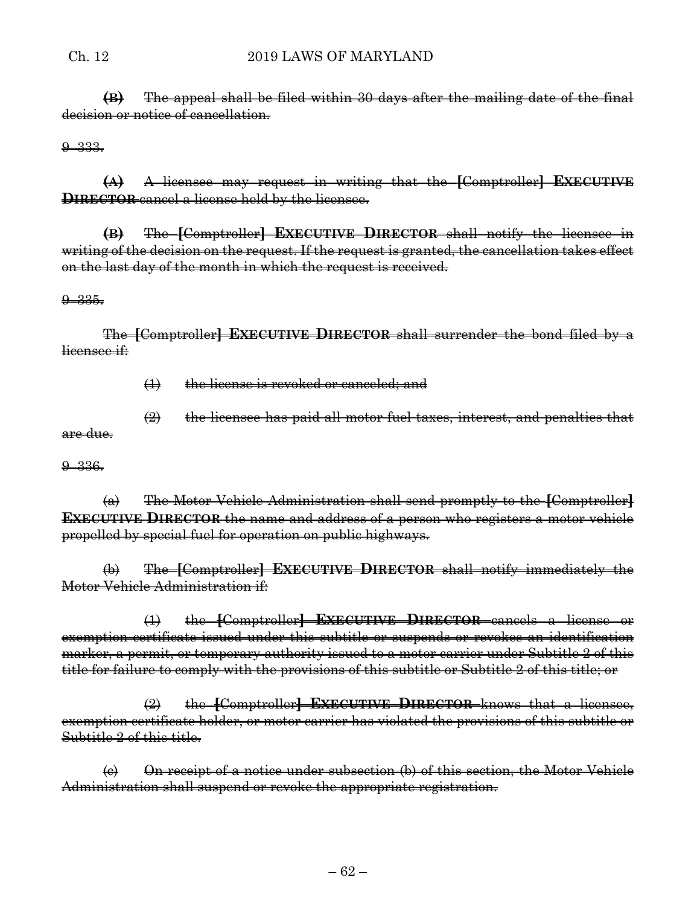**(B)** The appeal shall be filed within 30 days after the mailing date of the final decision or notice of cancellation.

 $9 - 333.$ 

**(A)** A licensee may request in writing that the **[**Comptroller**] EXECUTIVE DIRECTOR** cancel a license held by the licensee.

**(B)** The **[**Comptroller**] EXECUTIVE DIRECTOR** shall notify the licensee in writing of the decision on the request. If the request is granted, the cancellation takes effect on the last day of the month in which the request is received.

#### 9–335.

The **[**Comptroller**] EXECUTIVE DIRECTOR** shall surrender the bond filed by a licensee if:

(1) the license is revoked or canceled; and

(2) the licensee has paid all motor fuel taxes, interest, and penalties that are due.

9–336.

(a) The Motor Vehicle Administration shall send promptly to the **[**Comptroller**] EXECUTIVE DIRECTOR** the name and address of a person who registers a motor vehicle propelled by special fuel for operation on public highways.

(b) The **[**Comptroller**] EXECUTIVE DIRECTOR** shall notify immediately the Motor Vehicle Administration if:

(1) the **[**Comptroller**] EXECUTIVE DIRECTOR** cancels a license or exemption certificate issued under this subtitle or suspends or revokes an identification marker, a permit, or temporary authority issued to a motor carrier under Subtitle 2 of this title for failure to comply with the provisions of this subtitle or Subtitle 2 of this title; or

(2) the **[**Comptroller**] EXECUTIVE DIRECTOR** knows that a licensee, exemption certificate holder, or motor carrier has violated the provisions of this subtitle or Subtitle 2 of this title.

 $\left( e \right)$  On receipt of a notice under subsection (b) of this section, the Motor Vehicle Administration shall suspend or revoke the appropriate registration.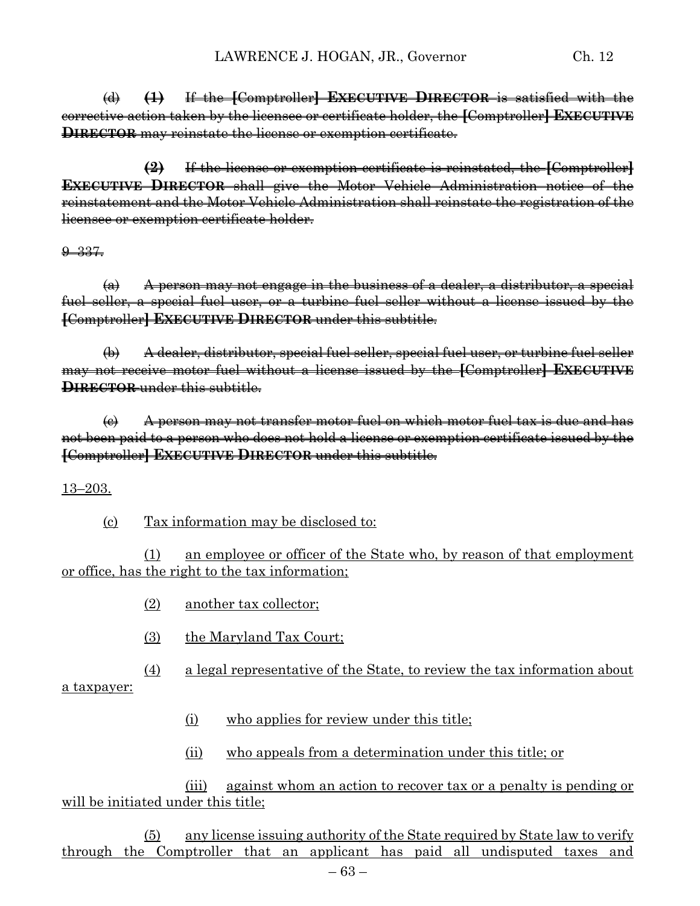(d) **(1)** If the **[**Comptroller**] EXECUTIVE DIRECTOR** is satisfied with the corrective action taken by the licensee or certificate holder, the **[**Comptroller**] EXECUTIVE DIRECTOR** may reinstate the license or exemption certificate.

**(2)** If the license or exemption certificate is reinstated, the **[**Comptroller**] EXECUTIVE DIRECTOR** shall give the Motor Vehicle Administration notice of the reinstatement and the Motor Vehicle Administration shall reinstate the registration of the licensee or exemption certificate holder.

9–337.

 $(a)$  A person may not engage in the business of a dealer, a distributor, a special fuel seller, a special fuel user, or a turbine fuel seller without a license issued by the **[**Comptroller**] EXECUTIVE DIRECTOR** under this subtitle.

(b) A dealer, distributor, special fuel seller, special fuel user, or turbine fuel seller may not receive motor fuel without a license issued by the **[**Comptroller**] EXECUTIVE DIRECTOR** under this subtitle.

 $\left(\epsilon\right)$  A person may not transfer motor fuel on which motor fuel tax is due and has not been paid to a person who does not hold a license or exemption certificate issued by the **[**Comptroller**] EXECUTIVE DIRECTOR** under this subtitle.

13–203.

(c) Tax information may be disclosed to:

(1) an employee or officer of the State who, by reason of that employment or office, has the right to the tax information;

- (2) another tax collector;
- (3) the Maryland Tax Court;
- (4) a legal representative of the State, to review the tax information about

a taxpayer:

- (i) who applies for review under this title;
- (ii) who appeals from a determination under this title; or

(iii) against whom an action to recover tax or a penalty is pending or will be initiated under this title;

(5) any license issuing authority of the State required by State law to verify through the Comptroller that an applicant has paid all undisputed taxes and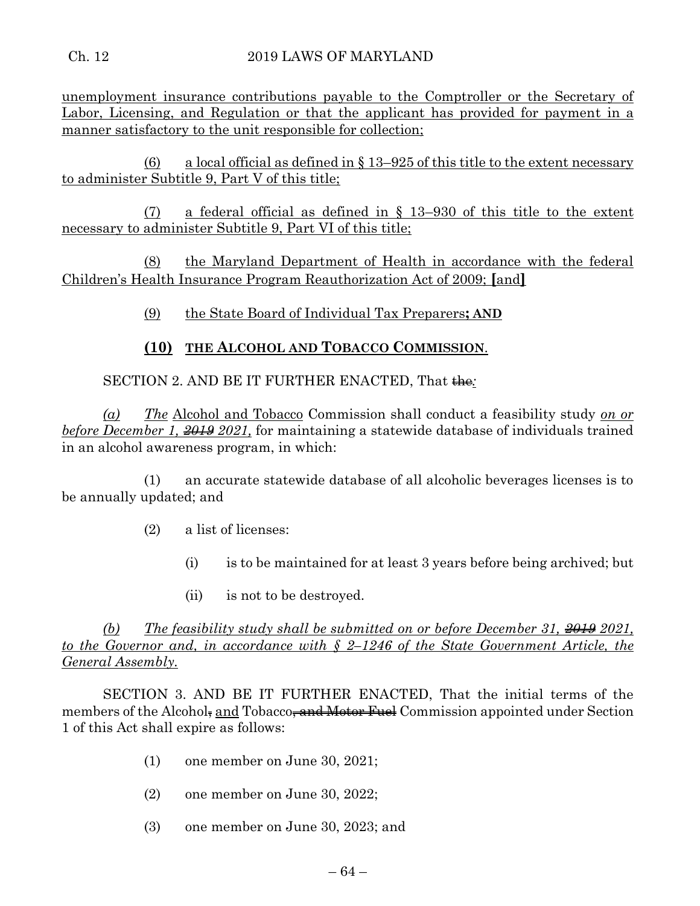unemployment insurance contributions payable to the Comptroller or the Secretary of Labor, Licensing, and Regulation or that the applicant has provided for payment in a manner satisfactory to the unit responsible for collection;

(6) a local official as defined in  $\S 13-925$  of this title to the extent necessary to administer Subtitle 9, Part V of this title;

(7) a federal official as defined in § 13–930 of this title to the extent necessary to administer Subtitle 9, Part VI of this title;

(8) the Maryland Department of Health in accordance with the federal Children's Health Insurance Program Reauthorization Act of 2009; **[**and**]**

(9) the State Board of Individual Tax Preparers**; AND**

# **(10) THE ALCOHOL AND TOBACCO COMMISSION**.

SECTION 2. AND BE IT FURTHER ENACTED, That the <sup>1</sup>

*(a) The* Alcohol and Tobacco Commission shall conduct a feasibility study *on or before December 1, 2019 2021,* for maintaining a statewide database of individuals trained in an alcohol awareness program, in which:

(1) an accurate statewide database of all alcoholic beverages licenses is to be annually updated; and

(2) a list of licenses:

- (i) is to be maintained for at least 3 years before being archived; but
- (ii) is not to be destroyed.

*(b) The feasibility study shall be submitted on or before December 31, 2019 2021, to the Governor and, in accordance with § 2–1246 of the State Government Article, the General Assembly.*

SECTION 3. AND BE IT FURTHER ENACTED, That the initial terms of the members of the Alcohol, and Tobacco, and Motor Fuel Commission appointed under Section 1 of this Act shall expire as follows:

- (1) one member on June 30, 2021;
- (2) one member on June 30, 2022;
- (3) one member on June 30, 2023; and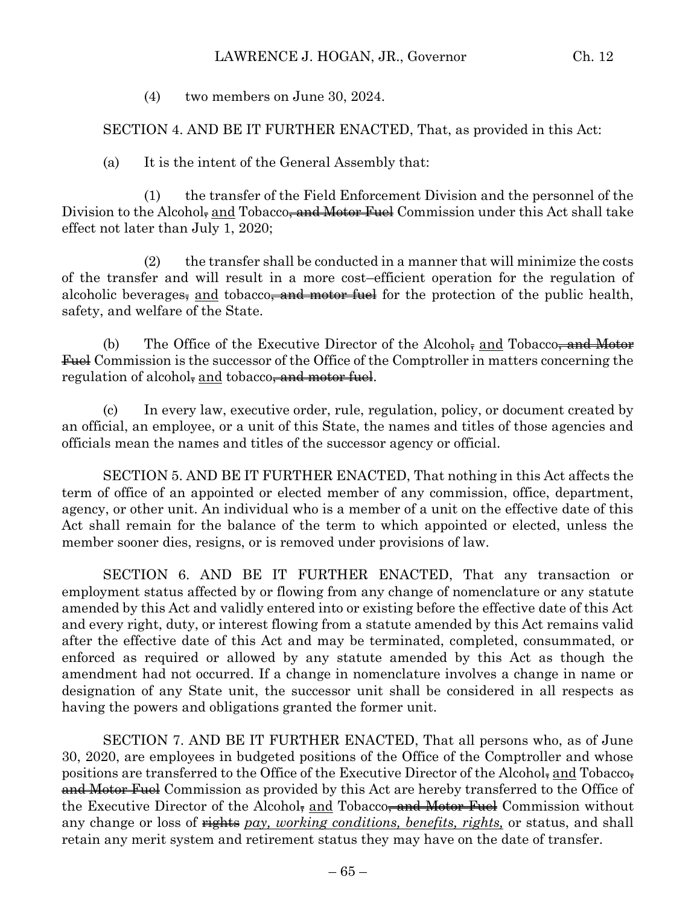#### LAWRENCE J. HOGAN, JR., Governor Ch. 12

(4) two members on June 30, 2024.

SECTION 4. AND BE IT FURTHER ENACTED, That, as provided in this Act:

(a) It is the intent of the General Assembly that:

(1) the transfer of the Field Enforcement Division and the personnel of the Division to the Alcohol, and Tobacco<del>, and Motor Fuel</del> Commission under this Act shall take effect not later than July 1, 2020;

(2) the transfer shall be conducted in a manner that will minimize the costs of the transfer and will result in a more cost–efficient operation for the regulation of alcoholic beverages, and tobacco, and motor fuel for the protection of the public health, safety, and welfare of the State.

(b) The Office of the Executive Director of the Alcohol, and Tobacco<del>, and Motor</del> Fuel Commission is the successor of the Office of the Comptroller in matters concerning the regulation of alcohol, and tobacco, and motor fuel.

(c) In every law, executive order, rule, regulation, policy, or document created by an official, an employee, or a unit of this State, the names and titles of those agencies and officials mean the names and titles of the successor agency or official.

SECTION 5. AND BE IT FURTHER ENACTED, That nothing in this Act affects the term of office of an appointed or elected member of any commission, office, department, agency, or other unit. An individual who is a member of a unit on the effective date of this Act shall remain for the balance of the term to which appointed or elected, unless the member sooner dies, resigns, or is removed under provisions of law.

SECTION 6. AND BE IT FURTHER ENACTED, That any transaction or employment status affected by or flowing from any change of nomenclature or any statute amended by this Act and validly entered into or existing before the effective date of this Act and every right, duty, or interest flowing from a statute amended by this Act remains valid after the effective date of this Act and may be terminated, completed, consummated, or enforced as required or allowed by any statute amended by this Act as though the amendment had not occurred. If a change in nomenclature involves a change in name or designation of any State unit, the successor unit shall be considered in all respects as having the powers and obligations granted the former unit.

SECTION 7. AND BE IT FURTHER ENACTED, That all persons who, as of June 30, 2020, are employees in budgeted positions of the Office of the Comptroller and whose positions are transferred to the Office of the Executive Director of the Alcohol, and Tobacco, and Motor Fuel Commission as provided by this Act are hereby transferred to the Office of the Executive Director of the Alcohol, and Tobacco<del>, and Motor Fuel</del> Commission without any change or loss of  $\frac{m}{n}$  *rights pay, working conditions, benefits, rights, or status, and shall* retain any merit system and retirement status they may have on the date of transfer.